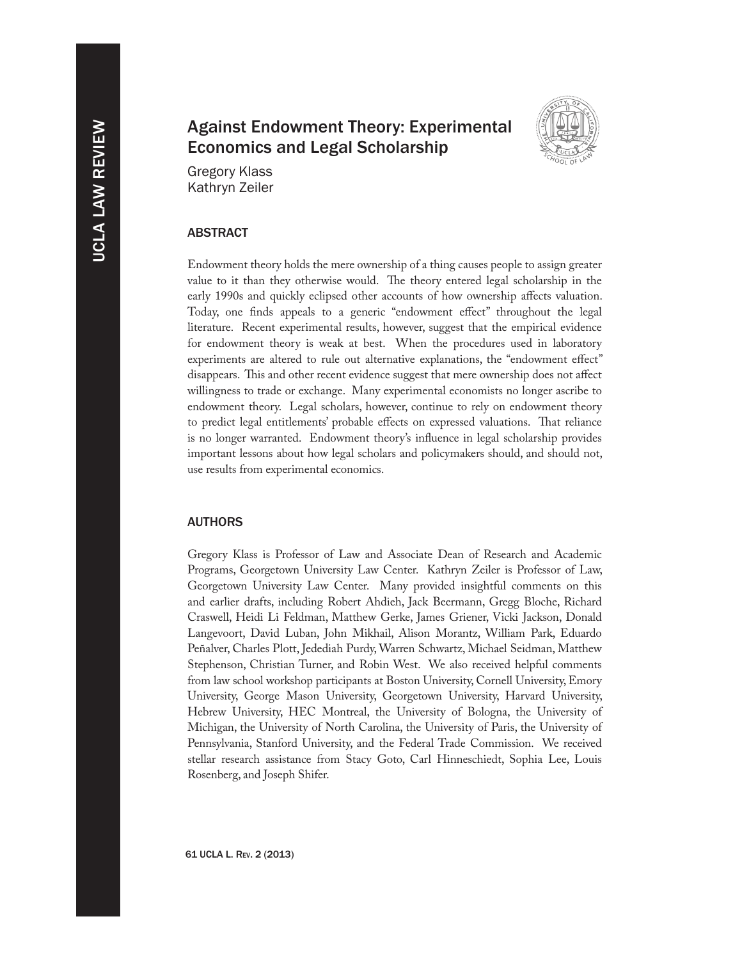# Against Endowment Theory: Experimental Economics and Legal Scholarship



Gregory Klass Kathryn Zeiler

# **ABSTRACT**

Endowment theory holds the mere ownership of a thing causes people to assign greater value to it than they otherwise would. The theory entered legal scholarship in the early 1990s and quickly eclipsed other accounts of how ownership affects valuation. Today, one finds appeals to a generic "endowment effect" throughout the legal literature. Recent experimental results, however, suggest that the empirical evidence for endowment theory is weak at best. When the procedures used in laboratory experiments are altered to rule out alternative explanations, the "endowment effect" disappears. This and other recent evidence suggest that mere ownership does not affect willingness to trade or exchange. Many experimental economists no longer ascribe to endowment theory. Legal scholars, however, continue to rely on endowment theory to predict legal entitlements' probable effects on expressed valuations. That reliance is no longer warranted. Endowment theory's influence in legal scholarship provides important lessons about how legal scholars and policymakers should, and should not, use results from experimental economics.

## **AUTHORS**

Gregory Klass is Professor of Law and Associate Dean of Research and Academic Programs, Georgetown University Law Center. Kathryn Zeiler is Professor of Law, Georgetown University Law Center. Many provided insightful comments on this and earlier drafts, including Robert Ahdieh, Jack Beermann, Gregg Bloche, Richard Craswell, Heidi Li Feldman, Matthew Gerke, James Griener, Vicki Jackson, Donald Langevoort, David Luban, John Mikhail, Alison Morantz, William Park, Eduardo Peñalver, Charles Plott, Jedediah Purdy, Warren Schwartz, Michael Seidman, Matthew Stephenson, Christian Turner, and Robin West. We also received helpful comments from law school workshop participants at Boston University, Cornell University, Emory University, George Mason University, Georgetown University, Harvard University, Hebrew University, HEC Montreal, the University of Bologna, the University of Michigan, the University of North Carolina, the University of Paris, the University of Pennsylvania, Stanford University, and the Federal Trade Commission. We received stellar research assistance from Stacy Goto, Carl Hinneschiedt, Sophia Lee, Louis Rosenberg, and Joseph Shifer.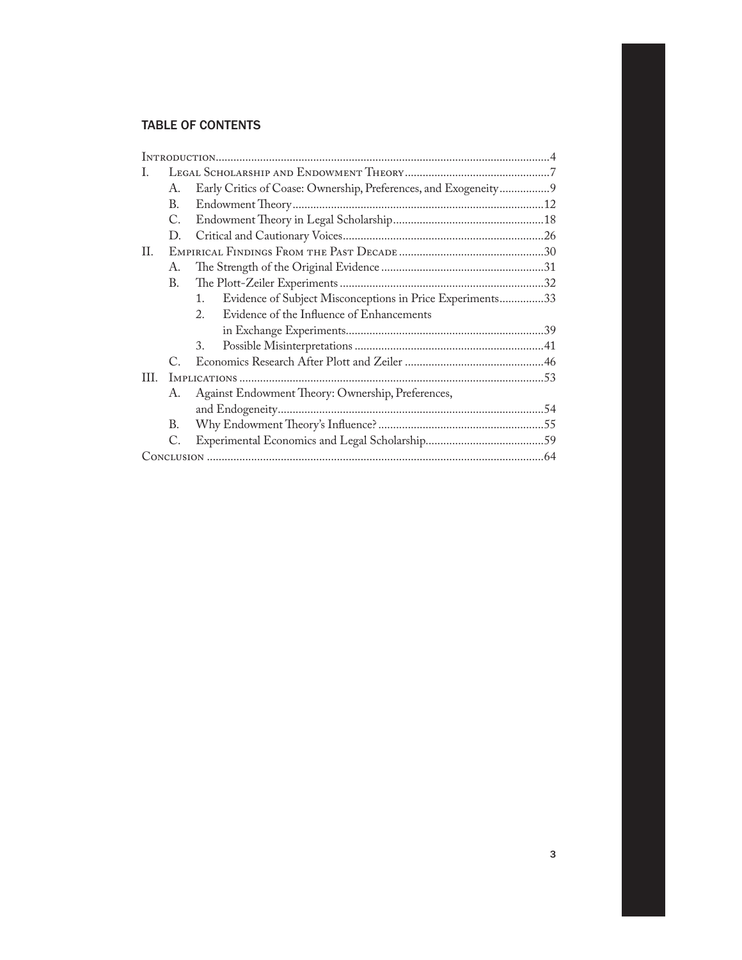# Table of Contents

| I.  |             |                                                                      |  |  |
|-----|-------------|----------------------------------------------------------------------|--|--|
|     | А.          | Early Critics of Coase: Ownership, Preferences, and Exogeneity9      |  |  |
|     | В.          |                                                                      |  |  |
|     | C.          |                                                                      |  |  |
|     | $D_{\cdot}$ |                                                                      |  |  |
| П.  |             |                                                                      |  |  |
|     | A.          |                                                                      |  |  |
|     | В.          |                                                                      |  |  |
|     |             | Evidence of Subject Misconceptions in Price Experiments33<br>$1_{-}$ |  |  |
|     |             | Evidence of the Influence of Enhancements<br>$2_{1}$                 |  |  |
|     |             |                                                                      |  |  |
|     |             | 3.                                                                   |  |  |
|     | C           |                                                                      |  |  |
| HL. |             |                                                                      |  |  |
|     | А.          | Against Endowment Theory: Ownership, Preferences,                    |  |  |
|     |             |                                                                      |  |  |
|     | В.          |                                                                      |  |  |
|     | C.          |                                                                      |  |  |
|     |             |                                                                      |  |  |
|     |             |                                                                      |  |  |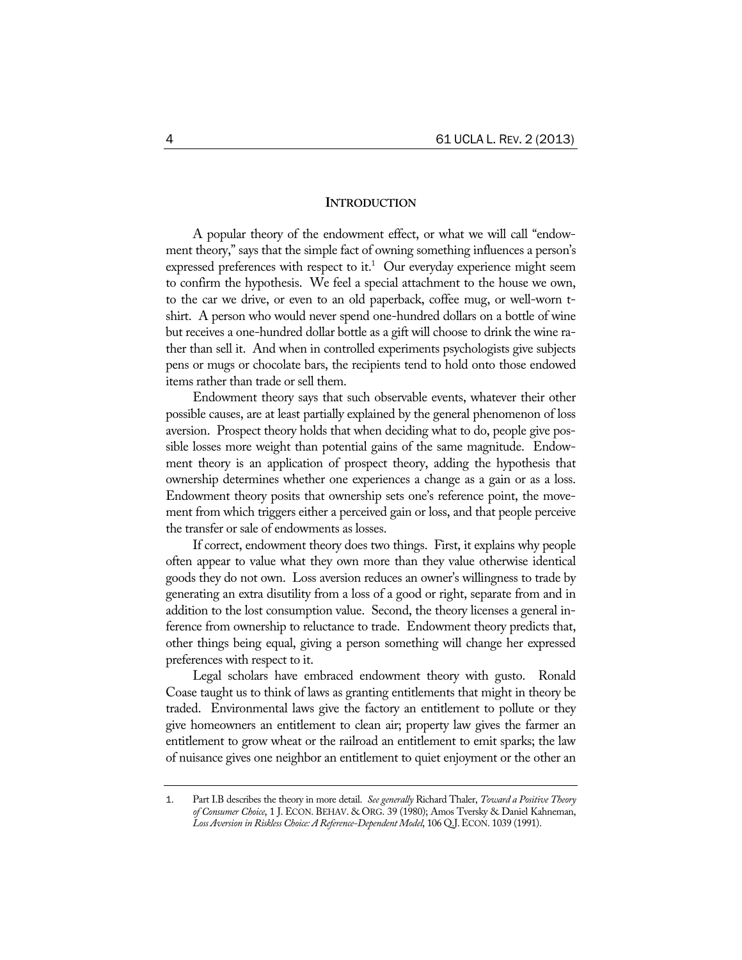## **INTRODUCTION**

A popular theory of the endowment effect, or what we will call "endowment theory," says that the simple fact of owning something influences a person's expressed preferences with respect to it.<sup>1</sup> Our everyday experience might seem to confirm the hypothesis. We feel a special attachment to the house we own, to the car we drive, or even to an old paperback, coffee mug, or well-worn tshirt. A person who would never spend one-hundred dollars on a bottle of wine but receives a one-hundred dollar bottle as a gift will choose to drink the wine rather than sell it. And when in controlled experiments psychologists give subjects pens or mugs or chocolate bars, the recipients tend to hold onto those endowed items rather than trade or sell them.

Endowment theory says that such observable events, whatever their other possible causes, are at least partially explained by the general phenomenon of loss aversion. Prospect theory holds that when deciding what to do, people give possible losses more weight than potential gains of the same magnitude. Endowment theory is an application of prospect theory, adding the hypothesis that ownership determines whether one experiences a change as a gain or as a loss. Endowment theory posits that ownership sets one's reference point, the movement from which triggers either a perceived gain or loss, and that people perceive the transfer or sale of endowments as losses.

If correct, endowment theory does two things. First, it explains why people often appear to value what they own more than they value otherwise identical goods they do not own. Loss aversion reduces an owner's willingness to trade by generating an extra disutility from a loss of a good or right, separate from and in addition to the lost consumption value. Second, the theory licenses a general inference from ownership to reluctance to trade. Endowment theory predicts that, other things being equal, giving a person something will change her expressed preferences with respect to it.

Legal scholars have embraced endowment theory with gusto. Ronald Coase taught us to think of laws as granting entitlements that might in theory be traded. Environmental laws give the factory an entitlement to pollute or they give homeowners an entitlement to clean air; property law gives the farmer an entitlement to grow wheat or the railroad an entitlement to emit sparks; the law of nuisance gives one neighbor an entitlement to quiet enjoyment or the other an

<sup>1</sup>. Part I.B describes the theory in more detail. *See generally* Richard Thaler, *Toward a Positive Theory of Consumer Choice*, 1 J. ECON. BEHAV. & ORG. 39 (1980); Amos Tversky & Daniel Kahneman, *Loss Aversion in Riskless Choice: A Reference-Dependent Model*, 106 Q.J.ECON. 1039 (1991).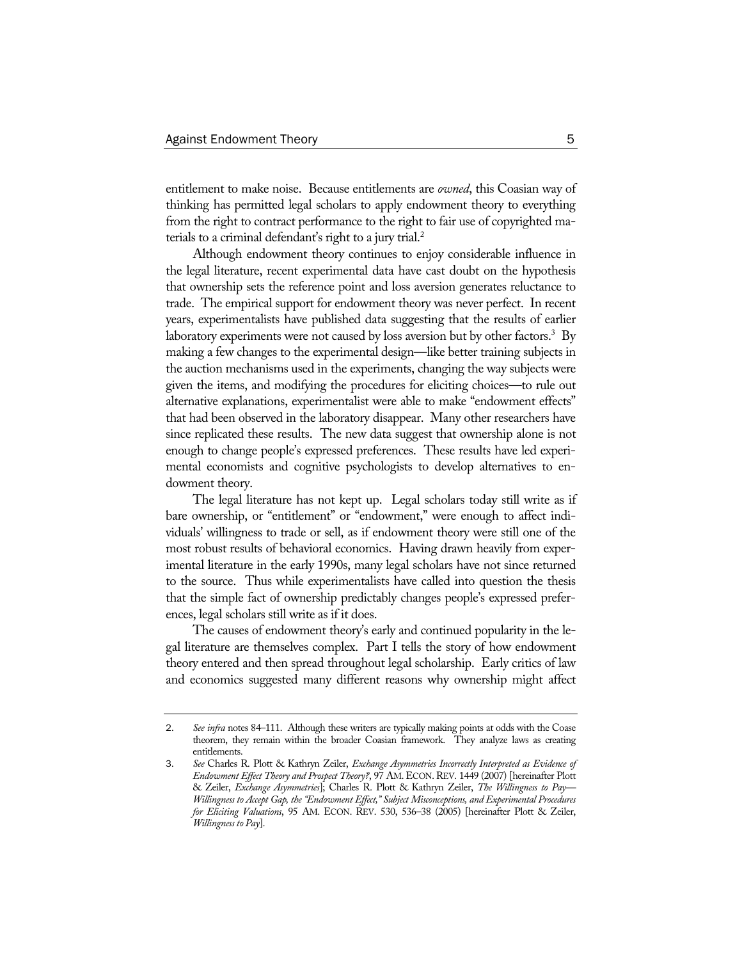entitlement to make noise. Because entitlements are *owned*, this Coasian way of thinking has permitted legal scholars to apply endowment theory to everything from the right to contract performance to the right to fair use of copyrighted materials to a criminal defendant's right to a jury trial.2

Although endowment theory continues to enjoy considerable influence in the legal literature, recent experimental data have cast doubt on the hypothesis that ownership sets the reference point and loss aversion generates reluctance to trade. The empirical support for endowment theory was never perfect. In recent years, experimentalists have published data suggesting that the results of earlier laboratory experiments were not caused by loss aversion but by other factors.<sup>3</sup> By making a few changes to the experimental design—like better training subjects in the auction mechanisms used in the experiments, changing the way subjects were given the items, and modifying the procedures for eliciting choices—to rule out alternative explanations, experimentalist were able to make "endowment effects" that had been observed in the laboratory disappear. Many other researchers have since replicated these results. The new data suggest that ownership alone is not enough to change people's expressed preferences. These results have led experimental economists and cognitive psychologists to develop alternatives to endowment theory.

The legal literature has not kept up. Legal scholars today still write as if bare ownership, or "entitlement" or "endowment," were enough to affect individuals' willingness to trade or sell, as if endowment theory were still one of the most robust results of behavioral economics. Having drawn heavily from experimental literature in the early 1990s, many legal scholars have not since returned to the source. Thus while experimentalists have called into question the thesis that the simple fact of ownership predictably changes people's expressed preferences, legal scholars still write as if it does.

The causes of endowment theory's early and continued popularity in the legal literature are themselves complex. Part I tells the story of how endowment theory entered and then spread throughout legal scholarship. Early critics of law and economics suggested many different reasons why ownership might affect

<sup>2</sup>. *See infra* notes 84–111. Although these writers are typically making points at odds with the Coase theorem, they remain within the broader Coasian framework. They analyze laws as creating entitlements.

<sup>3</sup>. *See* Charles R. Plott & Kathryn Zeiler, *Exchange Asymmetries Incorrectly Interpreted as Evidence of Endowment Effect Theory and Prospect Theory?*, 97 AM.ECON. REV. 1449 (2007) [hereinafter Plott & Zeiler, *Exchange Asymmetries*]; Charles R. Plott & Kathryn Zeiler, *The Willingness to Pay— Willingness to Accept Gap, the "Endowment Effect," Subject Misconceptions, and Experimental Procedures for Eliciting Valuations*, 95 AM. ECON. REV. 530, 536–38 (2005) [hereinafter Plott & Zeiler, *Willingness to Pay*].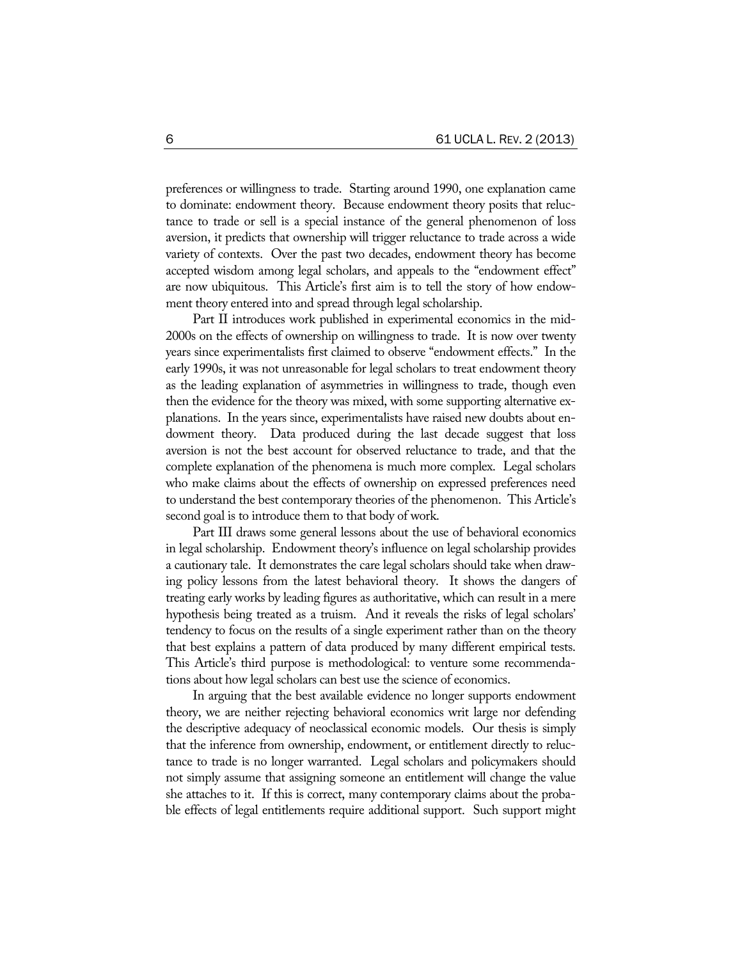preferences or willingness to trade. Starting around 1990, one explanation came to dominate: endowment theory. Because endowment theory posits that reluctance to trade or sell is a special instance of the general phenomenon of loss aversion, it predicts that ownership will trigger reluctance to trade across a wide variety of contexts. Over the past two decades, endowment theory has become accepted wisdom among legal scholars, and appeals to the "endowment effect" are now ubiquitous. This Article's first aim is to tell the story of how endowment theory entered into and spread through legal scholarship.

Part II introduces work published in experimental economics in the mid-2000s on the effects of ownership on willingness to trade. It is now over twenty years since experimentalists first claimed to observe "endowment effects." In the early 1990s, it was not unreasonable for legal scholars to treat endowment theory as the leading explanation of asymmetries in willingness to trade, though even then the evidence for the theory was mixed, with some supporting alternative explanations. In the years since, experimentalists have raised new doubts about endowment theory. Data produced during the last decade suggest that loss aversion is not the best account for observed reluctance to trade, and that the complete explanation of the phenomena is much more complex. Legal scholars who make claims about the effects of ownership on expressed preferences need to understand the best contemporary theories of the phenomenon. This Article's second goal is to introduce them to that body of work.

Part III draws some general lessons about the use of behavioral economics in legal scholarship. Endowment theory's influence on legal scholarship provides a cautionary tale. It demonstrates the care legal scholars should take when drawing policy lessons from the latest behavioral theory. It shows the dangers of treating early works by leading figures as authoritative, which can result in a mere hypothesis being treated as a truism. And it reveals the risks of legal scholars' tendency to focus on the results of a single experiment rather than on the theory that best explains a pattern of data produced by many different empirical tests. This Article's third purpose is methodological: to venture some recommendations about how legal scholars can best use the science of economics.

In arguing that the best available evidence no longer supports endowment theory, we are neither rejecting behavioral economics writ large nor defending the descriptive adequacy of neoclassical economic models. Our thesis is simply that the inference from ownership, endowment, or entitlement directly to reluctance to trade is no longer warranted. Legal scholars and policymakers should not simply assume that assigning someone an entitlement will change the value she attaches to it. If this is correct, many contemporary claims about the probable effects of legal entitlements require additional support. Such support might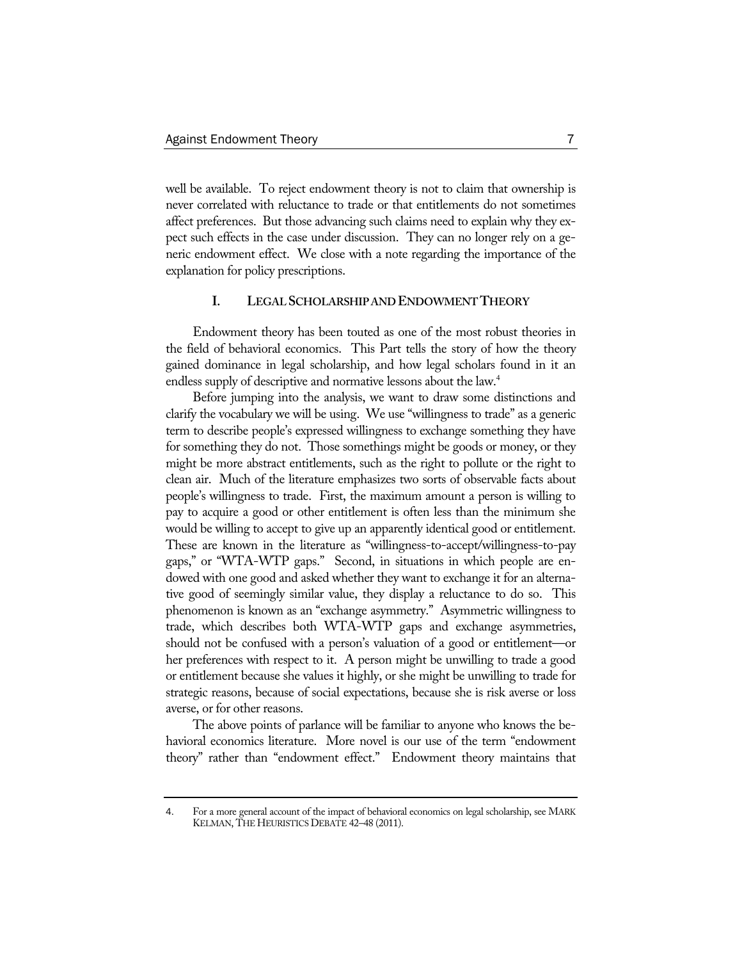well be available. To reject endowment theory is not to claim that ownership is never correlated with reluctance to trade or that entitlements do not sometimes affect preferences. But those advancing such claims need to explain why they expect such effects in the case under discussion. They can no longer rely on a generic endowment effect. We close with a note regarding the importance of the explanation for policy prescriptions.

## **I. LEGAL SCHOLARSHIP AND ENDOWMENT THEORY**

Endowment theory has been touted as one of the most robust theories in the field of behavioral economics. This Part tells the story of how the theory gained dominance in legal scholarship, and how legal scholars found in it an endless supply of descriptive and normative lessons about the law.<sup>4</sup>

Before jumping into the analysis, we want to draw some distinctions and clarify the vocabulary we will be using. We use "willingness to trade" as a generic term to describe people's expressed willingness to exchange something they have for something they do not. Those somethings might be goods or money, or they might be more abstract entitlements, such as the right to pollute or the right to clean air. Much of the literature emphasizes two sorts of observable facts about people's willingness to trade. First, the maximum amount a person is willing to pay to acquire a good or other entitlement is often less than the minimum she would be willing to accept to give up an apparently identical good or entitlement. These are known in the literature as "willingness-to-accept/willingness-to-pay gaps," or "WTA-WTP gaps." Second, in situations in which people are endowed with one good and asked whether they want to exchange it for an alternative good of seemingly similar value, they display a reluctance to do so. This phenomenon is known as an "exchange asymmetry." Asymmetric willingness to trade, which describes both WTA-WTP gaps and exchange asymmetries, should not be confused with a person's valuation of a good or entitlement—or her preferences with respect to it. A person might be unwilling to trade a good or entitlement because she values it highly, or she might be unwilling to trade for strategic reasons, because of social expectations, because she is risk averse or loss averse, or for other reasons.

The above points of parlance will be familiar to anyone who knows the behavioral economics literature. More novel is our use of the term "endowment theory" rather than "endowment effect." Endowment theory maintains that

<sup>4</sup>. For a more general account of the impact of behavioral economics on legal scholarship, see MARK KELMAN, THE HEURISTICS DEBATE 42–48 (2011).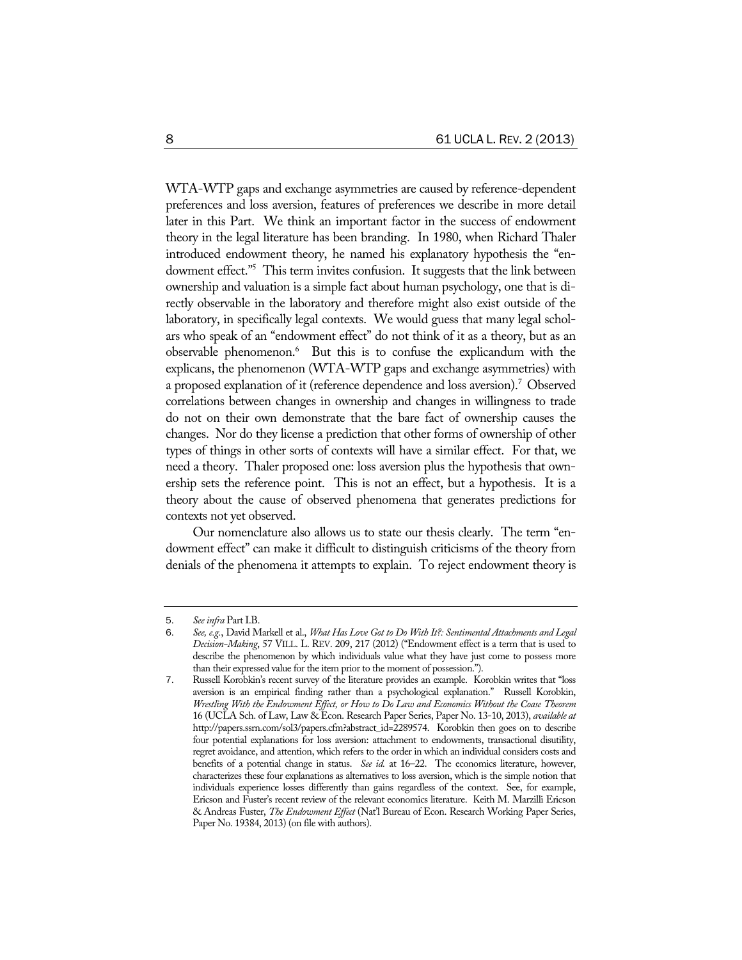WTA-WTP gaps and exchange asymmetries are caused by reference-dependent preferences and loss aversion, features of preferences we describe in more detail later in this Part. We think an important factor in the success of endowment theory in the legal literature has been branding. In 1980, when Richard Thaler introduced endowment theory, he named his explanatory hypothesis the "endowment effect."5 This term invites confusion. It suggests that the link between ownership and valuation is a simple fact about human psychology, one that is directly observable in the laboratory and therefore might also exist outside of the laboratory, in specifically legal contexts. We would guess that many legal scholars who speak of an "endowment effect" do not think of it as a theory, but as an observable phenomenon.<sup>6</sup> But this is to confuse the explicandum with the explicans, the phenomenon (WTA-WTP gaps and exchange asymmetries) with a proposed explanation of it (reference dependence and loss aversion).7 Observed correlations between changes in ownership and changes in willingness to trade do not on their own demonstrate that the bare fact of ownership causes the changes. Nor do they license a prediction that other forms of ownership of other types of things in other sorts of contexts will have a similar effect. For that, we need a theory. Thaler proposed one: loss aversion plus the hypothesis that ownership sets the reference point. This is not an effect, but a hypothesis. It is a theory about the cause of observed phenomena that generates predictions for contexts not yet observed.

Our nomenclature also allows us to state our thesis clearly. The term "endowment effect" can make it difficult to distinguish criticisms of the theory from denials of the phenomena it attempts to explain. To reject endowment theory is

<sup>5</sup>. *See infra* Part I.B.

<sup>6</sup>. *See, e.g.*, David Markell et al., *What Has Love Got to Do With It?: Sentimental Attachments and Legal Decision-Making*, 57 VILL. L. REV. 209, 217 (2012) ("Endowment effect is a term that is used to describe the phenomenon by which individuals value what they have just come to possess more than their expressed value for the item prior to the moment of possession.").

<sup>7</sup>. Russell Korobkin's recent survey of the literature provides an example. Korobkin writes that "loss aversion is an empirical finding rather than a psychological explanation." Russell Korobkin, *Wrestling With the Endowment Effect, or How to Do Law and Economics Without the Coase Theorem* 16 (UCLA Sch. of Law, Law & Econ. Research Paper Series, Paper No. 13-10, 2013), *available at*  http://papers.ssrn.com/sol3/papers.cfm?abstract\_id=2289574. Korobkin then goes on to describe four potential explanations for loss aversion: attachment to endowments, transactional disutility, regret avoidance, and attention, which refers to the order in which an individual considers costs and benefits of a potential change in status. *See id.* at 16–22. The economics literature, however, characterizes these four explanations as alternatives to loss aversion, which is the simple notion that individuals experience losses differently than gains regardless of the context. See, for example, Ericson and Fuster's recent review of the relevant economics literature. Keith M. Marzilli Ericson & Andreas Fuster, *The Endowment Effect* (Nat'l Bureau of Econ. Research Working Paper Series, Paper No. 19384, 2013) (on file with authors).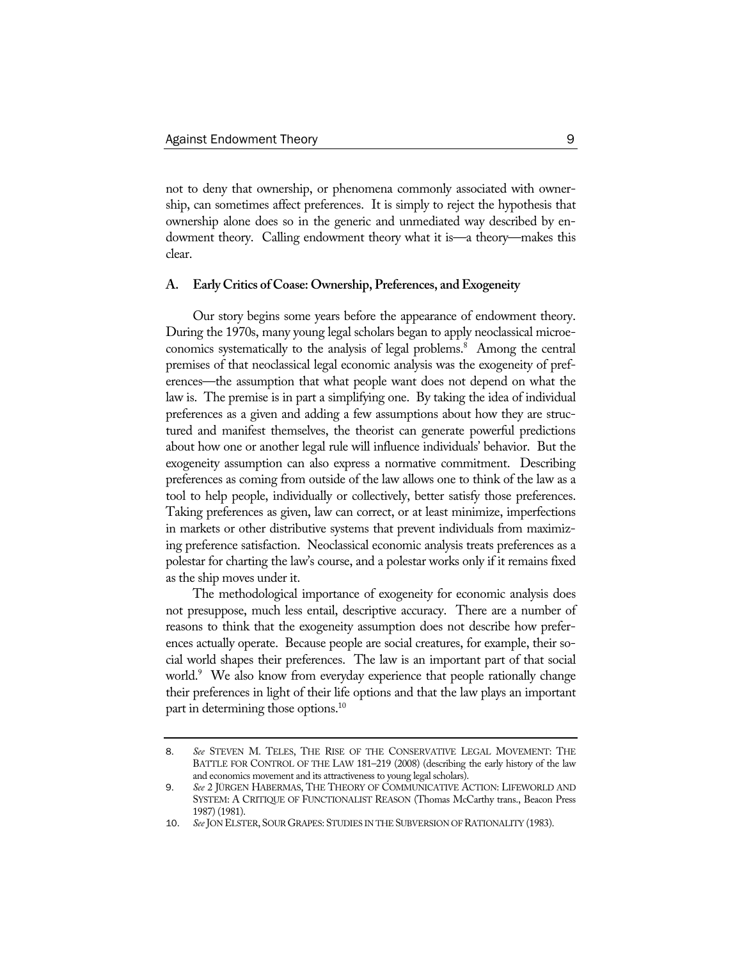not to deny that ownership, or phenomena commonly associated with ownership, can sometimes affect preferences. It is simply to reject the hypothesis that ownership alone does so in the generic and unmediated way described by endowment theory. Calling endowment theory what it is—a theory—makes this clear.

#### **A. Early Critics of Coase: Ownership, Preferences, and Exogeneity**

Our story begins some years before the appearance of endowment theory. During the 1970s, many young legal scholars began to apply neoclassical microeconomics systematically to the analysis of legal problems.<sup>8</sup> Among the central premises of that neoclassical legal economic analysis was the exogeneity of preferences—the assumption that what people want does not depend on what the law is. The premise is in part a simplifying one. By taking the idea of individual preferences as a given and adding a few assumptions about how they are structured and manifest themselves, the theorist can generate powerful predictions about how one or another legal rule will influence individuals' behavior. But the exogeneity assumption can also express a normative commitment. Describing preferences as coming from outside of the law allows one to think of the law as a tool to help people, individually or collectively, better satisfy those preferences. Taking preferences as given, law can correct, or at least minimize, imperfections in markets or other distributive systems that prevent individuals from maximizing preference satisfaction. Neoclassical economic analysis treats preferences as a polestar for charting the law's course, and a polestar works only if it remains fixed as the ship moves under it.

The methodological importance of exogeneity for economic analysis does not presuppose, much less entail, descriptive accuracy. There are a number of reasons to think that the exogeneity assumption does not describe how preferences actually operate. Because people are social creatures, for example, their social world shapes their preferences. The law is an important part of that social world.9 We also know from everyday experience that people rationally change their preferences in light of their life options and that the law plays an important part in determining those options.<sup>10</sup>

<sup>8</sup>. *See* STEVEN M. TELES, THE RISE OF THE CONSERVATIVE LEGAL MOVEMENT: THE BATTLE FOR CONTROL OF THE LAW 181–219 (2008) (describing the early history of the law and economics movement and its attractiveness to young legal scholars).

<sup>9</sup>. *See* 2 JÜRGEN HABERMAS, THE THEORY OF COMMUNICATIVE ACTION: LIFEWORLD AND SYSTEM: A CRITIQUE OF FUNCTIONALIST REASON (Thomas McCarthy trans., Beacon Press 1987) (1981).

<sup>10</sup>. *See* JON ELSTER, SOUR GRAPES: STUDIES IN THE SUBVERSION OF RATIONALITY (1983).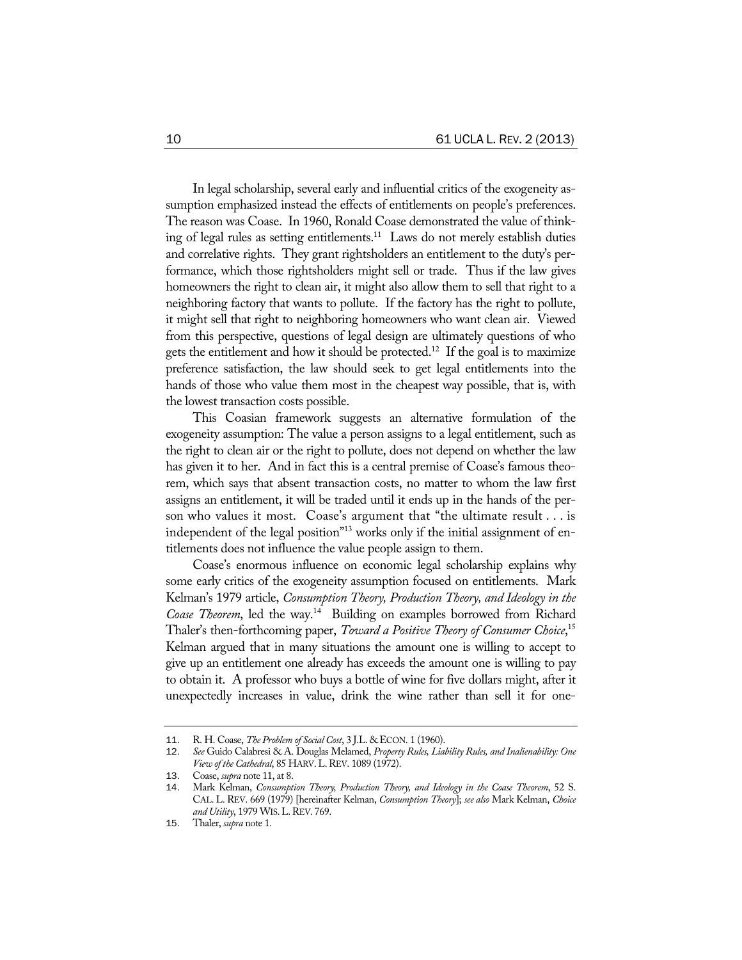In legal scholarship, several early and influential critics of the exogeneity assumption emphasized instead the effects of entitlements on people's preferences. The reason was Coase. In 1960, Ronald Coase demonstrated the value of thinking of legal rules as setting entitlements.<sup>11</sup> Laws do not merely establish duties and correlative rights. They grant rightsholders an entitlement to the duty's performance, which those rightsholders might sell or trade. Thus if the law gives homeowners the right to clean air, it might also allow them to sell that right to a neighboring factory that wants to pollute. If the factory has the right to pollute, it might sell that right to neighboring homeowners who want clean air. Viewed from this perspective, questions of legal design are ultimately questions of who gets the entitlement and how it should be protected.<sup>12</sup> If the goal is to maximize preference satisfaction, the law should seek to get legal entitlements into the hands of those who value them most in the cheapest way possible, that is, with the lowest transaction costs possible.

This Coasian framework suggests an alternative formulation of the exogeneity assumption: The value a person assigns to a legal entitlement, such as the right to clean air or the right to pollute, does not depend on whether the law has given it to her. And in fact this is a central premise of Coase's famous theorem, which says that absent transaction costs, no matter to whom the law first assigns an entitlement, it will be traded until it ends up in the hands of the person who values it most. Coase's argument that "the ultimate result . . . is independent of the legal position<sup>"13</sup> works only if the initial assignment of entitlements does not influence the value people assign to them.

Coase's enormous influence on economic legal scholarship explains why some early critics of the exogeneity assumption focused on entitlements. Mark Kelman's 1979 article, *Consumption Theory, Production Theory, and Ideology in the Coase Theorem*, led the way.14 Building on examples borrowed from Richard Thaler's then-forthcoming paper, *Toward a Positive Theory of Consumer Choice*, 15 Kelman argued that in many situations the amount one is willing to accept to give up an entitlement one already has exceeds the amount one is willing to pay to obtain it. A professor who buys a bottle of wine for five dollars might, after it unexpectedly increases in value, drink the wine rather than sell it for one-

<sup>11</sup>. R. H. Coase, *The Problem of Social Cost*, 3 J.L. & ECON. 1 (1960).

<sup>12</sup>. *See* Guido Calabresi & A. Douglas Melamed, *Property Rules, Liability Rules, and Inalienability: One View of the Cathedral*, 85 HARV.L.REV. 1089 (1972).

<sup>13</sup>. Coase, *supra* note 11, at 8.

<sup>14</sup>. Mark Kelman, *Consumption Theory, Production Theory, and Ideology in the Coase Theorem*, 52 S. CAL. L. REV. 669 (1979) [hereinafter Kelman, *Consumption Theory*]; *see also* Mark Kelman, *Choice and Utility*, 1979 WIS.L.REV. 769.

<sup>15</sup>. Thaler, *supra* note 1.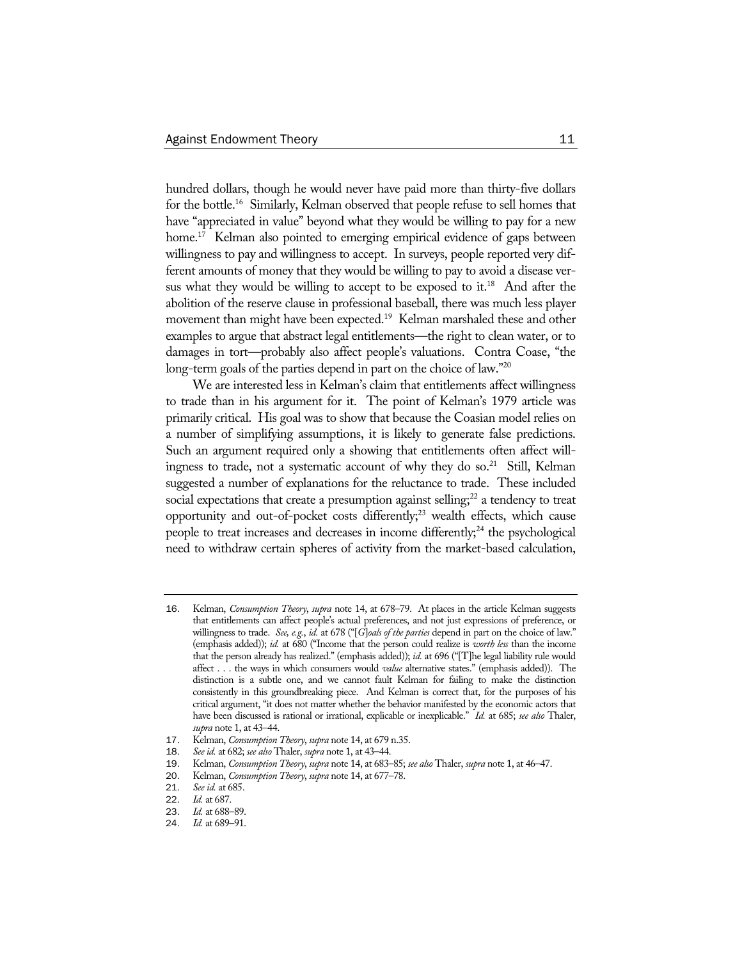hundred dollars, though he would never have paid more than thirty-five dollars for the bottle.16 Similarly, Kelman observed that people refuse to sell homes that have "appreciated in value" beyond what they would be willing to pay for a new home.<sup>17</sup> Kelman also pointed to emerging empirical evidence of gaps between willingness to pay and willingness to accept. In surveys, people reported very different amounts of money that they would be willing to pay to avoid a disease versus what they would be willing to accept to be exposed to it.<sup>18</sup> And after the abolition of the reserve clause in professional baseball, there was much less player movement than might have been expected.<sup>19</sup> Kelman marshaled these and other examples to argue that abstract legal entitlements—the right to clean water, or to damages in tort—probably also affect people's valuations. Contra Coase, "the long-term goals of the parties depend in part on the choice of law."20

We are interested less in Kelman's claim that entitlements affect willingness to trade than in his argument for it. The point of Kelman's 1979 article was primarily critical. His goal was to show that because the Coasian model relies on a number of simplifying assumptions, it is likely to generate false predictions. Such an argument required only a showing that entitlements often affect willingness to trade, not a systematic account of why they do so.<sup>21</sup> Still, Kelman suggested a number of explanations for the reluctance to trade. These included social expectations that create a presumption against selling; $^{22}$  a tendency to treat opportunity and out-of-pocket costs differently; $^{23}$  wealth effects, which cause people to treat increases and decreases in income differently;<sup>24</sup> the psychological need to withdraw certain spheres of activity from the market-based calculation,

<sup>16</sup>. Kelman, *Consumption Theory*, *supra* note 14, at 678–79. At places in the article Kelman suggests that entitlements can affect people's actual preferences, and not just expressions of preference, or willingness to trade. *See, e.g.*, *id.* at 678 ("[*G*]*oals of the parties* depend in part on the choice of law." (emphasis added)); *id.* at 680 ("Income that the person could realize is *worth less* than the income that the person already has realized." (emphasis added)); *id.* at 696 ("[T]he legal liability rule would affect . . . the ways in which consumers would *value* alternative states." (emphasis added)). The distinction is a subtle one, and we cannot fault Kelman for failing to make the distinction consistently in this groundbreaking piece. And Kelman is correct that, for the purposes of his critical argument, "it does not matter whether the behavior manifested by the economic actors that have been discussed is rational or irrational, explicable or inexplicable." *Id.* at 685; *see also* Thaler, *supra* note 1, at 43–44.

<sup>17</sup>. Kelman, *Consumption Theory*, *supra* note 14, at 679 n.35.

<sup>18</sup>. *See id.* at 682; *see also* Thaler, *supra* note 1, at 43–44.

<sup>19</sup>. Kelman, *Consumption Theory*, *supra* note 14, at 683–85; *see also* Thaler, *supra* note 1, at 46–47.

<sup>20</sup>. Kelman, *Consumption Theory*, *supra* note 14, at 677–78.

<sup>21</sup>. *See id.* at 685.

*Id.* at 687.

<sup>23</sup>. *Id.* at 688–89.

<sup>24</sup>. *Id.* at 689–91.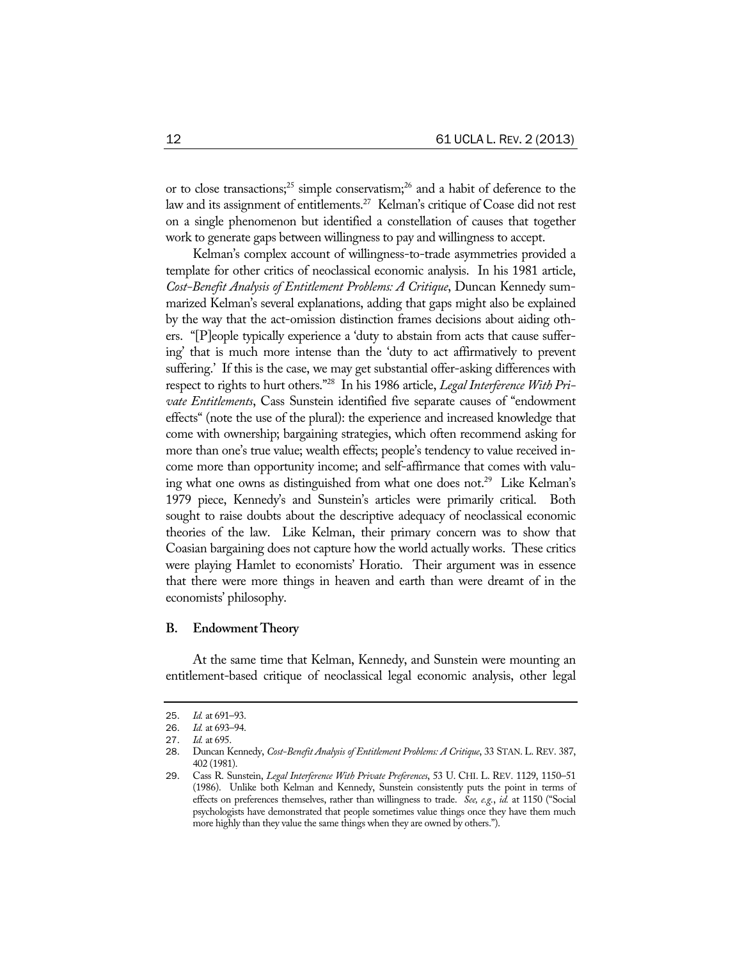or to close transactions;<sup>25</sup> simple conservatism;<sup>26</sup> and a habit of deference to the law and its assignment of entitlements.<sup>27</sup> Kelman's critique of Coase did not rest on a single phenomenon but identified a constellation of causes that together work to generate gaps between willingness to pay and willingness to accept.

Kelman's complex account of willingness-to-trade asymmetries provided a template for other critics of neoclassical economic analysis. In his 1981 article, *Cost-Benefit Analysis of Entitlement Problems: A Critique*, Duncan Kennedy summarized Kelman's several explanations, adding that gaps might also be explained by the way that the act-omission distinction frames decisions about aiding others. "[P]eople typically experience a 'duty to abstain from acts that cause suffering' that is much more intense than the 'duty to act affirmatively to prevent suffering.' If this is the case, we may get substantial offer-asking differences with respect to rights to hurt others."28 In his 1986 article, *Legal Interference With Private Entitlements*, Cass Sunstein identified five separate causes of "endowment effects" (note the use of the plural): the experience and increased knowledge that come with ownership; bargaining strategies, which often recommend asking for more than one's true value; wealth effects; people's tendency to value received income more than opportunity income; and self-affirmance that comes with valuing what one owns as distinguished from what one does not.<sup>29</sup> Like Kelman's 1979 piece, Kennedy's and Sunstein's articles were primarily critical. Both sought to raise doubts about the descriptive adequacy of neoclassical economic theories of the law. Like Kelman, their primary concern was to show that Coasian bargaining does not capture how the world actually works. These critics were playing Hamlet to economists' Horatio. Their argument was in essence that there were more things in heaven and earth than were dreamt of in the economists' philosophy.

#### **B. Endowment Theory**

At the same time that Kelman, Kennedy, and Sunstein were mounting an entitlement-based critique of neoclassical legal economic analysis, other legal

<sup>25</sup>. *Id.* at 691–93.

<sup>26</sup>. *Id.* at 693–94.

<sup>27</sup>. *Id.* at 695.

<sup>28</sup>. Duncan Kennedy, *Cost-Benefit Analysis of Entitlement Problems: A Critique*, 33 STAN. L. REV. 387, 402 (1981).

<sup>29</sup>. Cass R. Sunstein, *Legal Interference With Private Preferences*, 53 U. CHI. L. REV. 1129, 1150–51 (1986). Unlike both Kelman and Kennedy, Sunstein consistently puts the point in terms of effects on preferences themselves, rather than willingness to trade. *See, e.g.*, *id.* at 1150 ("Social psychologists have demonstrated that people sometimes value things once they have them much more highly than they value the same things when they are owned by others.").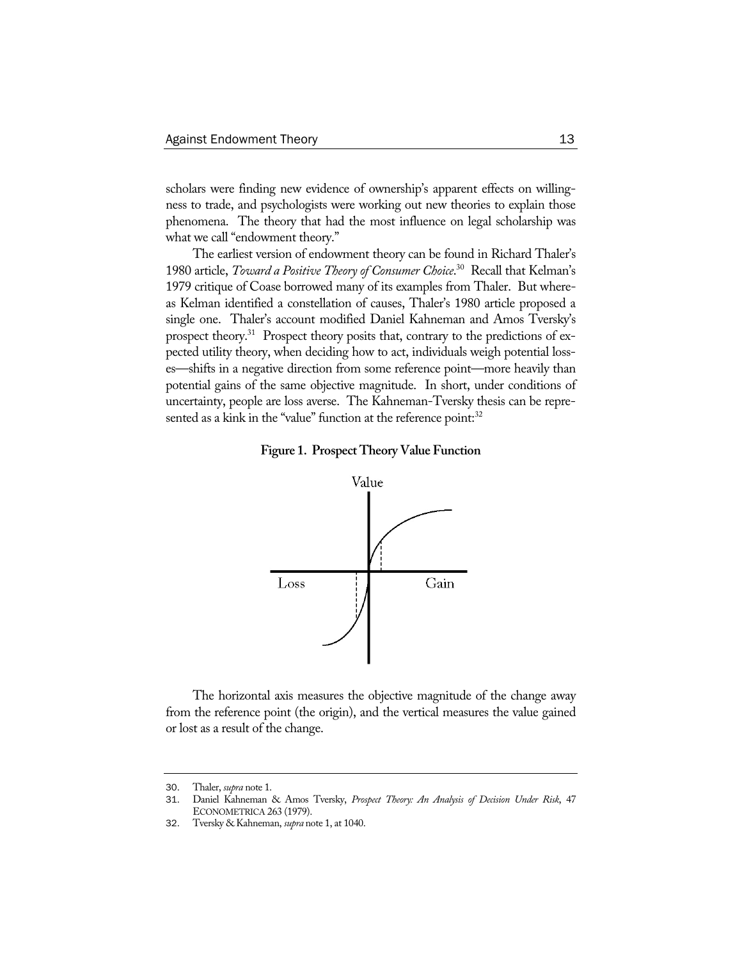scholars were finding new evidence of ownership's apparent effects on willingness to trade, and psychologists were working out new theories to explain those phenomena. The theory that had the most influence on legal scholarship was what we call "endowment theory."

The earliest version of endowment theory can be found in Richard Thaler's 1980 article, *Toward a Positive Theory of Consumer Choice*. 30 Recall that Kelman's 1979 critique of Coase borrowed many of its examples from Thaler. But whereas Kelman identified a constellation of causes, Thaler's 1980 article proposed a single one. Thaler's account modified Daniel Kahneman and Amos Tversky's prospect theory.<sup>31</sup> Prospect theory posits that, contrary to the predictions of expected utility theory, when deciding how to act, individuals weigh potential losses—shifts in a negative direction from some reference point—more heavily than potential gains of the same objective magnitude. In short, under conditions of uncertainty, people are loss averse. The Kahneman-Tversky thesis can be represented as a kink in the "value" function at the reference point:<sup>32</sup>





The horizontal axis measures the objective magnitude of the change away from the reference point (the origin), and the vertical measures the value gained or lost as a result of the change.

<sup>30</sup>. Thaler, *supra* note 1.

<sup>31</sup>. Daniel Kahneman & Amos Tversky, *Prospect Theory: An Analysis of Decision Under Risk*, 47 ECONOMETRICA 263 (1979).

<sup>32</sup>. Tversky & Kahneman, *supra* note 1, at 1040.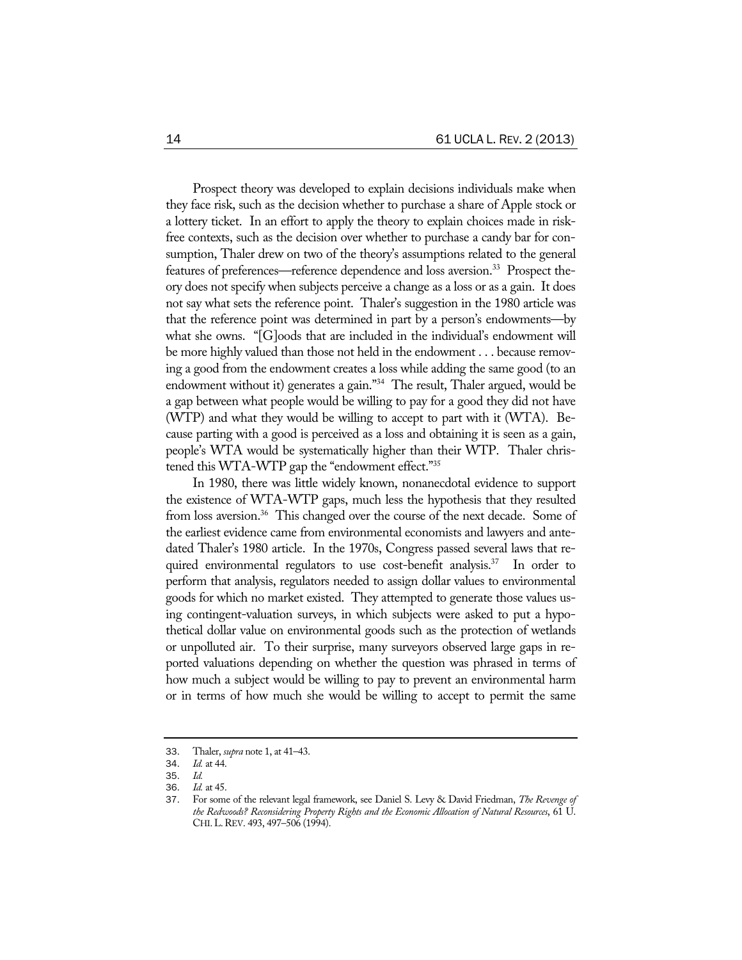Prospect theory was developed to explain decisions individuals make when they face risk, such as the decision whether to purchase a share of Apple stock or a lottery ticket. In an effort to apply the theory to explain choices made in riskfree contexts, such as the decision over whether to purchase a candy bar for consumption, Thaler drew on two of the theory's assumptions related to the general features of preferences—reference dependence and loss aversion.<sup>33</sup> Prospect theory does not specify when subjects perceive a change as a loss or as a gain. It does not say what sets the reference point. Thaler's suggestion in the 1980 article was that the reference point was determined in part by a person's endowments—by what she owns. "[G]oods that are included in the individual's endowment will be more highly valued than those not held in the endowment . . . because removing a good from the endowment creates a loss while adding the same good (to an endowment without it) generates a gain."<sup>34</sup> The result, Thaler argued, would be a gap between what people would be willing to pay for a good they did not have (WTP) and what they would be willing to accept to part with it (WTA). Because parting with a good is perceived as a loss and obtaining it is seen as a gain, people's WTA would be systematically higher than their WTP. Thaler christened this WTA-WTP gap the "endowment effect."35

In 1980, there was little widely known, nonanecdotal evidence to support the existence of WTA-WTP gaps, much less the hypothesis that they resulted from loss aversion.<sup>36</sup> This changed over the course of the next decade. Some of the earliest evidence came from environmental economists and lawyers and antedated Thaler's 1980 article. In the 1970s, Congress passed several laws that required environmental regulators to use cost-benefit analysis.<sup>37</sup> In order to perform that analysis, regulators needed to assign dollar values to environmental goods for which no market existed. They attempted to generate those values using contingent-valuation surveys, in which subjects were asked to put a hypothetical dollar value on environmental goods such as the protection of wetlands or unpolluted air. To their surprise, many surveyors observed large gaps in reported valuations depending on whether the question was phrased in terms of how much a subject would be willing to pay to prevent an environmental harm or in terms of how much she would be willing to accept to permit the same

<sup>33</sup>. Thaler, *supra* note 1, at 41–43.

<sup>34</sup>. *Id.* at 44.

<sup>35</sup>. *Id.*

<sup>36</sup>. *Id.* at 45.

<sup>37</sup>. For some of the relevant legal framework, see Daniel S. Levy & David Friedman, *The Revenge of the Redwoods? Reconsidering Property Rights and the Economic Allocation of Natural Resources*, 61 U. CHI.L.REV. 493, 497–506 (1994).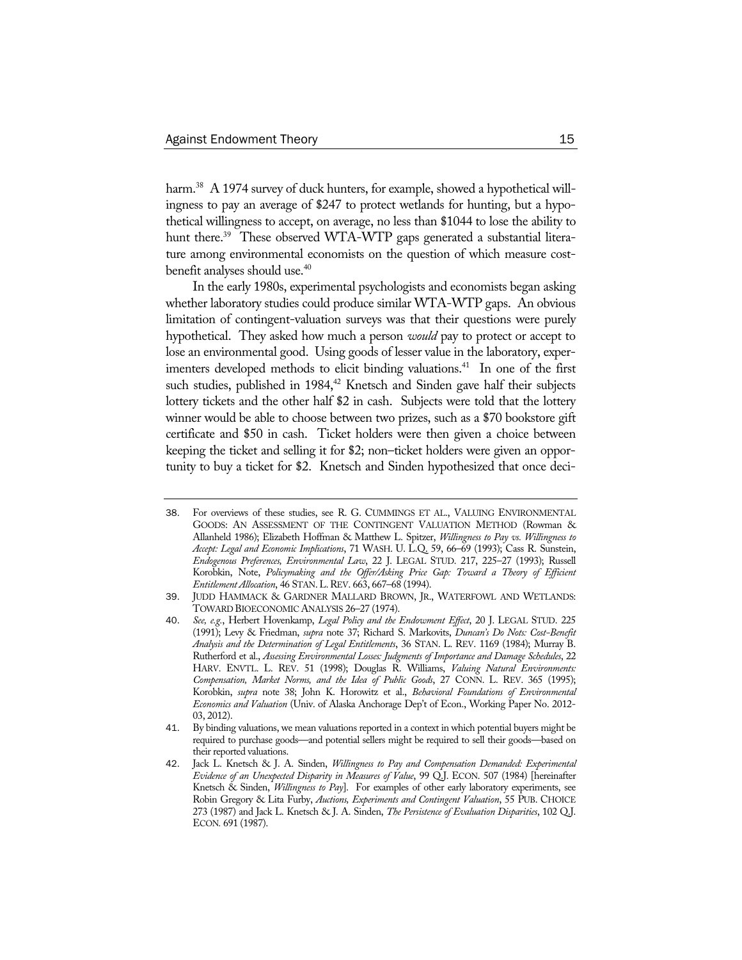harm.<sup>38</sup> A 1974 survey of duck hunters, for example, showed a hypothetical willingness to pay an average of \$247 to protect wetlands for hunting, but a hypothetical willingness to accept, on average, no less than \$1044 to lose the ability to hunt there.<sup>39</sup> These observed WTA-WTP gaps generated a substantial literature among environmental economists on the question of which measure costbenefit analyses should use.40

In the early 1980s, experimental psychologists and economists began asking whether laboratory studies could produce similar WTA-WTP gaps. An obvious limitation of contingent-valuation surveys was that their questions were purely hypothetical. They asked how much a person *would* pay to protect or accept to lose an environmental good. Using goods of lesser value in the laboratory, experimenters developed methods to elicit binding valuations.<sup>41</sup> In one of the first such studies, published in  $1984<sup>42</sup>$  Knetsch and Sinden gave half their subjects lottery tickets and the other half \$2 in cash. Subjects were told that the lottery winner would be able to choose between two prizes, such as a \$70 bookstore gift certificate and \$50 in cash. Ticket holders were then given a choice between keeping the ticket and selling it for \$2; non–ticket holders were given an opportunity to buy a ticket for \$2. Knetsch and Sinden hypothesized that once deci-

<sup>38</sup>. For overviews of these studies, see R. G. CUMMINGS ET AL., VALUING ENVIRONMENTAL GOODS: AN ASSESSMENT OF THE CONTINGENT VALUATION METHOD (Rowman & Allanheld 1986); Elizabeth Hoffman & Matthew L. Spitzer, *Willingness to Pay vs. Willingness to Accept: Legal and Economic Implications*, 71 WASH. U. L.Q. 59, 66–69 (1993); Cass R. Sunstein, *Endogenous Preferences, Environmental Law*, 22 J. LEGAL STUD. 217, 225–27 (1993); Russell Korobkin, Note, *Policymaking and the Offer/Asking Price Gap: Toward a Theory of Efficient Entitlement Allocation*, 46 STAN.L.REV. 663, 667–68 (1994).

<sup>39</sup>. JUDD HAMMACK & GARDNER MALLARD BROWN, JR., WATERFOWL AND WETLANDS: TOWARD BIOECONOMIC ANALYSIS 26–27 (1974).

<sup>40</sup>. *See, e.g.*, Herbert Hovenkamp, *Legal Policy and the Endowment Effect*, 20 J. LEGAL STUD. 225 (1991); Levy & Friedman, *supra* note 37; Richard S. Markovits, *Duncan's Do Nots: Cost-Benefit Analysis and the Determination of Legal Entitlements*, 36 STAN. L. REV. 1169 (1984); Murray B. Rutherford et al., *Assessing Environmental Losses: Judgments of Importance and Damage Schedules*, 22 HARV. ENVTL. L. REV. 51 (1998); Douglas R. Williams, *Valuing Natural Environments: Compensation, Market Norms, and the Idea of Public Goods*, 27 CONN. L. REV. 365 (1995); Korobkin, *supra* note 38; John K. Horowitz et al., *Behavioral Foundations of Environmental Economics and Valuation* (Univ. of Alaska Anchorage Dep't of Econ., Working Paper No. 2012- 03, 2012).

<sup>41</sup>. By binding valuations, we mean valuations reported in a context in which potential buyers might be required to purchase goods—and potential sellers might be required to sell their goods—based on their reported valuations.

<sup>42</sup>. Jack L. Knetsch & J. A. Sinden, *Willingness to Pay and Compensation Demanded: Experimental Evidence of an Unexpected Disparity in Measures of Value*, 99 Q.J. ECON. 507 (1984) [hereinafter Knetsch & Sinden, *Willingness to Pay*]. For examples of other early laboratory experiments, see Robin Gregory & Lita Furby, *Auctions, Experiments and Contingent Valuation*, 55 PUB. CHOICE 273 (1987) and Jack L. Knetsch & J. A. Sinden, *The Persistence of Evaluation Disparities*, 102 Q.J. ECON*.* 691 (1987).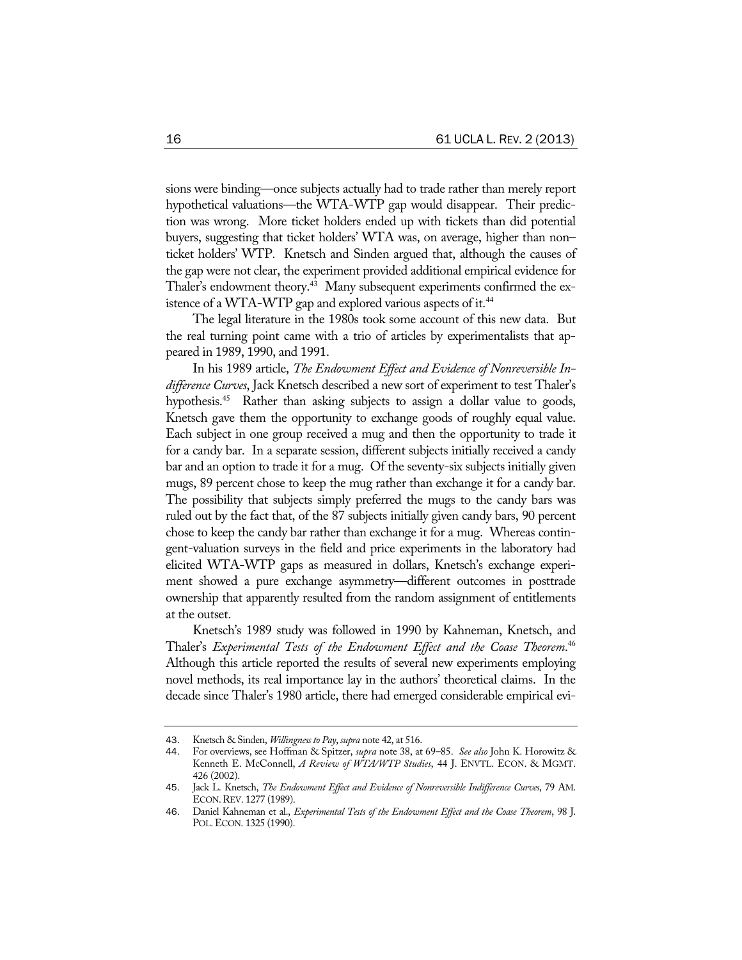sions were binding—once subjects actually had to trade rather than merely report hypothetical valuations—the WTA-WTP gap would disappear. Their prediction was wrong. More ticket holders ended up with tickets than did potential buyers, suggesting that ticket holders' WTA was, on average, higher than non– ticket holders' WTP. Knetsch and Sinden argued that, although the causes of the gap were not clear, the experiment provided additional empirical evidence for Thaler's endowment theory.<sup>43</sup> Many subsequent experiments confirmed the existence of a WTA-WTP gap and explored various aspects of it.<sup>44</sup>

The legal literature in the 1980s took some account of this new data. But the real turning point came with a trio of articles by experimentalists that appeared in 1989, 1990, and 1991.

In his 1989 article, *The Endowment Effect and Evidence of Nonreversible Indifference Curves*, Jack Knetsch described a new sort of experiment to test Thaler's hypothesis.<sup>45</sup> Rather than asking subjects to assign a dollar value to goods, Knetsch gave them the opportunity to exchange goods of roughly equal value. Each subject in one group received a mug and then the opportunity to trade it for a candy bar. In a separate session, different subjects initially received a candy bar and an option to trade it for a mug. Of the seventy-six subjects initially given mugs, 89 percent chose to keep the mug rather than exchange it for a candy bar. The possibility that subjects simply preferred the mugs to the candy bars was ruled out by the fact that, of the 87 subjects initially given candy bars, 90 percent chose to keep the candy bar rather than exchange it for a mug. Whereas contingent-valuation surveys in the field and price experiments in the laboratory had elicited WTA-WTP gaps as measured in dollars, Knetsch's exchange experiment showed a pure exchange asymmetry—different outcomes in posttrade ownership that apparently resulted from the random assignment of entitlements at the outset.

Knetsch's 1989 study was followed in 1990 by Kahneman, Knetsch, and Thaler's *Experimental Tests of the Endowment Effect and the Coase Theorem*. 46 Although this article reported the results of several new experiments employing novel methods, its real importance lay in the authors' theoretical claims. In the decade since Thaler's 1980 article, there had emerged considerable empirical evi-

<sup>43</sup>. Knetsch & Sinden, *Willingness to Pay*, *supra* note 42, at 516.

<sup>44</sup>. For overviews, see Hoffman & Spitzer, *supra* note 38, at 69–85. *See also* John K. Horowitz & Kenneth E. McConnell, *A Review of WTA/WTP Studies*, 44 J. ENVTL. ECON. & MGMT. 426 (2002).

<sup>45</sup>. Jack L. Knetsch, *The Endowment Effect and Evidence of Nonreversible Indifference Curves*, 79 AM. ECON.REV. 1277 (1989).

<sup>46</sup>. Daniel Kahneman et al., *Experimental Tests of the Endowment Effect and the Coase Theorem*, 98 J. POL.ECON. 1325 (1990).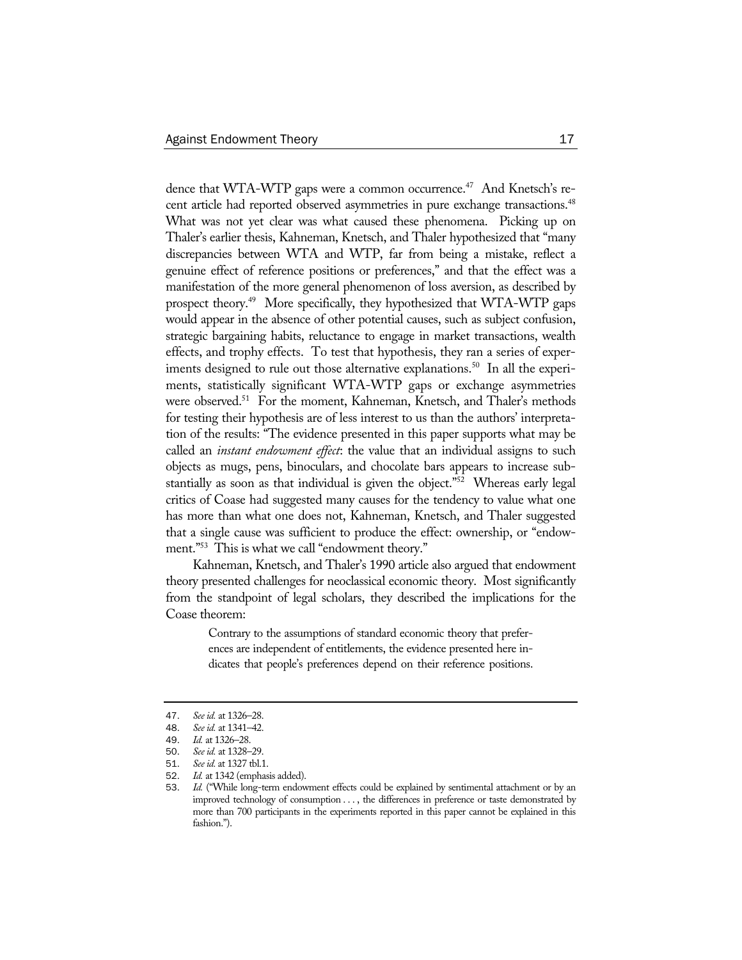dence that WTA-WTP gaps were a common occurrence.<sup>47</sup> And Knetsch's recent article had reported observed asymmetries in pure exchange transactions.<sup>48</sup> What was not yet clear was what caused these phenomena. Picking up on Thaler's earlier thesis, Kahneman, Knetsch, and Thaler hypothesized that "many discrepancies between WTA and WTP, far from being a mistake, reflect a genuine effect of reference positions or preferences," and that the effect was a manifestation of the more general phenomenon of loss aversion, as described by prospect theory.<sup>49</sup> More specifically, they hypothesized that WTA-WTP gaps would appear in the absence of other potential causes, such as subject confusion, strategic bargaining habits, reluctance to engage in market transactions, wealth effects, and trophy effects. To test that hypothesis, they ran a series of experiments designed to rule out those alternative explanations.<sup>50</sup> In all the experiments, statistically significant WTA-WTP gaps or exchange asymmetries were observed.<sup>51</sup> For the moment, Kahneman, Knetsch, and Thaler's methods for testing their hypothesis are of less interest to us than the authors' interpretation of the results: "The evidence presented in this paper supports what may be called an *instant endowment effect*: the value that an individual assigns to such objects as mugs, pens, binoculars, and chocolate bars appears to increase substantially as soon as that individual is given the object."<sup>52</sup> Whereas early legal critics of Coase had suggested many causes for the tendency to value what one has more than what one does not, Kahneman, Knetsch, and Thaler suggested that a single cause was sufficient to produce the effect: ownership, or "endowment."53 This is what we call "endowment theory."

Kahneman, Knetsch, and Thaler's 1990 article also argued that endowment theory presented challenges for neoclassical economic theory. Most significantly from the standpoint of legal scholars, they described the implications for the Coase theorem:

> Contrary to the assumptions of standard economic theory that preferences are independent of entitlements, the evidence presented here indicates that people's preferences depend on their reference positions.

<sup>47</sup>. *See id.* at 1326–28.

<sup>48</sup>. *See id.* at 1341–42.

<sup>49</sup>. *Id.* at 1326–28.

<sup>50</sup>. *See id.* at 1328–29.

<sup>51</sup>. *See id.* at 1327 tbl.1.

<sup>52</sup>. *Id.* at 1342 (emphasis added).

<sup>53</sup>. *Id.* ("While long-term endowment effects could be explained by sentimental attachment or by an improved technology of consumption . . . , the differences in preference or taste demonstrated by more than 700 participants in the experiments reported in this paper cannot be explained in this fashion.").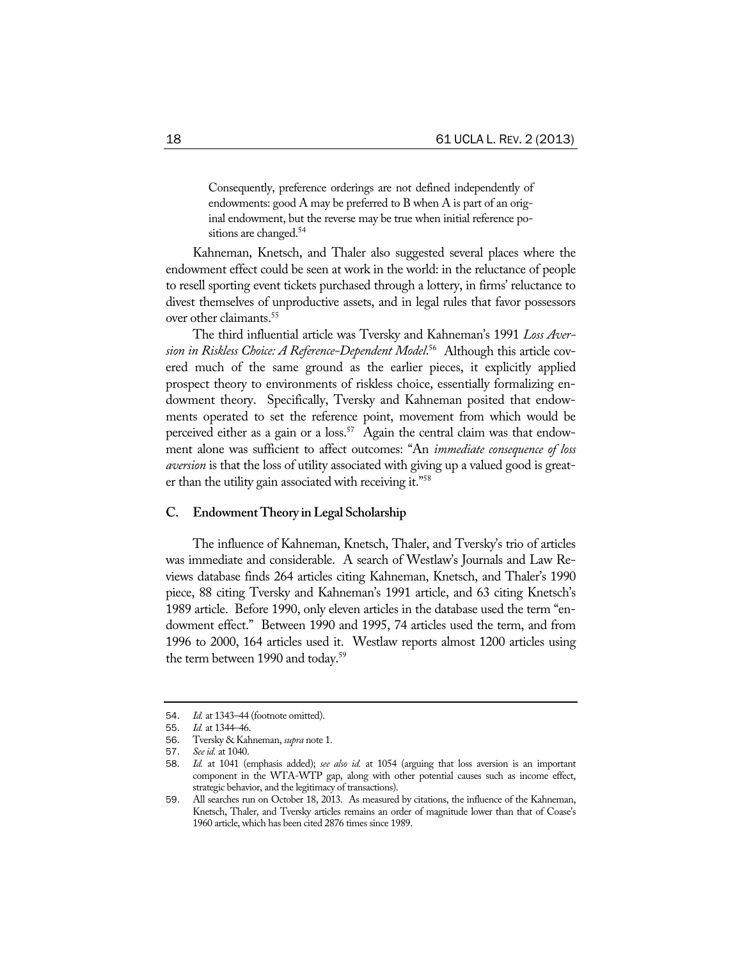Consequently, preference orderings are not defined independently of endowments: good A may be preferred to B when A is part of an original endowment, but the reverse may be true when initial reference positions are changed.<sup>54</sup>

Kahneman, Knetsch, and Thaler also suggested several places where the endowment effect could be seen at work in the world: in the reluctance of people to resell sporting event tickets purchased through a lottery, in firms' reluctance to divest themselves of unproductive assets, and in legal rules that favor possessors over other claimants.55

The third influential article was Tversky and Kahneman's 1991 *Loss Aversion in Riskless Choice: A Reference-Dependent Model*. 56 Although this article covered much of the same ground as the earlier pieces, it explicitly applied prospect theory to environments of riskless choice, essentially formalizing endowment theory. Specifically, Tversky and Kahneman posited that endowments operated to set the reference point, movement from which would be perceived either as a gain or a loss.<sup>57</sup> Again the central claim was that endowment alone was sufficient to affect outcomes: "An *immediate consequence of loss aversion* is that the loss of utility associated with giving up a valued good is greater than the utility gain associated with receiving it."58

# **C. Endowment Theory in Legal Scholarship**

The influence of Kahneman, Knetsch, Thaler, and Tversky's trio of articles was immediate and considerable. A search of Westlaw's Journals and Law Reviews database finds 264 articles citing Kahneman, Knetsch, and Thaler's 1990 piece, 88 citing Tversky and Kahneman's 1991 article, and 63 citing Knetsch's 1989 article. Before 1990, only eleven articles in the database used the term "endowment effect." Between 1990 and 1995, 74 articles used the term, and from 1996 to 2000, 164 articles used it. Westlaw reports almost 1200 articles using the term between 1990 and today.<sup>59</sup>

<sup>54</sup>. *Id.* at 1343–44 (footnote omitted).

<sup>55</sup>. *Id.* at 1344–46.

<sup>56</sup>. Tversky & Kahneman, *supra* note 1.

<sup>57</sup>. *See id.* at 1040.

<sup>58</sup>. *Id.* at 1041 (emphasis added); *see also id.* at 1054 (arguing that loss aversion is an important component in the WTA-WTP gap, along with other potential causes such as income effect, strategic behavior, and the legitimacy of transactions).

<sup>59</sup>. All searches run on October 18, 2013. As measured by citations, the influence of the Kahneman, Knetsch, Thaler, and Tversky articles remains an order of magnitude lower than that of Coase's 1960 article, which has been cited 2876 times since 1989.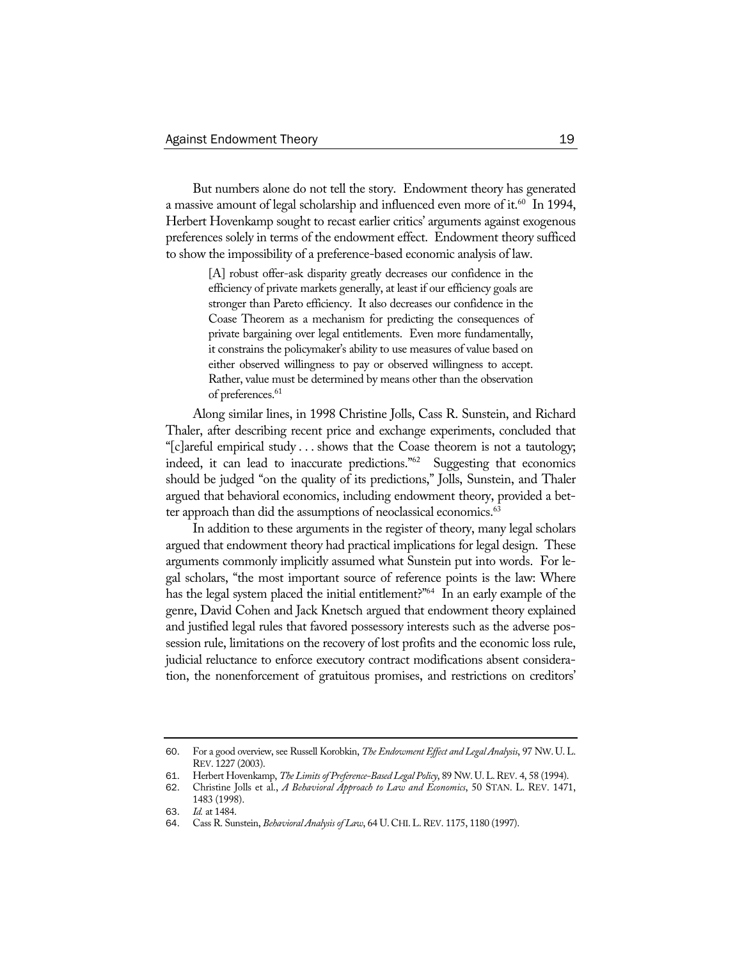But numbers alone do not tell the story. Endowment theory has generated a massive amount of legal scholarship and influenced even more of it.<sup>60</sup> In 1994, Herbert Hovenkamp sought to recast earlier critics' arguments against exogenous preferences solely in terms of the endowment effect. Endowment theory sufficed to show the impossibility of a preference-based economic analysis of law.

> [A] robust offer-ask disparity greatly decreases our confidence in the efficiency of private markets generally, at least if our efficiency goals are stronger than Pareto efficiency. It also decreases our confidence in the Coase Theorem as a mechanism for predicting the consequences of private bargaining over legal entitlements. Even more fundamentally, it constrains the policymaker's ability to use measures of value based on either observed willingness to pay or observed willingness to accept. Rather, value must be determined by means other than the observation of preferences.<sup>61</sup>

Along similar lines, in 1998 Christine Jolls, Cass R. Sunstein, and Richard Thaler, after describing recent price and exchange experiments, concluded that "[c]areful empirical study . . . shows that the Coase theorem is not a tautology; indeed, it can lead to inaccurate predictions."62 Suggesting that economics should be judged "on the quality of its predictions," Jolls, Sunstein, and Thaler argued that behavioral economics, including endowment theory, provided a better approach than did the assumptions of neoclassical economics.<sup>63</sup>

In addition to these arguments in the register of theory, many legal scholars argued that endowment theory had practical implications for legal design. These arguments commonly implicitly assumed what Sunstein put into words. For legal scholars, "the most important source of reference points is the law: Where has the legal system placed the initial entitlement?"<sup>64</sup> In an early example of the genre, David Cohen and Jack Knetsch argued that endowment theory explained and justified legal rules that favored possessory interests such as the adverse possession rule, limitations on the recovery of lost profits and the economic loss rule, judicial reluctance to enforce executory contract modifications absent consideration, the nonenforcement of gratuitous promises, and restrictions on creditors'

<sup>60</sup>. For a good overview, see Russell Korobkin, *The Endowment Effect and Legal Analysis*, 97 NW. U.L. REV. 1227 (2003).

<sup>61</sup>. Herbert Hovenkamp, *The Limits of Preference-Based Legal Policy*, 89 NW.U.L.REV. 4, 58 (1994).

<sup>62</sup>. Christine Jolls et al., *A Behavioral Approach to Law and Economics*, 50 STAN. L. REV. 1471, 1483 (1998).

<sup>63</sup>. *Id.* at 1484.

<sup>64</sup>. Cass R. Sunstein, *Behavioral Analysis of Law*, 64 U.CHI.L.REV. 1175, 1180 (1997).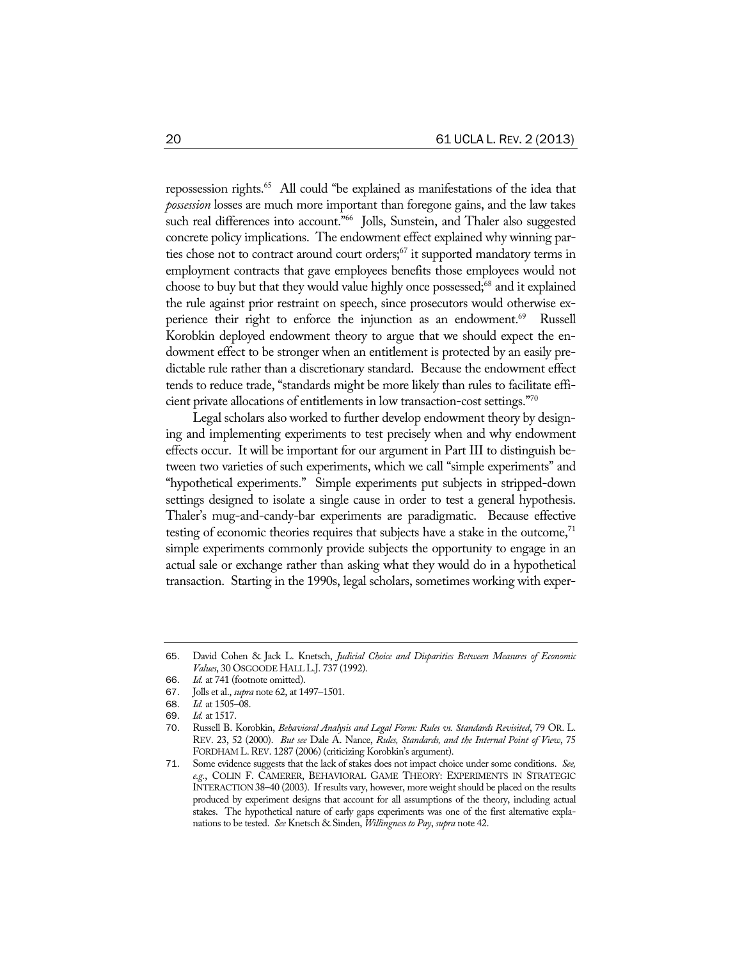repossession rights.65 All could "be explained as manifestations of the idea that *possession* losses are much more important than foregone gains, and the law takes such real differences into account."<sup>66</sup> Jolls, Sunstein, and Thaler also suggested concrete policy implications. The endowment effect explained why winning parties chose not to contract around court orders;<sup>67</sup> it supported mandatory terms in employment contracts that gave employees benefits those employees would not choose to buy but that they would value highly once possessed;<sup>68</sup> and it explained the rule against prior restraint on speech, since prosecutors would otherwise experience their right to enforce the injunction as an endowment.<sup>69</sup> Russell Korobkin deployed endowment theory to argue that we should expect the endowment effect to be stronger when an entitlement is protected by an easily predictable rule rather than a discretionary standard. Because the endowment effect tends to reduce trade, "standards might be more likely than rules to facilitate efficient private allocations of entitlements in low transaction-cost settings."70

Legal scholars also worked to further develop endowment theory by designing and implementing experiments to test precisely when and why endowment effects occur. It will be important for our argument in Part III to distinguish between two varieties of such experiments, which we call "simple experiments" and "hypothetical experiments." Simple experiments put subjects in stripped-down settings designed to isolate a single cause in order to test a general hypothesis. Thaler's mug-and-candy-bar experiments are paradigmatic. Because effective testing of economic theories requires that subjects have a stake in the outcome, $71$ simple experiments commonly provide subjects the opportunity to engage in an actual sale or exchange rather than asking what they would do in a hypothetical transaction. Starting in the 1990s, legal scholars, sometimes working with exper-

<sup>65</sup>. David Cohen & Jack L. Knetsch, *Judicial Choice and Disparities Between Measures of Economic Values*, 30 OSGOODE HALL L.J. 737 (1992).

<sup>66.</sup> *Id.* at 741 (footnote omitted).<br>67. Jolls et al., *supra* note 62, at 14

<sup>67</sup>. Jolls et al., *supra* note 62, at 1497–1501.

<sup>68</sup>. *Id.* at 1505–08.

<sup>69</sup>. *Id.* at 1517.

<sup>70</sup>. Russell B. Korobkin, *Behavioral Analysis and Legal Form: Rules vs. Standards Revisited*, 79 OR. L. REV. 23, 52 (2000). *But see* Dale A. Nance, *Rules, Standards, and the Internal Point of View*, 75 FORDHAM L.REV. 1287 (2006) (criticizing Korobkin's argument).

<sup>71</sup>. Some evidence suggests that the lack of stakes does not impact choice under some conditions. *See, e.g.*, COLIN F. CAMERER, BEHAVIORAL GAME THEORY: EXPERIMENTS IN STRATEGIC INTERACTION 38–40 (2003). If results vary, however, more weight should be placed on the results produced by experiment designs that account for all assumptions of the theory, including actual stakes. The hypothetical nature of early gaps experiments was one of the first alternative explanations to be tested. *See* Knetsch & Sinden, *Willingness to Pay*, *supra* note 42.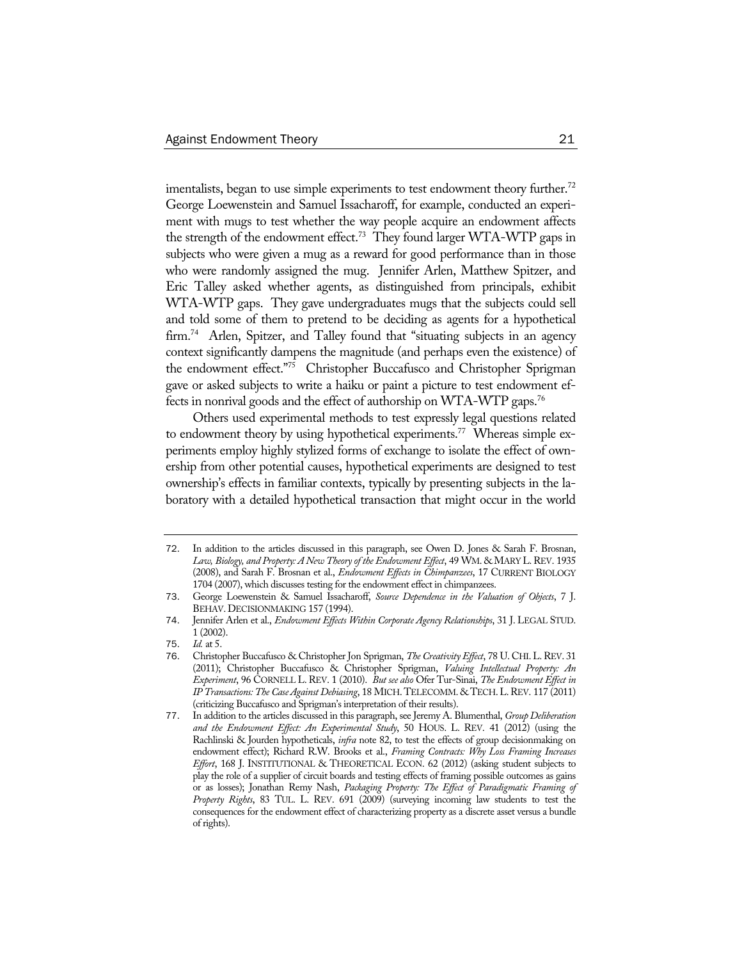imentalists, began to use simple experiments to test endowment theory further.<sup>72</sup> George Loewenstein and Samuel Issacharoff, for example, conducted an experiment with mugs to test whether the way people acquire an endowment affects the strength of the endowment effect.<sup>73</sup> They found larger WTA-WTP gaps in subjects who were given a mug as a reward for good performance than in those who were randomly assigned the mug. Jennifer Arlen, Matthew Spitzer, and Eric Talley asked whether agents, as distinguished from principals, exhibit WTA-WTP gaps. They gave undergraduates mugs that the subjects could sell and told some of them to pretend to be deciding as agents for a hypothetical firm.<sup>74</sup> Arlen, Spitzer, and Talley found that "situating subjects in an agency context significantly dampens the magnitude (and perhaps even the existence) of the endowment effect."75 Christopher Buccafusco and Christopher Sprigman gave or asked subjects to write a haiku or paint a picture to test endowment effects in nonrival goods and the effect of authorship on WTA-WTP gaps.76

Others used experimental methods to test expressly legal questions related to endowment theory by using hypothetical experiments.<sup>77</sup> Whereas simple experiments employ highly stylized forms of exchange to isolate the effect of ownership from other potential causes, hypothetical experiments are designed to test ownership's effects in familiar contexts, typically by presenting subjects in the laboratory with a detailed hypothetical transaction that might occur in the world

<sup>72</sup>. In addition to the articles discussed in this paragraph, see Owen D. Jones & Sarah F. Brosnan, Law, Biology, and Property: A New Theory of the Endowment Effect, 49 WM. & MARY L. REV. 1935 (2008), and Sarah F. Brosnan et al., *Endowment Effects in Chimpanzees*, 17 CURRENT BIOLOGY 1704 (2007), which discusses testing for the endowment effect in chimpanzees.

<sup>73</sup>. George Loewenstein & Samuel Issacharoff, *Source Dependence in the Valuation of Objects*, 7 J. BEHAV. DECISIONMAKING 157 (1994).

<sup>74</sup>. Jennifer Arlen et al., *Endowment Effects Within Corporate Agency Relationships*, 31 J. LEGAL STUD. 1 (2002).

<sup>75</sup>. *Id.* at 5.

<sup>76</sup>. Christopher Buccafusco & Christopher Jon Sprigman, *The Creativity Effect*, 78 U. CHI.L.REV. 31 (2011); Christopher Buccafusco & Christopher Sprigman, *Valuing Intellectual Property: An Experiment*, 96 CORNELL L. REV. 1 (2010). *But see also* Ofer Tur-Sinai, *The Endowment Effect in IP Transactions: The Case Against Debiasing*, 18 MICH. TELECOMM. & TECH.L.REV. 117 (2011) (criticizing Buccafusco and Sprigman's interpretation of their results).

<sup>77</sup>. In addition to the articles discussed in this paragraph, see Jeremy A. Blumenthal, *Group Deliberation and the Endowment Effect: An Experimental Study*, 50 HOUS. L. REV. 41 (2012) (using the Rachlinski & Jourden hypotheticals, *infra* note 82, to test the effects of group decisionmaking on endowment effect); Richard R.W. Brooks et al., *Framing Contracts: Why Loss Framing Increases Effort*, 168 J. INSTITUTIONAL & THEORETICAL ECON. 62 (2012) (asking student subjects to play the role of a supplier of circuit boards and testing effects of framing possible outcomes as gains or as losses); Jonathan Remy Nash, *Packaging Property: The Effect of Paradigmatic Framing of Property Rights*, 83 TUL. L. REV. 691 (2009) (surveying incoming law students to test the consequences for the endowment effect of characterizing property as a discrete asset versus a bundle of rights).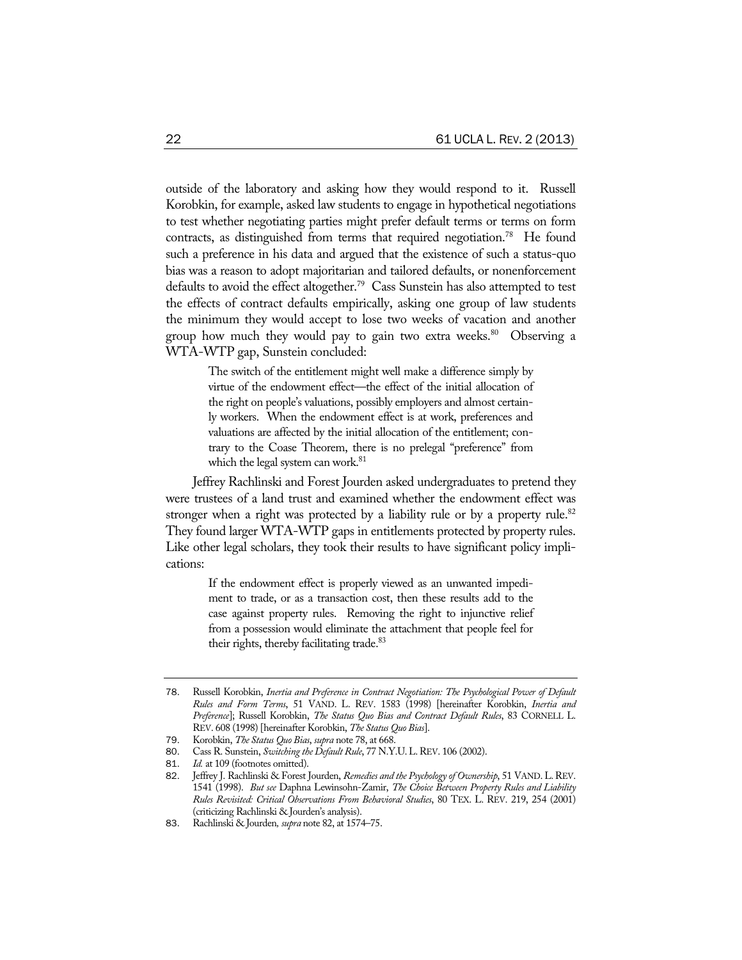outside of the laboratory and asking how they would respond to it. Russell Korobkin, for example, asked law students to engage in hypothetical negotiations to test whether negotiating parties might prefer default terms or terms on form contracts, as distinguished from terms that required negotiation.<sup>78</sup> He found such a preference in his data and argued that the existence of such a status-quo bias was a reason to adopt majoritarian and tailored defaults, or nonenforcement defaults to avoid the effect altogether.<sup>79</sup> Cass Sunstein has also attempted to test the effects of contract defaults empirically, asking one group of law students the minimum they would accept to lose two weeks of vacation and another group how much they would pay to gain two extra weeks.<sup>80</sup> Observing a WTA-WTP gap, Sunstein concluded:

> The switch of the entitlement might well make a difference simply by virtue of the endowment effect—the effect of the initial allocation of the right on people's valuations, possibly employers and almost certainly workers. When the endowment effect is at work, preferences and valuations are affected by the initial allocation of the entitlement; contrary to the Coase Theorem, there is no prelegal "preference" from which the legal system can work.<sup>81</sup>

Jeffrey Rachlinski and Forest Jourden asked undergraduates to pretend they were trustees of a land trust and examined whether the endowment effect was stronger when a right was protected by a liability rule or by a property rule.<sup>82</sup> They found larger WTA-WTP gaps in entitlements protected by property rules. Like other legal scholars, they took their results to have significant policy implications:

> If the endowment effect is properly viewed as an unwanted impediment to trade, or as a transaction cost, then these results add to the case against property rules. Removing the right to injunctive relief from a possession would eliminate the attachment that people feel for their rights, thereby facilitating trade.<sup>83</sup>

<sup>78</sup>. Russell Korobkin, *Inertia and Preference in Contract Negotiation: The Psychological Power of Default Rules and Form Terms*, 51 VAND. L. REV. 1583 (1998) [hereinafter Korobkin, *Inertia and Preference*]; Russell Korobkin, *The Status Quo Bias and Contract Default Rules*, 83 CORNELL L. REV. 608 (1998) [hereinafter Korobkin, *The Status Quo Bias*].

<sup>79</sup>. Korobkin, *The Status Quo Bias*, *supra* note 78, at 668.

<sup>80.</sup> Cass R. Sunstein, *Switching the Default Rule*, 77 N.Y.U. L. REV. 106 (2002).

<sup>81</sup>. *Id.* at 109 (footnotes omitted).

<sup>82.</sup> Jeffrey J. Rachlinski & Forest Jourden, *Remedies and the Psychology of Ownership*, 51 VAND. L. REV. 1541 (1998). *But see* Daphna Lewinsohn-Zamir, *The Choice Between Property Rules and Liability Rules Revisited: Critical Observations From Behavioral Studies*, 80 TEX. L. REV. 219, 254 (2001) (criticizing Rachlinski & Jourden's analysis).

<sup>83</sup>. Rachlinski & Jourden*, supra* note 82, at 1574–75.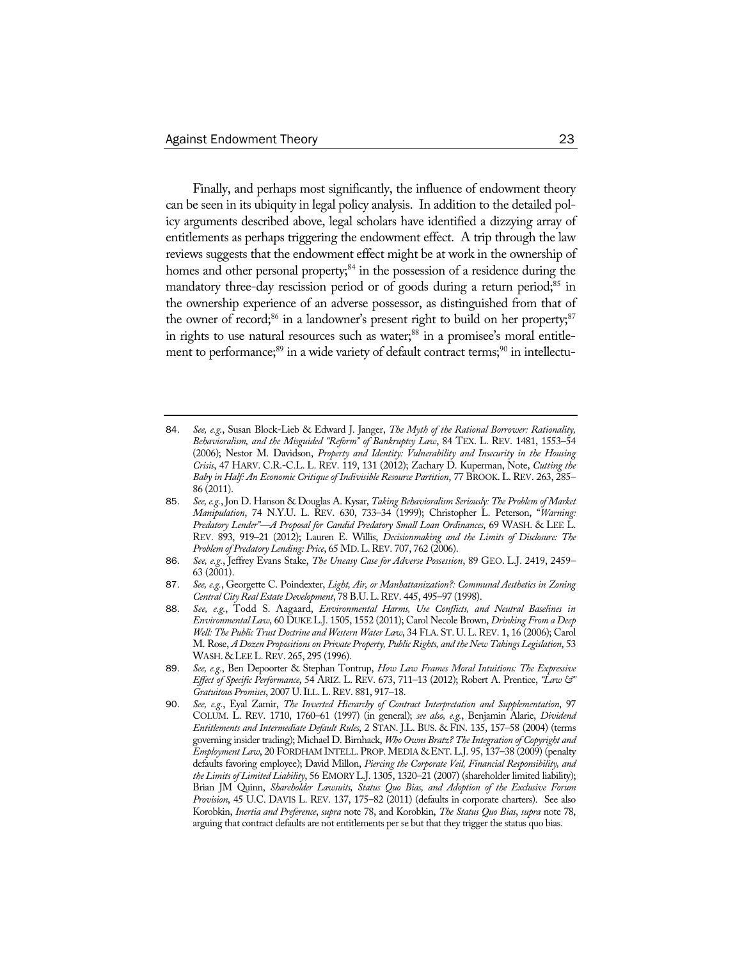Finally, and perhaps most significantly, the influence of endowment theory can be seen in its ubiquity in legal policy analysis. In addition to the detailed policy arguments described above, legal scholars have identified a dizzying array of entitlements as perhaps triggering the endowment effect. A trip through the law reviews suggests that the endowment effect might be at work in the ownership of homes and other personal property; $84$  in the possession of a residence during the mandatory three-day rescission period or of goods during a return period;<sup>85</sup> in the ownership experience of an adverse possessor, as distinguished from that of the owner of record;<sup>86</sup> in a landowner's present right to build on her property;<sup>87</sup> in rights to use natural resources such as water;<sup>88</sup> in a promisee's moral entitlement to performance;<sup>89</sup> in a wide variety of default contract terms;<sup>90</sup> in intellectu-

- 86. *See, e.g.*, Jeffrey Evans Stake, *The Uneasy Case for Adverse Possession*, 89 GEO. L.J. 2419, 2459– 63 (2001).
- 87. *See, e.g.*, Georgette C. Poindexter, *Light, Air, or Manhattanization?: Communal Aesthetics in Zoning Central City Real Estate Development*, 78 B.U.L.REV. 445, 495–97 (1998).
- 88. *See, e.g.*, Todd S. Aagaard, *Environmental Harms, Use Conflicts, and Neutral Baselines in Environmental Law*, 60 DUKE L.J. 1505, 1552 (2011); Carol Necole Brown, *Drinking From a Deep Well: The Public Trust Doctrine and Western Water Law*, 34 FLA. ST. U. L.REV. 1, 16 (2006); Carol M. Rose, *A Dozen Propositions on Private Property, Public Rights, and the New Takings Legislation*, 53 WASH. & LEE L. REV. 265, 295 (1996).
- 89. *See, e.g.*, Ben Depoorter & Stephan Tontrup, *How Law Frames Moral Intuitions: The Expressive Effect of Specific Performance*, 54 ARIZ. L. REV. 673, 711–13 (2012); Robert A. Prentice, *"Law &" Gratuitous Promises*, 2007 U.ILL.L.REV. 881, 917–18.
- 90. *See, e.g.*, Eyal Zamir, *The Inverted Hierarchy of Contract Interpretation and Supplementation*, 97 COLUM. L. REV. 1710, 1760–61 (1997) (in general); *see also, e.g.*, Benjamin Alarie, *Dividend Entitlements and Intermediate Default Rules*, 2 STAN. J.L. BUS. & FIN. 135, 157–58 (2004) (terms governing insider trading); Michael D. Birnhack, *Who Owns Bratz? The Integration of Copyright and Employment Law*, 20 FORDHAM INTELL. PROP.MEDIA & ENT. L.J. 95, 137–38 (2009) (penalty defaults favoring employee); David Millon, *Piercing the Corporate Veil, Financial Responsibility, and the Limits of Limited Liability*, 56 EMORY L.J. 1305, 1320–21 (2007) (shareholder limited liability); Brian JM Quinn, *Shareholder Lawsuits, Status Quo Bias, and Adoption of the Exclusive Forum Provision*, 45 U.C. DAVIS L. REV. 137, 175–82 (2011) (defaults in corporate charters). See also Korobkin, *Inertia and Preference*, *supra* note 78, and Korobkin, *The Status Quo Bias*, *supra* note 78, arguing that contract defaults are not entitlements per se but that they trigger the status quo bias.

<sup>84</sup>. *See, e.g.*, Susan Block-Lieb & Edward J. Janger, *The Myth of the Rational Borrower: Rationality, Behavioralism, and the Misguided "Reform" of Bankruptcy Law*, 84 TEX. L. REV. 1481, 1553–54 (2006); Nestor M. Davidson, *Property and Identity: Vulnerability and Insecurity in the Housing Crisis*, 47 HARV. C.R.-C.L. L. REV. 119, 131 (2012); Zachary D. Kuperman, Note, *Cutting the Baby in Half: An Economic Critique of Indivisible Resource Partition*, 77 BROOK. L. REV. 263, 285– 86 (2011).

<sup>85</sup>. *See, e.g.*, Jon D. Hanson & Douglas A. Kysar, *Taking Behavioralism Seriously: The Problem of Market Manipulation*, 74 N.Y.U. L. REV. 630, 733–34 (1999); Christopher L. Peterson, "*Warning: Predatory Lender"—A Proposal for Candid Predatory Small Loan Ordinances*, 69 WASH. & LEE L. REV. 893, 919–21 (2012); Lauren E. Willis, *Decisionmaking and the Limits of Disclosure: The Problem of Predatory Lending: Price*, 65 MD.L.REV. 707, 762 (2006).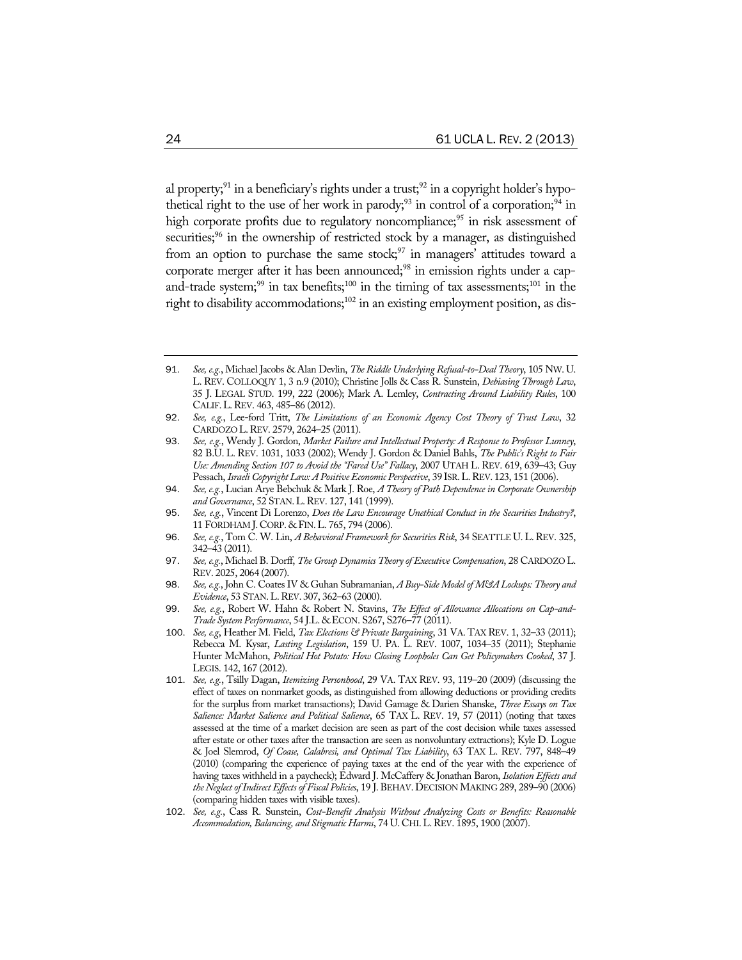al property;<sup>91</sup> in a beneficiary's rights under a trust;<sup>92</sup> in a copyright holder's hypothetical right to the use of her work in parody;<sup>93</sup> in control of a corporation;<sup>94</sup> in high corporate profits due to regulatory noncompliance;<sup>95</sup> in risk assessment of securities;<sup>96</sup> in the ownership of restricted stock by a manager, as distinguished from an option to purchase the same stock; $97$  in managers' attitudes toward a corporate merger after it has been announced;<sup>98</sup> in emission rights under a capand-trade system;<sup>99</sup> in tax benefits;<sup>100</sup> in the timing of tax assessments;<sup>101</sup> in the right to disability accommodations; $102$  in an existing employment position, as dis-

- 91. *See, e.g.*, Michael Jacobs & Alan Devlin, *The Riddle Underlying Refusal-to-Deal Theory*, 105 NW. U. L. REV. COLLOQUY 1, 3 n.9 (2010); Christine Jolls & Cass R. Sunstein, *Debiasing Through Law*, 35 J. LEGAL STUD. 199, 222 (2006); Mark A. Lemley, *Contracting Around Liability Rules*, 100 CALIF.L.REV. 463, 485–86 (2012).
- 92. *See, e.g.*, Lee-ford Tritt, *The Limitations of an Economic Agency Cost Theory of Trust Law*, 32 CARDOZO L.REV. 2579, 2624–25 (2011).
- 93. *See, e.g.*, Wendy J. Gordon, *Market Failure and Intellectual Property: A Response to Professor Lunney*, 82 B.U. L. REV. 1031, 1033 (2002); Wendy J. Gordon & Daniel Bahls, *The Public's Right to Fair Use: Amending Section 107 to Avoid the "Fared Use" Fallacy*, 2007 UTAH L. REV. 619, 639–43; Guy Pessach, Israeli Copyright Law: A Positive Economic Perspective, 39 ISR. L. REV. 123, 151 (2006).
- 94. *See, e.g.*, Lucian Arye Bebchuk & Mark J. Roe, *A Theory of Path Dependence in Corporate Ownership and Governance*, 52 STAN.L.REV. 127, 141 (1999).
- 95. *See, e.g.*, Vincent Di Lorenzo, *Does the Law Encourage Unethical Conduct in the Securities Industry?*, 11 FORDHAM J.CORP. & FIN.L. 765, 794 (2006).
- 96. *See, e.g.*, Tom C. W. Lin, *A Behavioral Framework for Securities Risk*, 34 SEATTLE U. L. REV. 325, 342–43 (2011).
- 97. *See, e.g.*, Michael B. Dorff, *The Group Dynamics Theory of Executive Compensation*, 28 CARDOZO L. REV. 2025, 2064 (2007).
- 98. *See, e.g.*, John C. Coates IV & Guhan Subramanian, *A Buy-Side Model of M&A Lockups: Theory and Evidence*, 53 STAN.L.REV. 307, 362–63 (2000).
- 99. *See, e.g.*, Robert W. Hahn & Robert N. Stavins, *The Effect of Allowance Allocations on Cap-and-Trade System Performance*, 54 J.L. & ECON. S267, S276–77 (2011).
- 100. *See, e.g*, Heather M. Field, *Tax Elections & Private Bargaining*, 31 VA. TAX REV. 1, 32–33 (2011); Rebecca M. Kysar, *Lasting Legislation*, 159 U. PA. L. REV. 1007, 1034–35 (2011); Stephanie Hunter McMahon, *Political Hot Potato: How Closing Loopholes Can Get Policymakers Cooked*, 37 J. LEGIS. 142, 167 (2012).
- 101. *See, e.g.*, Tsilly Dagan, *Itemizing Personhood*, 29 VA. TAX REV. 93, 119–20 (2009) (discussing the effect of taxes on nonmarket goods, as distinguished from allowing deductions or providing credits for the surplus from market transactions); David Gamage & Darien Shanske, *Three Essays on Tax Salience: Market Salience and Political Salience*, 65 TAX L. REV. 19, 57 (2011) (noting that taxes assessed at the time of a market decision are seen as part of the cost decision while taxes assessed after estate or other taxes after the transaction are seen as nonvoluntary extractions); Kyle D. Logue & Joel Slemrod, *Of Coase, Calabresi, and Optimal Tax Liability*, 63 TAX L. REV. 797, 848–49 (2010) (comparing the experience of paying taxes at the end of the year with the experience of having taxes withheld in a paycheck); Edward J. McCaffery & Jonathan Baron, *Isolation Effects and the Neglect of Indirect Effects of Fiscal Policies*, 19 J.BEHAV. DECISION MAKING 289, 289–90 (2006) (comparing hidden taxes with visible taxes).
- 102. *See, e.g.*, Cass R. Sunstein, *Cost-Benefit Analysis Without Analyzing Costs or Benefits: Reasonable Accommodation, Balancing, and Stigmatic Harms*, 74 U.CHI.L.REV. 1895, 1900 (2007).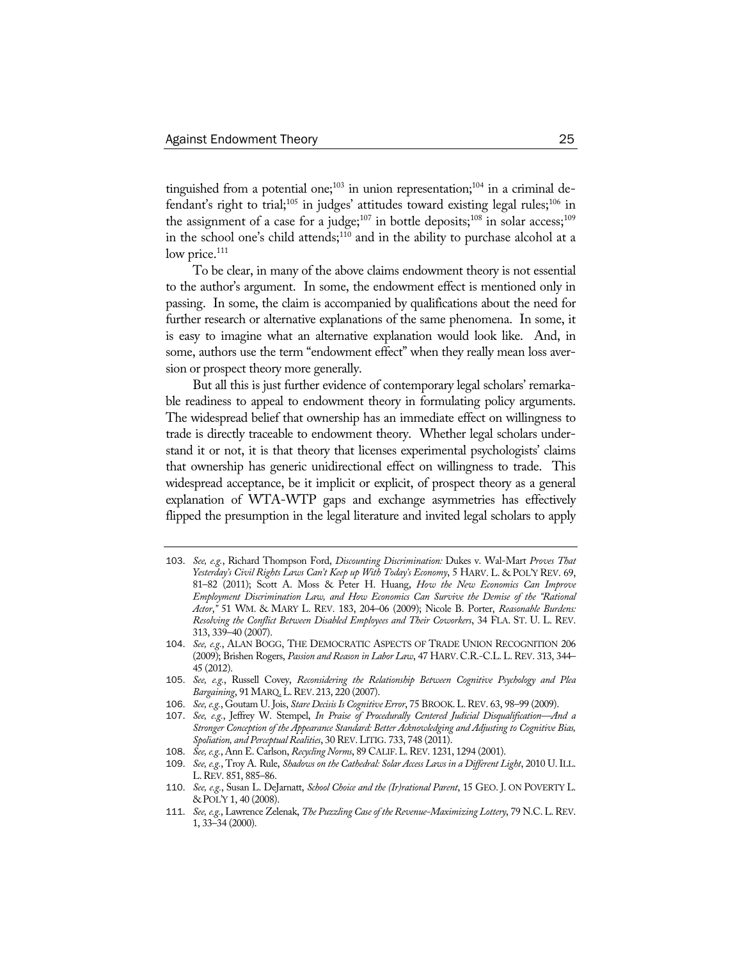tinguished from a potential one;<sup>103</sup> in union representation;<sup>104</sup> in a criminal defendant's right to trial;<sup>105</sup> in judges' attitudes toward existing legal rules;<sup>106</sup> in the assignment of a case for a judge;<sup>107</sup> in bottle deposits;<sup>108</sup> in solar access;<sup>109</sup> in the school one's child attends; $110$  and in the ability to purchase alcohol at a low price. $111$ 

To be clear, in many of the above claims endowment theory is not essential to the author's argument. In some, the endowment effect is mentioned only in passing. In some, the claim is accompanied by qualifications about the need for further research or alternative explanations of the same phenomena. In some, it is easy to imagine what an alternative explanation would look like. And, in some, authors use the term "endowment effect" when they really mean loss aversion or prospect theory more generally.

But all this is just further evidence of contemporary legal scholars' remarkable readiness to appeal to endowment theory in formulating policy arguments. The widespread belief that ownership has an immediate effect on willingness to trade is directly traceable to endowment theory. Whether legal scholars understand it or not, it is that theory that licenses experimental psychologists' claims that ownership has generic unidirectional effect on willingness to trade. This widespread acceptance, be it implicit or explicit, of prospect theory as a general explanation of WTA-WTP gaps and exchange asymmetries has effectively flipped the presumption in the legal literature and invited legal scholars to apply

<sup>103</sup>. *See, e.g.*, Richard Thompson Ford, *Discounting Discrimination:* Dukes v. Wal-Mart *Proves That Yesterday's Civil Rights Laws Can't Keep up With Today's Economy*, 5 HARV. L. & POL'Y REV. 69, 81–82 (2011); Scott A. Moss & Peter H. Huang, *How the New Economics Can Improve Employment Discrimination Law, and How Economics Can Survive the Demise of the "Rational Actor*,*"* 51 WM. & MARY L. REV. 183, 204–06 (2009); Nicole B. Porter, *Reasonable Burdens: Resolving the Conflict Between Disabled Employees and Their Coworkers*, 34 FLA. ST. U. L. REV. 313, 339–40 (2007).

<sup>104</sup>. *See, e.g.*, ALAN BOGG, THE DEMOCRATIC ASPECTS OF TRADE UNION RECOGNITION 206 (2009); Brishen Rogers, *Passion and Reason in Labor Law*, 47 HARV. C.R.-C.L. L. REV. 313, 344– 45 (2012).

<sup>105</sup>. *See, e.g.*, Russell Covey, *Reconsidering the Relationship Between Cognitive Psychology and Plea Bargaining*, 91MARQ.L.REV. 213, 220 (2007).

<sup>106</sup>. *See, e.g.*, Goutam U. Jois, *Stare Decisis Is Cognitive Error*, 75 BROOK.L.REV. 63, 98–99 (2009).

<sup>107</sup>. *See, e.g.*, Jeffrey W. Stempel, *In Praise of Procedurally Centered Judicial Disqualification—And a Stronger Conception of the Appearance Standard: Better Acknowledging and Adjusting to Cognitive Bias, Spoliation, and Perceptual Realities*, 30 REV.LITIG. 733, 748 (2011).

<sup>108</sup>. *See, e.g.*, Ann E. Carlson, *Recycling Norms*, 89 CALIF.L.REV. 1231, 1294 (2001).

<sup>109</sup>. *See, e.g.*, Troy A. Rule, *Shadows on the Cathedral: Solar Access Laws in a Different Light*, 2010 U.ILL. L.REV. 851, 885–86.

<sup>110</sup>. *See, e.g.*, Susan L. DeJarnatt, *School Choice and the (Ir)rational Parent*, 15 GEO. J. ON POVERTY L. & POL'Y 1, 40 (2008).

<sup>111</sup>. *See, e.g.*, Lawrence Zelenak, *The Puzzling Case of the Revenue-Maximizing Lottery*, 79 N.C.L.REV. 1, 33–34 (2000).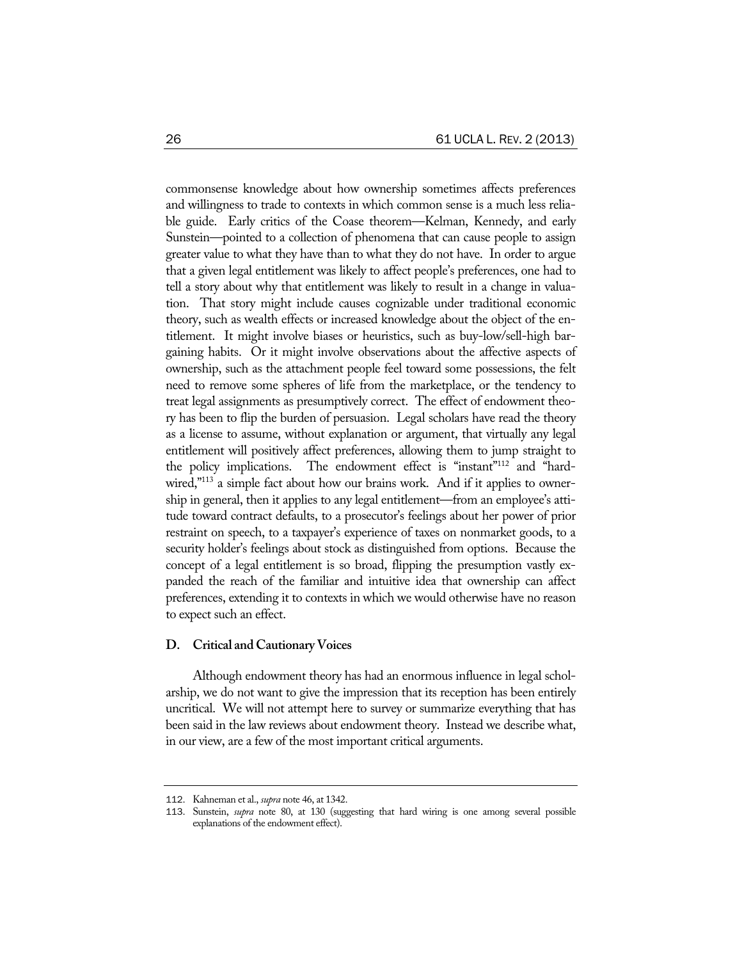commonsense knowledge about how ownership sometimes affects preferences and willingness to trade to contexts in which common sense is a much less reliable guide. Early critics of the Coase theorem—Kelman, Kennedy, and early Sunstein—pointed to a collection of phenomena that can cause people to assign greater value to what they have than to what they do not have. In order to argue that a given legal entitlement was likely to affect people's preferences, one had to tell a story about why that entitlement was likely to result in a change in valuation. That story might include causes cognizable under traditional economic theory, such as wealth effects or increased knowledge about the object of the entitlement. It might involve biases or heuristics, such as buy-low/sell-high bargaining habits. Or it might involve observations about the affective aspects of ownership, such as the attachment people feel toward some possessions, the felt need to remove some spheres of life from the marketplace, or the tendency to treat legal assignments as presumptively correct. The effect of endowment theory has been to flip the burden of persuasion. Legal scholars have read the theory as a license to assume, without explanation or argument, that virtually any legal entitlement will positively affect preferences, allowing them to jump straight to the policy implications. The endowment effect is "instant"112 and "hardwired,"<sup>113</sup> a simple fact about how our brains work. And if it applies to ownership in general, then it applies to any legal entitlement—from an employee's attitude toward contract defaults, to a prosecutor's feelings about her power of prior restraint on speech, to a taxpayer's experience of taxes on nonmarket goods, to a security holder's feelings about stock as distinguished from options. Because the concept of a legal entitlement is so broad, flipping the presumption vastly expanded the reach of the familiar and intuitive idea that ownership can affect preferences, extending it to contexts in which we would otherwise have no reason to expect such an effect.

#### **D. Critical and Cautionary Voices**

Although endowment theory has had an enormous influence in legal scholarship, we do not want to give the impression that its reception has been entirely uncritical. We will not attempt here to survey or summarize everything that has been said in the law reviews about endowment theory. Instead we describe what, in our view, are a few of the most important critical arguments.

<sup>112</sup>. Kahneman et al., *supra* note 46, at 1342.

<sup>113</sup>. Sunstein, *supra* note 80, at 130 (suggesting that hard wiring is one among several possible explanations of the endowment effect).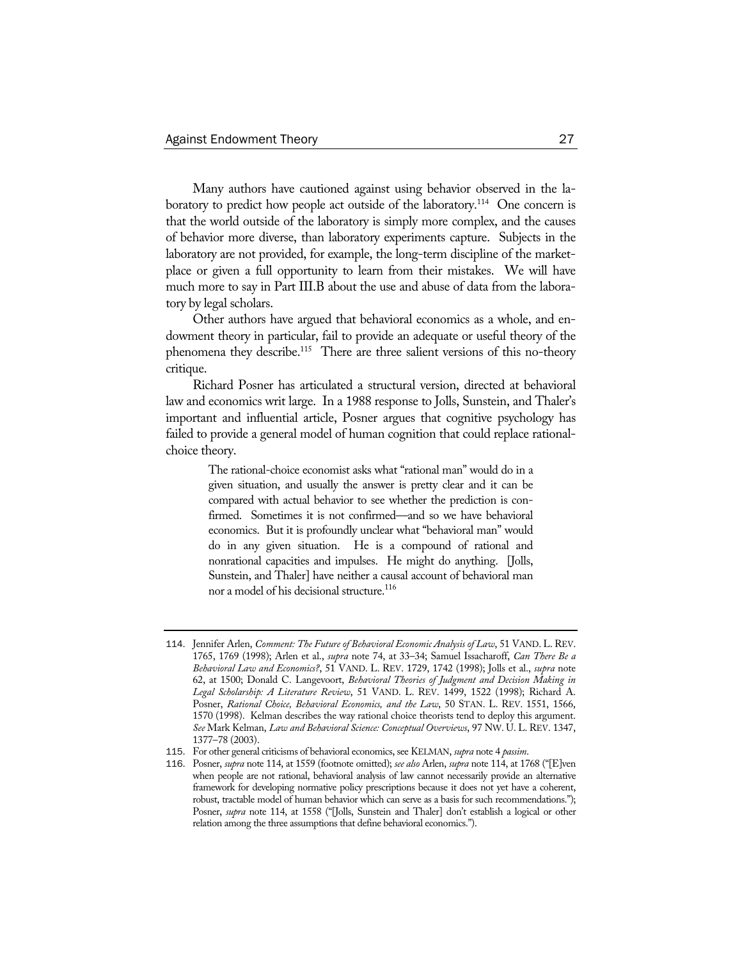Many authors have cautioned against using behavior observed in the laboratory to predict how people act outside of the laboratory.<sup>114</sup> One concern is that the world outside of the laboratory is simply more complex, and the causes of behavior more diverse, than laboratory experiments capture. Subjects in the laboratory are not provided, for example, the long-term discipline of the marketplace or given a full opportunity to learn from their mistakes. We will have much more to say in Part III.B about the use and abuse of data from the laboratory by legal scholars.

Other authors have argued that behavioral economics as a whole, and endowment theory in particular, fail to provide an adequate or useful theory of the phenomena they describe.<sup>115</sup> There are three salient versions of this no-theory critique.

Richard Posner has articulated a structural version, directed at behavioral law and economics writ large. In a 1988 response to Jolls, Sunstein, and Thaler's important and influential article, Posner argues that cognitive psychology has failed to provide a general model of human cognition that could replace rationalchoice theory.

> The rational-choice economist asks what "rational man" would do in a given situation, and usually the answer is pretty clear and it can be compared with actual behavior to see whether the prediction is confirmed. Sometimes it is not confirmed—and so we have behavioral economics. But it is profoundly unclear what "behavioral man" would do in any given situation. He is a compound of rational and nonrational capacities and impulses. He might do anything. [Jolls, Sunstein, and Thaler] have neither a causal account of behavioral man nor a model of his decisional structure.<sup>116</sup>

<sup>114</sup>. Jennifer Arlen, *Comment: The Future of Behavioral Economic Analysis of Law*, 51 VAND. L. REV. 1765, 1769 (1998); Arlen et al., *supra* note 74, at 33–34; Samuel Issacharoff, *Can There Be a Behavioral Law and Economics?*, 51 VAND. L. REV. 1729, 1742 (1998); Jolls et al., *supra* note 62, at 1500; Donald C. Langevoort, *Behavioral Theories of Judgment and Decision Making in Legal Scholarship: A Literature Review*, 51 VAND. L. REV. 1499, 1522 (1998); Richard A. Posner, *Rational Choice, Behavioral Economics, and the Law*, 50 STAN. L. REV. 1551, 1566, 1570 (1998). Kelman describes the way rational choice theorists tend to deploy this argument. *See* Mark Kelman, *Law and Behavioral Science: Conceptual Overviews*, 97 NW. U. L. REV. 1347, 1377–78 (2003).

<sup>115</sup>. For other general criticisms of behavioral economics, see KELMAN, *supra* note 4 *passim*.

<sup>116</sup>. Posner, *supra* note 114, at 1559 (footnote omitted); *see also* Arlen, *supra* note 114, at 1768 ("[E]ven when people are not rational, behavioral analysis of law cannot necessarily provide an alternative framework for developing normative policy prescriptions because it does not yet have a coherent, robust, tractable model of human behavior which can serve as a basis for such recommendations."); Posner, *supra* note 114, at 1558 ("[Jolls, Sunstein and Thaler] don't establish a logical or other relation among the three assumptions that define behavioral economics.").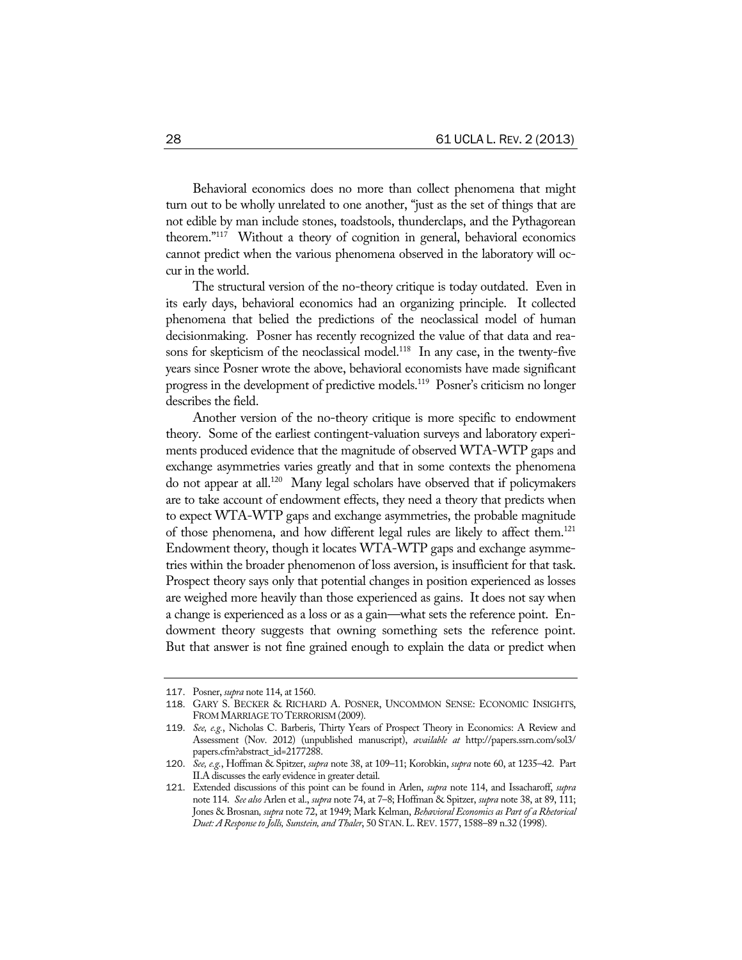Behavioral economics does no more than collect phenomena that might turn out to be wholly unrelated to one another, "just as the set of things that are not edible by man include stones, toadstools, thunderclaps, and the Pythagorean theorem."117 Without a theory of cognition in general, behavioral economics cannot predict when the various phenomena observed in the laboratory will occur in the world.

The structural version of the no-theory critique is today outdated. Even in its early days, behavioral economics had an organizing principle. It collected phenomena that belied the predictions of the neoclassical model of human decisionmaking. Posner has recently recognized the value of that data and reasons for skepticism of the neoclassical model.<sup>118</sup> In any case, in the twenty-five years since Posner wrote the above, behavioral economists have made significant progress in the development of predictive models.119 Posner's criticism no longer describes the field.

Another version of the no-theory critique is more specific to endowment theory. Some of the earliest contingent-valuation surveys and laboratory experiments produced evidence that the magnitude of observed WTA-WTP gaps and exchange asymmetries varies greatly and that in some contexts the phenomena do not appear at all.120 Many legal scholars have observed that if policymakers are to take account of endowment effects, they need a theory that predicts when to expect WTA-WTP gaps and exchange asymmetries, the probable magnitude of those phenomena, and how different legal rules are likely to affect them.<sup>121</sup> Endowment theory, though it locates WTA-WTP gaps and exchange asymmetries within the broader phenomenon of loss aversion, is insufficient for that task. Prospect theory says only that potential changes in position experienced as losses are weighed more heavily than those experienced as gains. It does not say when a change is experienced as a loss or as a gain—what sets the reference point. Endowment theory suggests that owning something sets the reference point. But that answer is not fine grained enough to explain the data or predict when

<sup>117</sup>. Posner, *supra* note 114, at 1560.

<sup>118</sup>. GARY S. BECKER & RICHARD A. POSNER, UNCOMMON SENSE: ECONOMIC INSIGHTS, FROM MARRIAGE TO TERRORISM (2009).

<sup>119</sup>. *See, e.g.*, Nicholas C. Barberis, Thirty Years of Prospect Theory in Economics: A Review and Assessment (Nov. 2012) (unpublished manuscript), *available at* http://papers.ssrn.com/sol3/ papers.cfm?abstract\_id=2177288.

<sup>120</sup>. *See, e.g.*, Hoffman & Spitzer, *supra* note 38, at 109–11; Korobkin, *supra* note 60, at 1235–42. Part II.A discusses the early evidence in greater detail.

<sup>121</sup>. Extended discussions of this point can be found in Arlen, *supra* note 114, and Issacharoff, *supra* note 114. *See also* Arlen et al., *supra* note 74, at 7–8; Hoffman & Spitzer, *supra* note 38, at 89, 111; Jones & Brosnan*, supra* note 72, at 1949; Mark Kelman, *Behavioral Economics as Part of a Rhetorical Duet: A Response to Jolls, Sunstein, and Thaler*, 50 STAN.L.REV. 1577, 1588–89 n.32 (1998).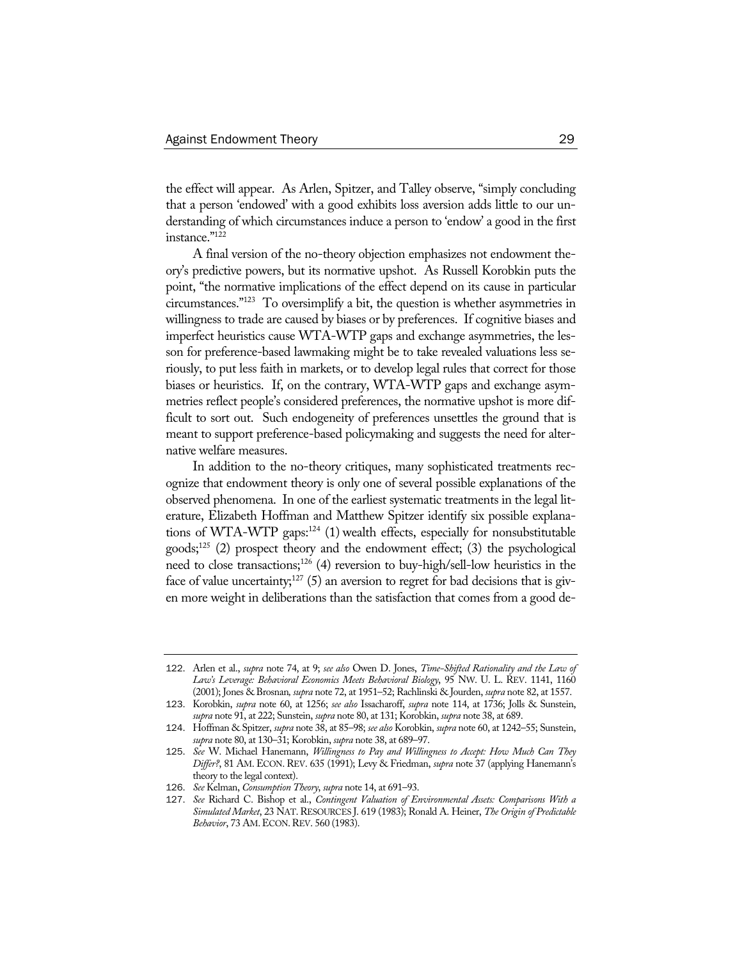the effect will appear. As Arlen, Spitzer, and Talley observe, "simply concluding that a person 'endowed' with a good exhibits loss aversion adds little to our understanding of which circumstances induce a person to 'endow' a good in the first instance."122

A final version of the no-theory objection emphasizes not endowment theory's predictive powers, but its normative upshot. As Russell Korobkin puts the point, "the normative implications of the effect depend on its cause in particular circumstances."123 To oversimplify a bit, the question is whether asymmetries in willingness to trade are caused by biases or by preferences. If cognitive biases and imperfect heuristics cause WTA-WTP gaps and exchange asymmetries, the lesson for preference-based lawmaking might be to take revealed valuations less seriously, to put less faith in markets, or to develop legal rules that correct for those biases or heuristics. If, on the contrary, WTA-WTP gaps and exchange asymmetries reflect people's considered preferences, the normative upshot is more difficult to sort out. Such endogeneity of preferences unsettles the ground that is meant to support preference-based policymaking and suggests the need for alternative welfare measures.

In addition to the no-theory critiques, many sophisticated treatments recognize that endowment theory is only one of several possible explanations of the observed phenomena. In one of the earliest systematic treatments in the legal literature, Elizabeth Hoffman and Matthew Spitzer identify six possible explanations of WTA-WTP gaps:<sup>124</sup> (1) wealth effects, especially for nonsubstitutable goods;125 (2) prospect theory and the endowment effect; (3) the psychological need to close transactions;<sup>126</sup> (4) reversion to buy-high/sell-low heuristics in the face of value uncertainty;<sup>127</sup> (5) an aversion to regret for bad decisions that is given more weight in deliberations than the satisfaction that comes from a good de-

<sup>122</sup>. Arlen et al., *supra* note 74, at 9; *see also* Owen D. Jones, *Time-Shifted Rationality and the Law of Law's Leverage: Behavioral Economics Meets Behavioral Biology*, 95 NW. U. L. REV. 1141, 1160 (2001); Jones & Brosnan*, supra* note 72, at 1951–52; Rachlinski & Jourden, *supra* note 82, at 1557.

<sup>123</sup>. Korobkin, *supra* note 60, at 1256; *see also* Issacharoff, *supra* note 114, at 1736; Jolls & Sunstein, *supra* note 91, at 222; Sunstein, *supra* note 80, at 131; Korobkin, *supra* note 38, at 689.

<sup>124</sup>. Hoffman & Spitzer, *supra* note 38, at 85–98; *see also* Korobkin, *supra* note 60, at 1242–55; Sunstein, *supra* note 80, at 130–31; Korobkin, *supra* note 38, at 689–97.

<sup>125</sup>. *See* W. Michael Hanemann, *Willingness to Pay and Willingness to Accept: How Much Can They Differ?*, 81 AM. ECON. REV. 635 (1991); Levy & Friedman, *supra* note 37 (applying Hanemann's theory to the legal context).

<sup>126</sup>. *See* Kelman, *Consumption Theory*, *supra* note 14, at 691–93.

<sup>127</sup>. *See* Richard C. Bishop et al., *Contingent Valuation of Environmental Assets: Comparisons With a Simulated Market*, 23 NAT.RESOURCES J. 619 (1983); Ronald A. Heiner, *The Origin of Predictable Behavior*, 73 AM.ECON.REV. 560 (1983).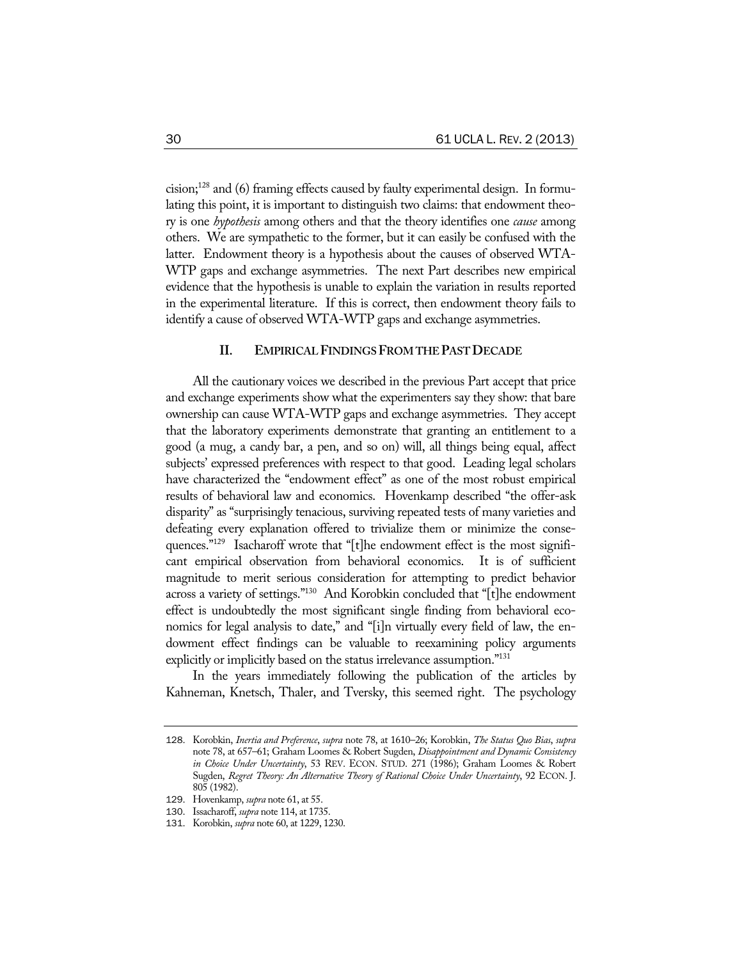cision;128 and (6) framing effects caused by faulty experimental design. In formulating this point, it is important to distinguish two claims: that endowment theory is one *hypothesis* among others and that the theory identifies one *cause* among others. We are sympathetic to the former, but it can easily be confused with the latter. Endowment theory is a hypothesis about the causes of observed WTA-WTP gaps and exchange asymmetries. The next Part describes new empirical evidence that the hypothesis is unable to explain the variation in results reported in the experimental literature. If this is correct, then endowment theory fails to identify a cause of observed WTA-WTP gaps and exchange asymmetries.

## **II. EMPIRICAL FINDINGS FROM THE PAST DECADE**

All the cautionary voices we described in the previous Part accept that price and exchange experiments show what the experimenters say they show: that bare ownership can cause WTA-WTP gaps and exchange asymmetries. They accept that the laboratory experiments demonstrate that granting an entitlement to a good (a mug, a candy bar, a pen, and so on) will, all things being equal, affect subjects' expressed preferences with respect to that good. Leading legal scholars have characterized the "endowment effect" as one of the most robust empirical results of behavioral law and economics. Hovenkamp described "the offer-ask disparity" as "surprisingly tenacious, surviving repeated tests of many varieties and defeating every explanation offered to trivialize them or minimize the consequences."129 Isacharoff wrote that "[t]he endowment effect is the most significant empirical observation from behavioral economics. It is of sufficient magnitude to merit serious consideration for attempting to predict behavior across a variety of settings."130 And Korobkin concluded that "[t]he endowment effect is undoubtedly the most significant single finding from behavioral economics for legal analysis to date," and "[i]n virtually every field of law, the endowment effect findings can be valuable to reexamining policy arguments explicitly or implicitly based on the status irrelevance assumption."<sup>131</sup>

In the years immediately following the publication of the articles by Kahneman, Knetsch, Thaler, and Tversky, this seemed right. The psychology

<sup>128</sup>. Korobkin, *Inertia and Preference*, *supra* note 78, at 1610–26; Korobkin, *The Status Quo Bias*, *supra* note 78, at 657–61; Graham Loomes & Robert Sugden, *Disappointment and Dynamic Consistency in Choice Under Uncertainty*, 53 REV. ECON. STUD. 271 (1986); Graham Loomes & Robert Sugden, *Regret Theory: An Alternative Theory of Rational Choice Under Uncertainty*, 92 ECON. J. 805 (1982).

<sup>129</sup>. Hovenkamp, *supra* note 61, at 55.

<sup>130</sup>. Issacharoff, *supra* note 114, at 1735.

<sup>131</sup>. Korobkin, *supra* note 60, at 1229, 1230.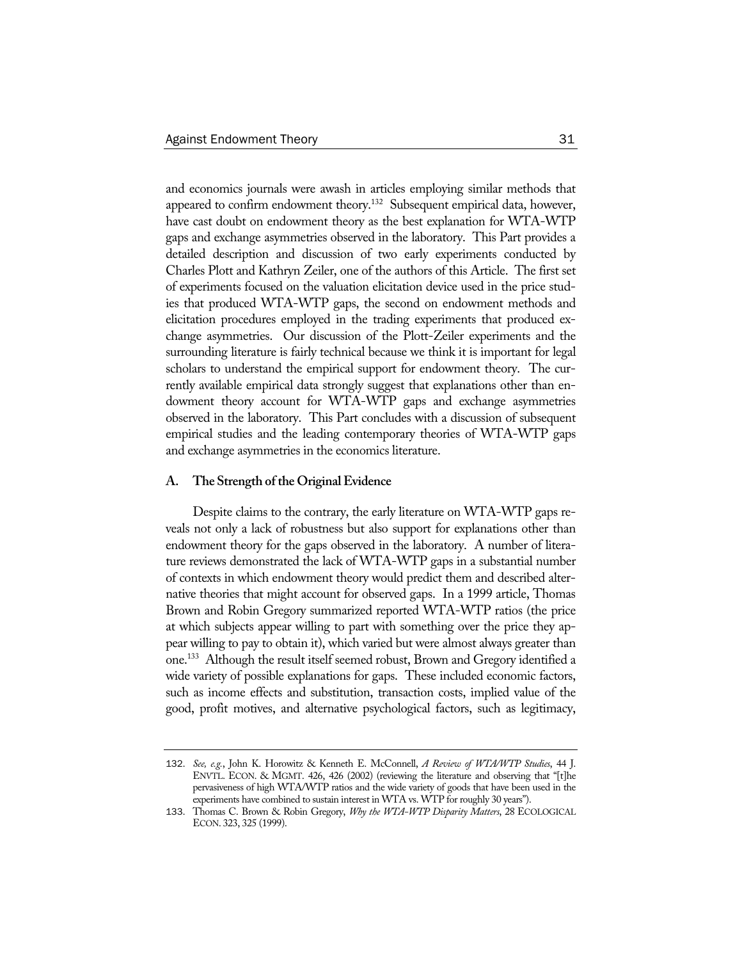and economics journals were awash in articles employing similar methods that appeared to confirm endowment theory.<sup>132</sup> Subsequent empirical data, however, have cast doubt on endowment theory as the best explanation for WTA-WTP gaps and exchange asymmetries observed in the laboratory. This Part provides a detailed description and discussion of two early experiments conducted by Charles Plott and Kathryn Zeiler, one of the authors of this Article. The first set of experiments focused on the valuation elicitation device used in the price studies that produced WTA-WTP gaps, the second on endowment methods and elicitation procedures employed in the trading experiments that produced exchange asymmetries. Our discussion of the Plott-Zeiler experiments and the surrounding literature is fairly technical because we think it is important for legal scholars to understand the empirical support for endowment theory. The currently available empirical data strongly suggest that explanations other than endowment theory account for WTA-WTP gaps and exchange asymmetries observed in the laboratory. This Part concludes with a discussion of subsequent empirical studies and the leading contemporary theories of WTA-WTP gaps and exchange asymmetries in the economics literature.

#### **A. The Strength of the Original Evidence**

Despite claims to the contrary, the early literature on WTA-WTP gaps reveals not only a lack of robustness but also support for explanations other than endowment theory for the gaps observed in the laboratory. A number of literature reviews demonstrated the lack of WTA-WTP gaps in a substantial number of contexts in which endowment theory would predict them and described alternative theories that might account for observed gaps. In a 1999 article, Thomas Brown and Robin Gregory summarized reported WTA-WTP ratios (the price at which subjects appear willing to part with something over the price they appear willing to pay to obtain it), which varied but were almost always greater than one.133 Although the result itself seemed robust, Brown and Gregory identified a wide variety of possible explanations for gaps. These included economic factors, such as income effects and substitution, transaction costs, implied value of the good, profit motives, and alternative psychological factors, such as legitimacy,

<sup>132</sup>. *See, e.g.*, John K. Horowitz & Kenneth E. McConnell, *A Review of WTA/WTP Studies*, 44 J. ENVTL. ECON. & MGMT. 426, 426 (2002) (reviewing the literature and observing that "[t]he pervasiveness of high WTA/WTP ratios and the wide variety of goods that have been used in the experiments have combined to sustain interest in WTA vs. WTP for roughly 30 years").

<sup>133</sup>. Thomas C. Brown & Robin Gregory, *Why the WTA-WTP Disparity Matters*, 28 ECOLOGICAL ECON. 323, 325 (1999).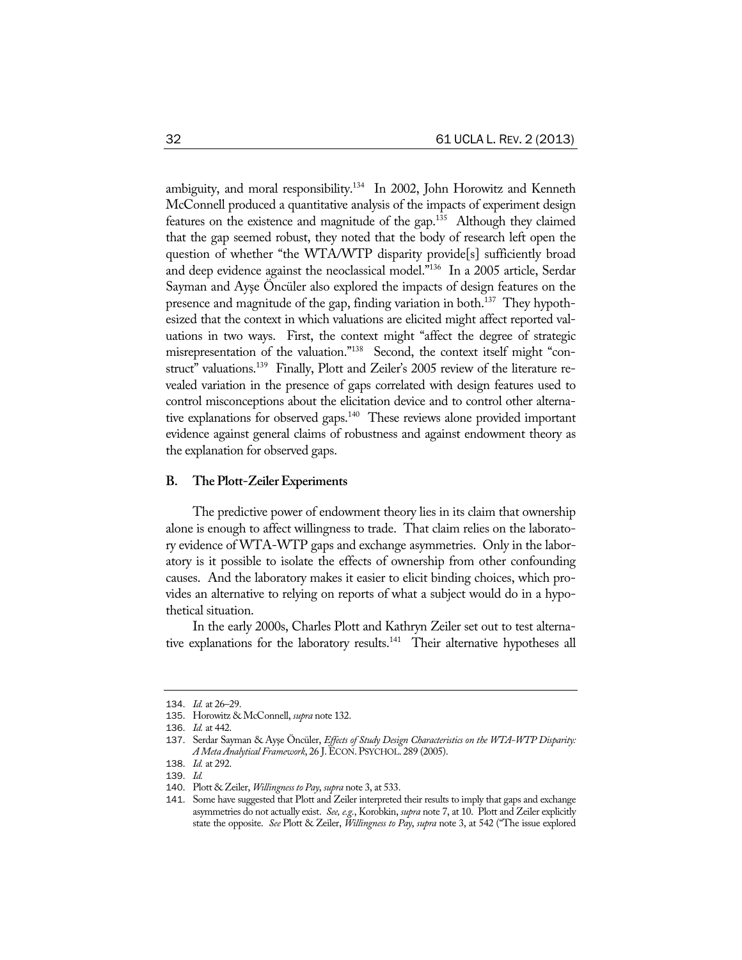ambiguity, and moral responsibility.<sup>134</sup> In 2002, John Horowitz and Kenneth McConnell produced a quantitative analysis of the impacts of experiment design features on the existence and magnitude of the gap.<sup>135</sup> Although they claimed that the gap seemed robust, they noted that the body of research left open the question of whether "the WTA/WTP disparity provide[s] sufficiently broad and deep evidence against the neoclassical model."136 In a 2005 article, Serdar Sayman and Ayşe Öncüler also explored the impacts of design features on the presence and magnitude of the gap, finding variation in both.<sup>137</sup> They hypothesized that the context in which valuations are elicited might affect reported valuations in two ways. First, the context might "affect the degree of strategic misrepresentation of the valuation."138 Second, the context itself might "construct" valuations.139 Finally, Plott and Zeiler's 2005 review of the literature revealed variation in the presence of gaps correlated with design features used to control misconceptions about the elicitation device and to control other alternative explanations for observed gaps.<sup>140</sup> These reviews alone provided important evidence against general claims of robustness and against endowment theory as the explanation for observed gaps.

#### **B. The Plott-Zeiler Experiments**

The predictive power of endowment theory lies in its claim that ownership alone is enough to affect willingness to trade. That claim relies on the laboratory evidence of WTA-WTP gaps and exchange asymmetries. Only in the laboratory is it possible to isolate the effects of ownership from other confounding causes. And the laboratory makes it easier to elicit binding choices, which provides an alternative to relying on reports of what a subject would do in a hypothetical situation.

In the early 2000s, Charles Plott and Kathryn Zeiler set out to test alternative explanations for the laboratory results.<sup>141</sup> Their alternative hypotheses all

<sup>134</sup>. *Id.* at 26–29.

<sup>135</sup>. Horowitz & McConnell, *supra* note 132.

<sup>136</sup>. *Id.* at 442.

<sup>137</sup>. Serdar Sayman & Ayşe Öncüler, *Effects of Study Design Characteristics on the WTA-WTP Disparity: A Meta Analytical Framework*, 26 J.ECON.PSYCHOL. 289 (2005).

<sup>138</sup>. *Id.* at 292.

<sup>139</sup>. *Id.*

<sup>140</sup>. Plott & Zeiler, *Willingness to Pay*, *supra* note 3, at 533.

<sup>141</sup>. Some have suggested that Plott and Zeiler interpreted their results to imply that gaps and exchange asymmetries do not actually exist. *See, e.g.*, Korobkin, *supra* note 7, at 10. Plott and Zeiler explicitly state the opposite. *See* Plott & Zeiler, *Willingness to Pay*, *supra* note 3, at 542 ("The issue explored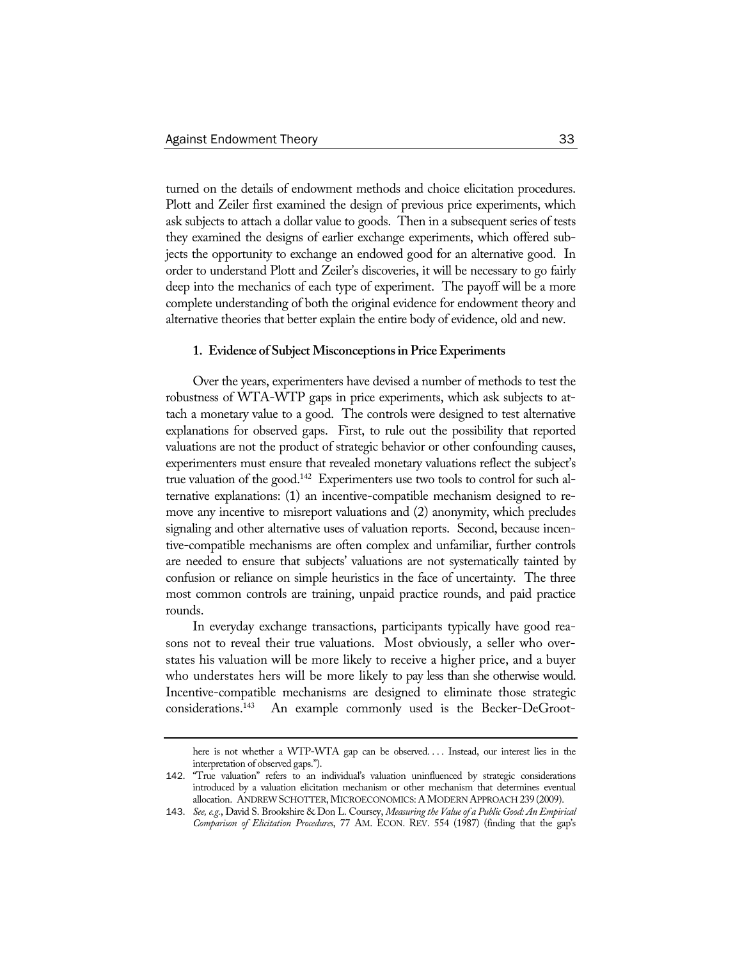turned on the details of endowment methods and choice elicitation procedures. Plott and Zeiler first examined the design of previous price experiments, which ask subjects to attach a dollar value to goods. Then in a subsequent series of tests they examined the designs of earlier exchange experiments, which offered subjects the opportunity to exchange an endowed good for an alternative good. In order to understand Plott and Zeiler's discoveries, it will be necessary to go fairly deep into the mechanics of each type of experiment. The payoff will be a more complete understanding of both the original evidence for endowment theory and alternative theories that better explain the entire body of evidence, old and new.

#### **1. Evidence of Subject Misconceptions in Price Experiments**

Over the years, experimenters have devised a number of methods to test the robustness of WTA-WTP gaps in price experiments, which ask subjects to attach a monetary value to a good. The controls were designed to test alternative explanations for observed gaps. First, to rule out the possibility that reported valuations are not the product of strategic behavior or other confounding causes, experimenters must ensure that revealed monetary valuations reflect the subject's true valuation of the good.<sup>142</sup> Experimenters use two tools to control for such alternative explanations: (1) an incentive-compatible mechanism designed to remove any incentive to misreport valuations and (2) anonymity, which precludes signaling and other alternative uses of valuation reports. Second, because incentive-compatible mechanisms are often complex and unfamiliar, further controls are needed to ensure that subjects' valuations are not systematically tainted by confusion or reliance on simple heuristics in the face of uncertainty. The three most common controls are training, unpaid practice rounds, and paid practice rounds.

In everyday exchange transactions, participants typically have good reasons not to reveal their true valuations. Most obviously, a seller who overstates his valuation will be more likely to receive a higher price, and a buyer who understates hers will be more likely to pay less than she otherwise would. Incentive-compatible mechanisms are designed to eliminate those strategic considerations.143 An example commonly used is the Becker-DeGroot-

here is not whether a WTP-WTA gap can be observed.... Instead, our interest lies in the interpretation of observed gaps.").

<sup>142</sup>. "True valuation" refers to an individual's valuation uninfluenced by strategic considerations introduced by a valuation elicitation mechanism or other mechanism that determines eventual allocation. ANDREW SCHOTTER, MICROECONOMICS: A MODERN APPROACH 239 (2009).

<sup>143</sup>. *See, e.g.*, David S. Brookshire & Don L. Coursey, *Measuring the Value of a Public Good: An Empirical Comparison of Elicitation Procedures*, 77 AM. ECON. REV. 554 (1987) (finding that the gap's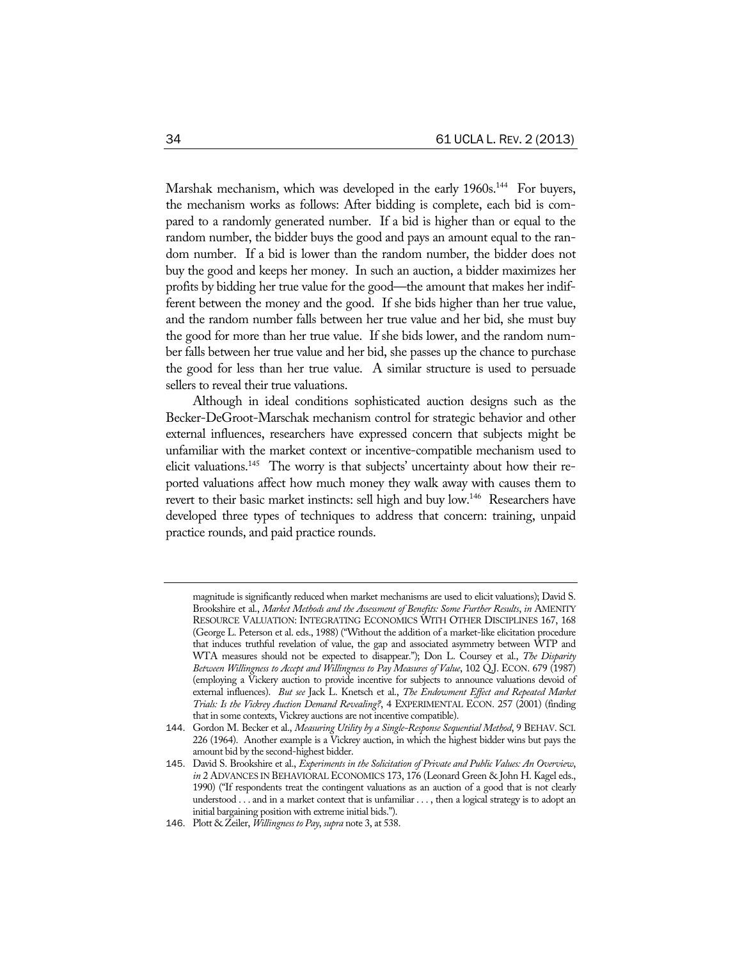Marshak mechanism, which was developed in the early 1960s.<sup>144</sup> For buyers, the mechanism works as follows: After bidding is complete, each bid is compared to a randomly generated number. If a bid is higher than or equal to the random number, the bidder buys the good and pays an amount equal to the random number. If a bid is lower than the random number, the bidder does not buy the good and keeps her money. In such an auction, a bidder maximizes her profits by bidding her true value for the good—the amount that makes her indifferent between the money and the good. If she bids higher than her true value, and the random number falls between her true value and her bid, she must buy the good for more than her true value. If she bids lower, and the random number falls between her true value and her bid, she passes up the chance to purchase the good for less than her true value. A similar structure is used to persuade sellers to reveal their true valuations.

Although in ideal conditions sophisticated auction designs such as the Becker-DeGroot-Marschak mechanism control for strategic behavior and other external influences, researchers have expressed concern that subjects might be unfamiliar with the market context or incentive-compatible mechanism used to elicit valuations.<sup>145</sup> The worry is that subjects' uncertainty about how their reported valuations affect how much money they walk away with causes them to revert to their basic market instincts: sell high and buy low.<sup>146</sup> Researchers have developed three types of techniques to address that concern: training, unpaid practice rounds, and paid practice rounds.

magnitude is significantly reduced when market mechanisms are used to elicit valuations); David S. Brookshire et al., *Market Methods and the Assessment of Benefits: Some Further Results*, *in* AMENITY RESOURCE VALUATION: INTEGRATING ECONOMICS WITH OTHER DISCIPLINES 167, 168 (George L. Peterson et al. eds., 1988) ("Without the addition of a market-like elicitation procedure that induces truthful revelation of value, the gap and associated asymmetry between WTP and WTA measures should not be expected to disappear."); Don L. Coursey et al., *The Disparity Between Willingness to Accept and Willingness to Pay Measures of Value*, 102 Q.J. ECON. 679 (1987) (employing a Vickery auction to provide incentive for subjects to announce valuations devoid of external influences). *But see* Jack L. Knetsch et al., *The Endowment Effect and Repeated Market Trials: Is the Vickrey Auction Demand Revealing?*, 4 EXPERIMENTAL ECON. 257 (2001) (finding that in some contexts, Vickrey auctions are not incentive compatible).

<sup>144</sup>. Gordon M. Becker et al., *Measuring Utility by a Single-Response Sequential Method*, 9 BEHAV. SCI. 226 (1964). Another example is a Vickrey auction, in which the highest bidder wins but pays the amount bid by the second-highest bidder.

<sup>145</sup>. David S. Brookshire et al., *Experiments in the Solicitation of Private and Public Values: An Overview*, *in* 2 ADVANCES IN BEHAVIORAL ECONOMICS 173, 176 (Leonard Green & John H. Kagel eds., 1990) ("If respondents treat the contingent valuations as an auction of a good that is not clearly understood . . . and in a market context that is unfamiliar . . . , then a logical strategy is to adopt an initial bargaining position with extreme initial bids.").

<sup>146</sup>. Plott & Zeiler, *Willingness to Pay*, *supra* note 3, at 538.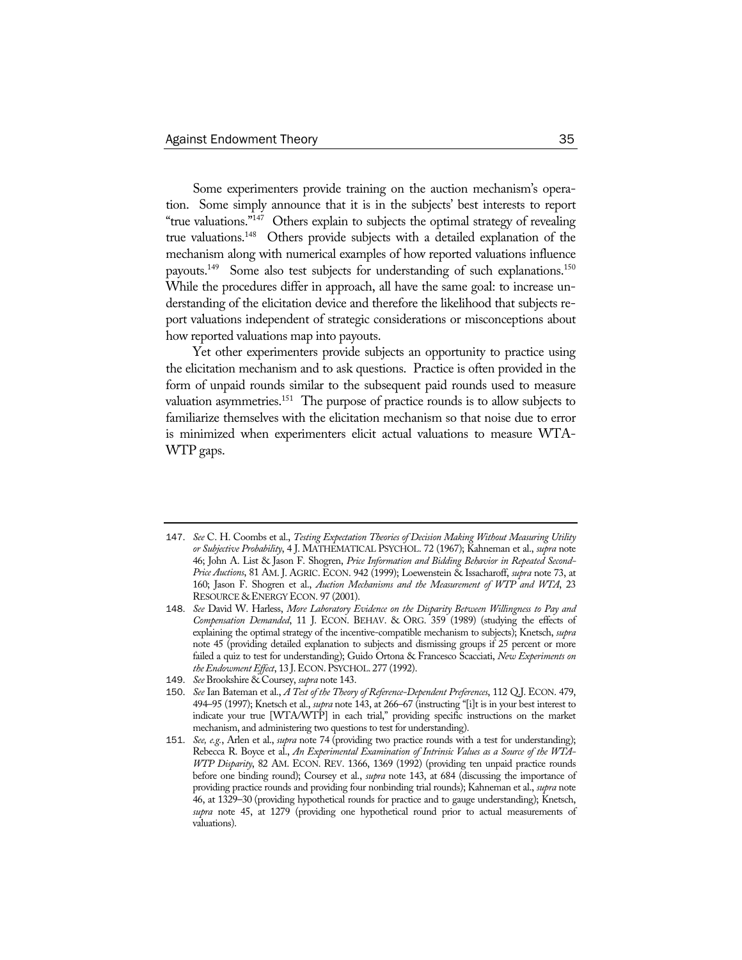Some experimenters provide training on the auction mechanism's operation. Some simply announce that it is in the subjects' best interests to report "true valuations."147 Others explain to subjects the optimal strategy of revealing true valuations.148 Others provide subjects with a detailed explanation of the mechanism along with numerical examples of how reported valuations influence payouts.<sup>149</sup> Some also test subjects for understanding of such explanations.<sup>150</sup> While the procedures differ in approach, all have the same goal: to increase understanding of the elicitation device and therefore the likelihood that subjects report valuations independent of strategic considerations or misconceptions about how reported valuations map into payouts.

Yet other experimenters provide subjects an opportunity to practice using the elicitation mechanism and to ask questions. Practice is often provided in the form of unpaid rounds similar to the subsequent paid rounds used to measure valuation asymmetries.<sup>151</sup> The purpose of practice rounds is to allow subjects to familiarize themselves with the elicitation mechanism so that noise due to error is minimized when experimenters elicit actual valuations to measure WTA-WTP gaps.

- 147. *See* C. H. Coombs et al., *Testing Expectation Theories of Decision Making Without Measuring Utility or Subjective Probability*, 4 J. MATHEMATICAL PSYCHOL. 72 (1967); Kahneman et al., *supra* note 46; John A. List & Jason F. Shogren, *Price Information and Bidding Behavior in Repeated Second-Price Auctions*, 81 AM. J. AGRIC. ECON. 942 (1999); Loewenstein & Issacharoff, *supra* note 73, at 160; Jason F. Shogren et al., *Auction Mechanisms and the Measurement of WTP and WTA*, 23 RESOURCE & ENERGY ECON. 97 (2001).
- 148. *See* David W. Harless, *More Laboratory Evidence on the Disparity Between Willingness to Pay and Compensation Demanded*, 11 J. ECON. BEHAV. & ORG. 359 (1989) (studying the effects of explaining the optimal strategy of the incentive-compatible mechanism to subjects); Knetsch, *supra* note 45 (providing detailed explanation to subjects and dismissing groups if 25 percent or more failed a quiz to test for understanding); Guido Ortona & Francesco Scacciati, *New Experiments on the Endowment Effect*, 13 J.ECON.PSYCHOL. 277 (1992).
- 149. *See* Brookshire & Coursey, *supra* note 143.
- 150. *See* Ian Bateman et al., *A Test of the Theory of Reference-Dependent Preferences*, 112 Q.J. ECON. 479, 494–95 (1997); Knetsch et al., *supra* note 143, at 266–67 (instructing "[i]t is in your best interest to indicate your true [WTA/WTP] in each trial," providing specific instructions on the market mechanism, and administering two questions to test for understanding).
- 151. *See, e.g.*, Arlen et al., *supra* note 74 (providing two practice rounds with a test for understanding); Rebecca R. Boyce et al., *An Experimental Examination of Intrinsic Values as a Source of the WTA-WTP Disparity*, 82 AM. ECON. REV. 1366, 1369 (1992) (providing ten unpaid practice rounds before one binding round); Coursey et al., *supra* note 143, at 684 (discussing the importance of providing practice rounds and providing four nonbinding trial rounds); Kahneman et al., *supra* note 46, at 1329–30 (providing hypothetical rounds for practice and to gauge understanding); Knetsch, *supra* note 45, at 1279 (providing one hypothetical round prior to actual measurements of valuations).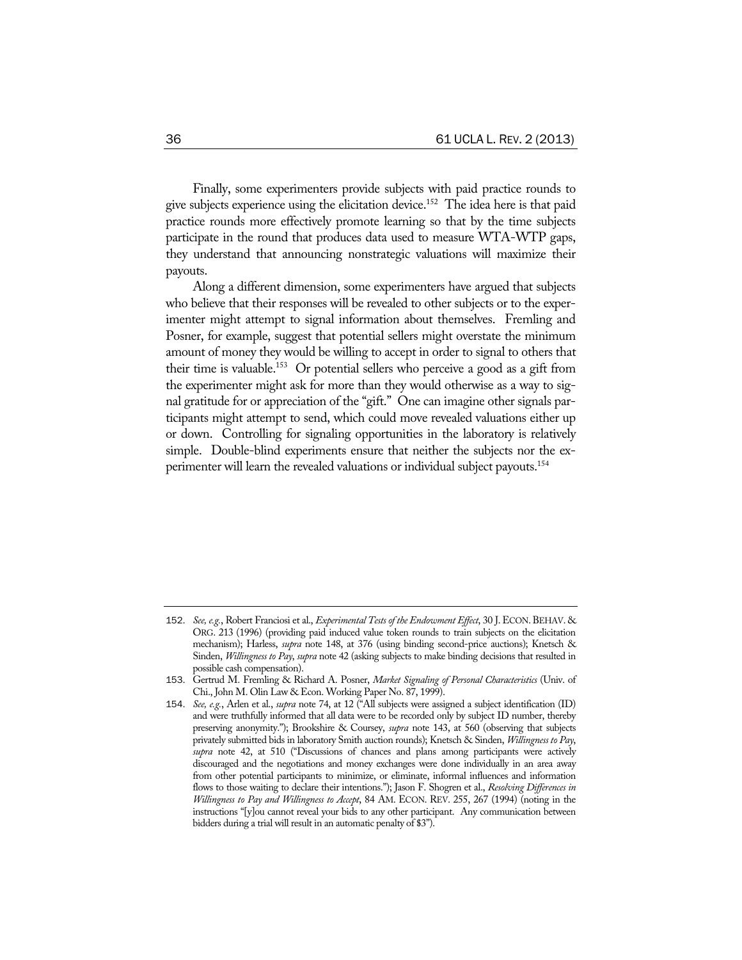Finally, some experimenters provide subjects with paid practice rounds to give subjects experience using the elicitation device.<sup>152</sup> The idea here is that paid practice rounds more effectively promote learning so that by the time subjects participate in the round that produces data used to measure WTA-WTP gaps, they understand that announcing nonstrategic valuations will maximize their payouts.

Along a different dimension, some experimenters have argued that subjects who believe that their responses will be revealed to other subjects or to the experimenter might attempt to signal information about themselves. Fremling and Posner, for example, suggest that potential sellers might overstate the minimum amount of money they would be willing to accept in order to signal to others that their time is valuable.153 Or potential sellers who perceive a good as a gift from the experimenter might ask for more than they would otherwise as a way to signal gratitude for or appreciation of the "gift." One can imagine other signals participants might attempt to send, which could move revealed valuations either up or down. Controlling for signaling opportunities in the laboratory is relatively simple. Double-blind experiments ensure that neither the subjects nor the experimenter will learn the revealed valuations or individual subject payouts.154

<sup>152</sup>. *See, e.g.*, Robert Franciosi et al., *Experimental Tests of the Endowment Effect*, 30 J.ECON.BEHAV. & ORG. 213 (1996) (providing paid induced value token rounds to train subjects on the elicitation mechanism); Harless, *supra* note 148, at 376 (using binding second-price auctions); Knetsch & Sinden, *Willingness to Pay*, *supra* note 42 (asking subjects to make binding decisions that resulted in possible cash compensation).

<sup>153</sup>. Gertrud M. Fremling & Richard A. Posner, *Market Signaling of Personal Characteristics* (Univ. of Chi., John M. Olin Law & Econ. Working Paper No. 87, 1999).

<sup>154</sup>. *See, e.g.*, Arlen et al., *supra* note 74, at 12 ("All subjects were assigned a subject identification (ID) and were truthfully informed that all data were to be recorded only by subject ID number, thereby preserving anonymity."); Brookshire & Coursey, *supra* note 143, at 560 (observing that subjects privately submitted bids in laboratory Smith auction rounds); Knetsch & Sinden, *Willingness to Pay*, *supra* note 42, at 510 ("Discussions of chances and plans among participants were actively discouraged and the negotiations and money exchanges were done individually in an area away from other potential participants to minimize, or eliminate, informal influences and information flows to those waiting to declare their intentions."); Jason F. Shogren et al., *Resolving Differences in Willingness to Pay and Willingness to Accept*, 84 AM. ECON. REV. 255, 267 (1994) (noting in the instructions "[y]ou cannot reveal your bids to any other participant. Any communication between bidders during a trial will result in an automatic penalty of \$3").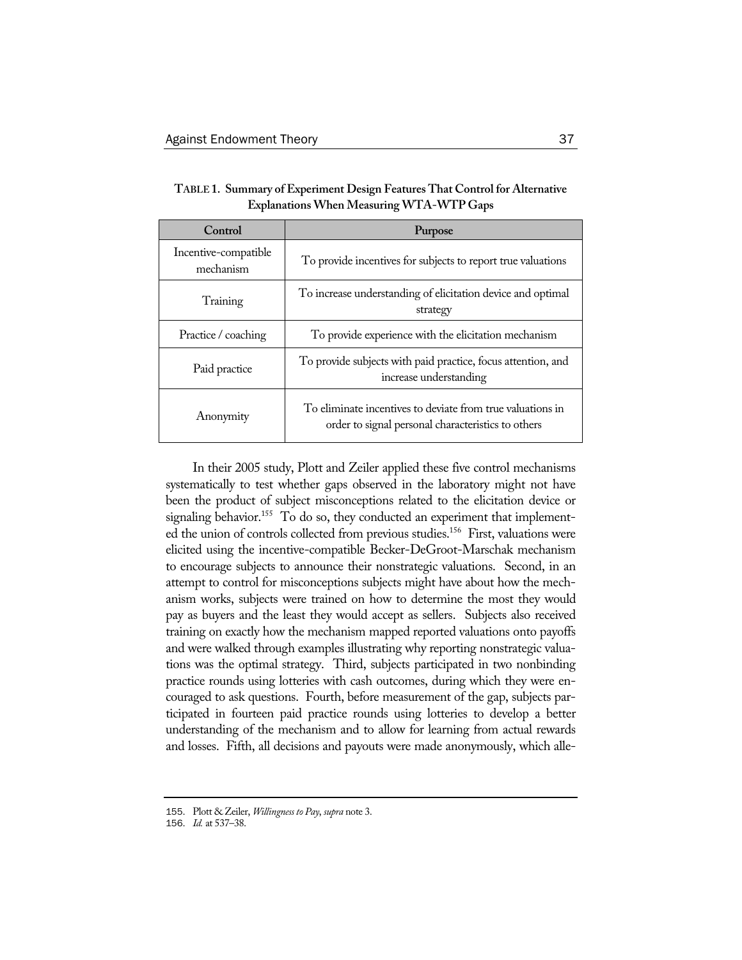| Control                           | Purpose                                                                                                          |
|-----------------------------------|------------------------------------------------------------------------------------------------------------------|
| Incentive-compatible<br>mechanism | To provide incentives for subjects to report true valuations                                                     |
| Training                          | To increase understanding of elicitation device and optimal<br>strategy                                          |
| Practice / coaching               | To provide experience with the elicitation mechanism                                                             |
| Paid practice                     | To provide subjects with paid practice, focus attention, and<br>increase understanding                           |
| Anonymity                         | To eliminate incentives to deviate from true valuations in<br>order to signal personal characteristics to others |

**TABLE 1. Summary of Experiment Design Features That Control for Alternative Explanations When Measuring WTA-WTP Gaps** 

In their 2005 study, Plott and Zeiler applied these five control mechanisms systematically to test whether gaps observed in the laboratory might not have been the product of subject misconceptions related to the elicitation device or signaling behavior.<sup>155</sup> To do so, they conducted an experiment that implemented the union of controls collected from previous studies.<sup>156</sup> First, valuations were elicited using the incentive-compatible Becker-DeGroot-Marschak mechanism to encourage subjects to announce their nonstrategic valuations. Second, in an attempt to control for misconceptions subjects might have about how the mechanism works, subjects were trained on how to determine the most they would pay as buyers and the least they would accept as sellers. Subjects also received training on exactly how the mechanism mapped reported valuations onto payoffs and were walked through examples illustrating why reporting nonstrategic valuations was the optimal strategy. Third, subjects participated in two nonbinding practice rounds using lotteries with cash outcomes, during which they were encouraged to ask questions. Fourth, before measurement of the gap, subjects participated in fourteen paid practice rounds using lotteries to develop a better understanding of the mechanism and to allow for learning from actual rewards and losses. Fifth, all decisions and payouts were made anonymously, which alle-

<sup>155</sup>. Plott & Zeiler, *Willingness to Pay*, *supra* note 3.

<sup>156</sup>. *Id.* at 537–38.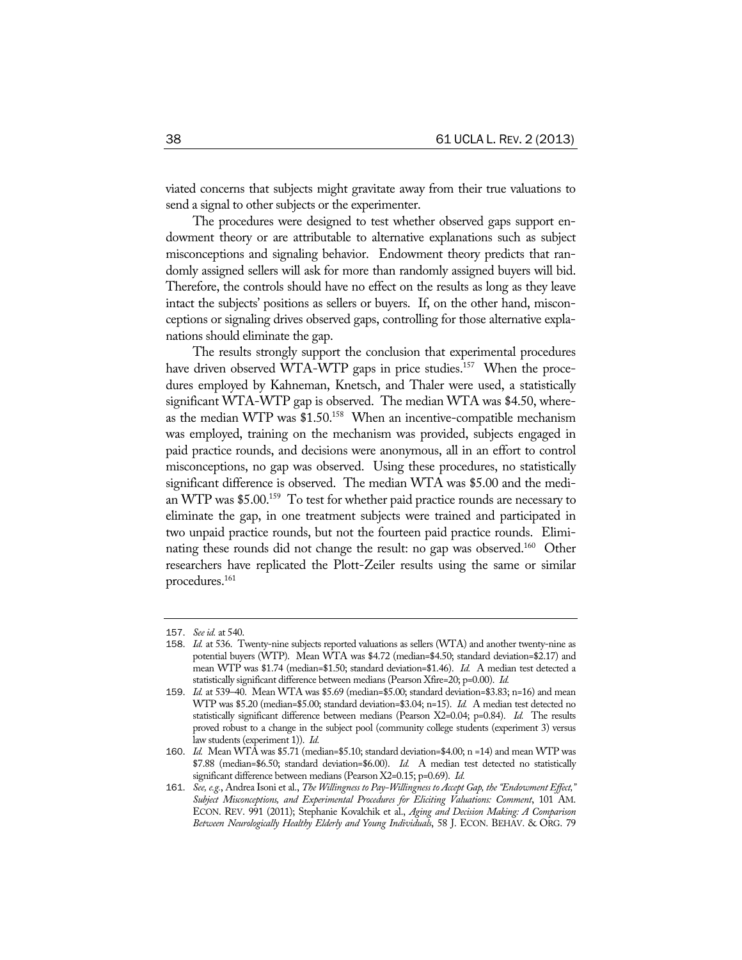viated concerns that subjects might gravitate away from their true valuations to send a signal to other subjects or the experimenter.

The procedures were designed to test whether observed gaps support endowment theory or are attributable to alternative explanations such as subject misconceptions and signaling behavior. Endowment theory predicts that randomly assigned sellers will ask for more than randomly assigned buyers will bid. Therefore, the controls should have no effect on the results as long as they leave intact the subjects' positions as sellers or buyers. If, on the other hand, misconceptions or signaling drives observed gaps, controlling for those alternative explanations should eliminate the gap.

The results strongly support the conclusion that experimental procedures have driven observed WTA-WTP gaps in price studies.<sup>157</sup> When the procedures employed by Kahneman, Knetsch, and Thaler were used, a statistically significant WTA-WTP gap is observed. The median WTA was \$4.50, whereas the median WTP was \$1.50.<sup>158</sup> When an incentive-compatible mechanism was employed, training on the mechanism was provided, subjects engaged in paid practice rounds, and decisions were anonymous, all in an effort to control misconceptions, no gap was observed. Using these procedures, no statistically significant difference is observed. The median WTA was \$5.00 and the median WTP was \$5.00.<sup>159</sup> To test for whether paid practice rounds are necessary to eliminate the gap, in one treatment subjects were trained and participated in two unpaid practice rounds, but not the fourteen paid practice rounds. Eliminating these rounds did not change the result: no gap was observed.<sup>160</sup> Other researchers have replicated the Plott-Zeiler results using the same or similar procedures.161

<sup>157</sup>. *See id.* at 540.

<sup>158</sup>. *Id.* at 536. Twenty-nine subjects reported valuations as sellers (WTA) and another twenty-nine as potential buyers (WTP). Mean WTA was \$4.72 (median=\$4.50; standard deviation=\$2.17) and mean WTP was \$1.74 (median=\$1.50; standard deviation=\$1.46). *Id.* A median test detected a statistically significant difference between medians (Pearson Xfire=20; p=0.00). *Id.* 

<sup>159</sup>. *Id.* at 539–40. Mean WTA was \$5.69 (median=\$5.00; standard deviation=\$3.83; n=16) and mean WTP was \$5.20 (median=\$5.00; standard deviation=\$3.04; n=15). *Id.* A median test detected no statistically significant difference between medians (Pearson X2=0.04; p=0.84). *Id.* The results proved robust to a change in the subject pool (community college students (experiment 3) versus law students (experiment 1)). *Id.* 

<sup>160</sup>. *Id.* Mean WTA was \$5.71 (median=\$5.10; standard deviation=\$4.00; n =14) and mean WTP was \$7.88 (median=\$6.50; standard deviation=\$6.00). *Id.* A median test detected no statistically significant difference between medians (Pearson X2=0.15; p=0.69). *Id.* 

<sup>161</sup>. *See, e.g.*, Andrea Isoni et al., *The Willingness to Pay-Willingness to Accept Gap, the "Endowment Effect," Subject Misconceptions, and Experimental Procedures for Eliciting Valuations: Comment*, 101 AM. ECON. REV. 991 (2011); Stephanie Kovalchik et al., *Aging and Decision Making: A Comparison Between Neurologically Healthy Elderly and Young Individuals*, 58 J. ECON. BEHAV. & ORG. 79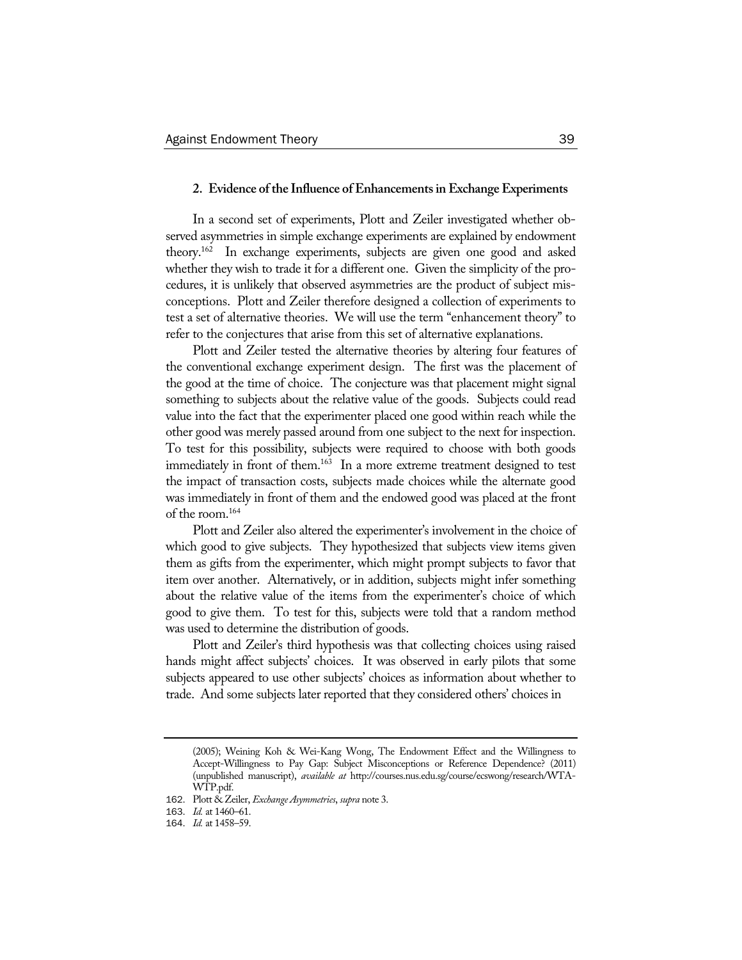#### **2. Evidence of the Influence of Enhancements in Exchange Experiments**

In a second set of experiments, Plott and Zeiler investigated whether observed asymmetries in simple exchange experiments are explained by endowment theory.162 In exchange experiments, subjects are given one good and asked whether they wish to trade it for a different one. Given the simplicity of the procedures, it is unlikely that observed asymmetries are the product of subject misconceptions. Plott and Zeiler therefore designed a collection of experiments to test a set of alternative theories. We will use the term "enhancement theory" to refer to the conjectures that arise from this set of alternative explanations.

Plott and Zeiler tested the alternative theories by altering four features of the conventional exchange experiment design. The first was the placement of the good at the time of choice. The conjecture was that placement might signal something to subjects about the relative value of the goods. Subjects could read value into the fact that the experimenter placed one good within reach while the other good was merely passed around from one subject to the next for inspection. To test for this possibility, subjects were required to choose with both goods immediately in front of them.<sup>163</sup> In a more extreme treatment designed to test the impact of transaction costs, subjects made choices while the alternate good was immediately in front of them and the endowed good was placed at the front of the room.164

Plott and Zeiler also altered the experimenter's involvement in the choice of which good to give subjects. They hypothesized that subjects view items given them as gifts from the experimenter, which might prompt subjects to favor that item over another. Alternatively, or in addition, subjects might infer something about the relative value of the items from the experimenter's choice of which good to give them. To test for this, subjects were told that a random method was used to determine the distribution of goods.

Plott and Zeiler's third hypothesis was that collecting choices using raised hands might affect subjects' choices. It was observed in early pilots that some subjects appeared to use other subjects' choices as information about whether to trade. And some subjects later reported that they considered others' choices in

<sup>(2005);</sup> Weining Koh & Wei-Kang Wong, The Endowment Effect and the Willingness to Accept-Willingness to Pay Gap: Subject Misconceptions or Reference Dependence? (2011) (unpublished manuscript), *available at* http://courses.nus.edu.sg/course/ecswong/research/WTA-WTP.pdf.

<sup>162</sup>. Plott & Zeiler, *Exchange Asymmetries*, *supra* note 3.

<sup>163</sup>. *Id.* at 1460–61.

<sup>164</sup>. *Id.* at 1458–59.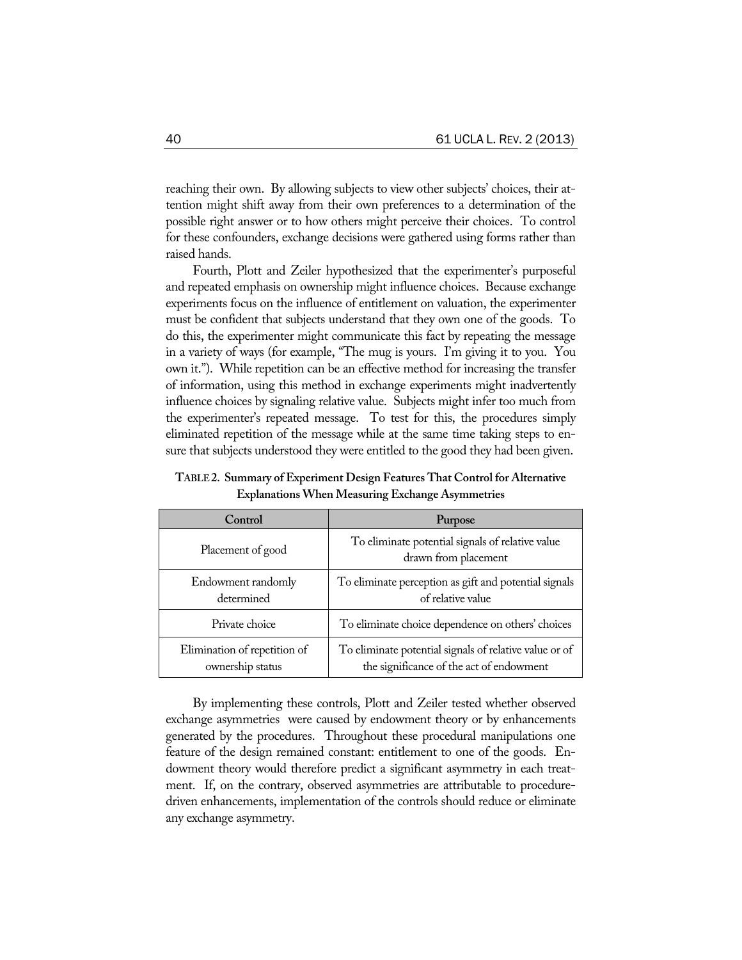reaching their own. By allowing subjects to view other subjects' choices, their attention might shift away from their own preferences to a determination of the possible right answer or to how others might perceive their choices. To control for these confounders, exchange decisions were gathered using forms rather than raised hands.

Fourth, Plott and Zeiler hypothesized that the experimenter's purposeful and repeated emphasis on ownership might influence choices. Because exchange experiments focus on the influence of entitlement on valuation, the experimenter must be confident that subjects understand that they own one of the goods. To do this, the experimenter might communicate this fact by repeating the message in a variety of ways (for example, "The mug is yours. I'm giving it to you. You own it."). While repetition can be an effective method for increasing the transfer of information, using this method in exchange experiments might inadvertently influence choices by signaling relative value. Subjects might infer too much from the experimenter's repeated message. To test for this, the procedures simply eliminated repetition of the message while at the same time taking steps to ensure that subjects understood they were entitled to the good they had been given.

| Control                                          | Purpose                                                                                            |
|--------------------------------------------------|----------------------------------------------------------------------------------------------------|
| Placement of good                                | To eliminate potential signals of relative value<br>drawn from placement                           |
| Endowment randomly<br>determined                 | To eliminate perception as gift and potential signals<br>of relative value                         |
| Private choice                                   | To eliminate choice dependence on others' choices                                                  |
| Elimination of repetition of<br>ownership status | To eliminate potential signals of relative value or of<br>the significance of the act of endowment |

**TABLE 2. Summary of Experiment Design Features That Control for Alternative Explanations When Measuring Exchange Asymmetries** 

By implementing these controls, Plott and Zeiler tested whether observed exchange asymmetries were caused by endowment theory or by enhancements generated by the procedures. Throughout these procedural manipulations one feature of the design remained constant: entitlement to one of the goods. Endowment theory would therefore predict a significant asymmetry in each treatment. If, on the contrary, observed asymmetries are attributable to proceduredriven enhancements, implementation of the controls should reduce or eliminate any exchange asymmetry.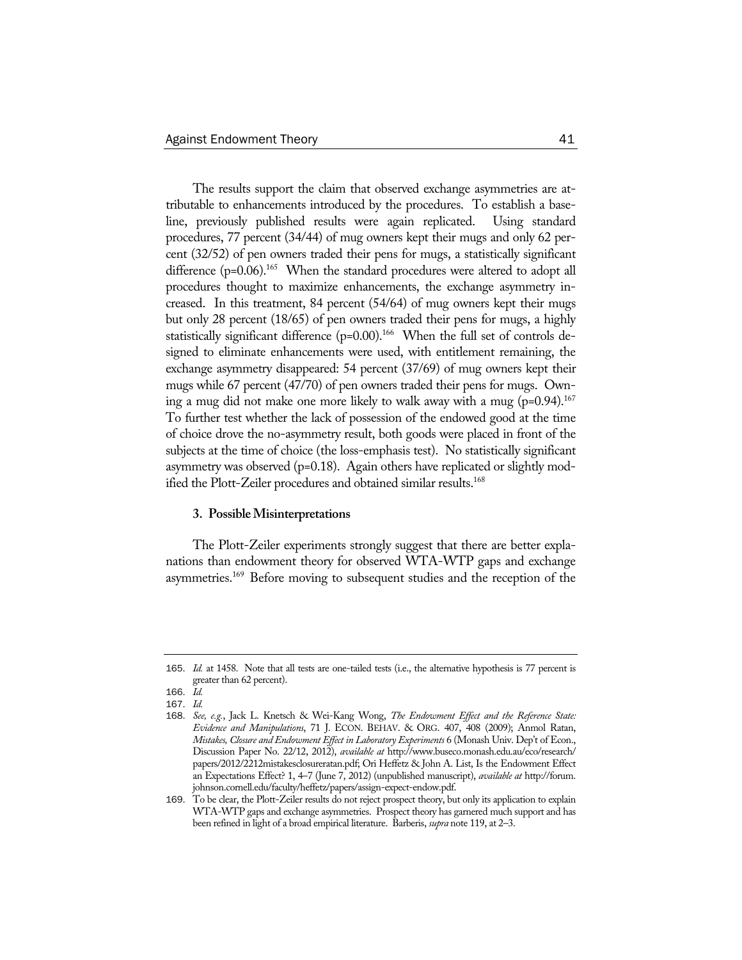The results support the claim that observed exchange asymmetries are attributable to enhancements introduced by the procedures. To establish a baseline, previously published results were again replicated. Using standard procedures, 77 percent (34/44) of mug owners kept their mugs and only 62 percent (32/52) of pen owners traded their pens for mugs, a statistically significant difference  $(p=0.06)$ <sup>165</sup> When the standard procedures were altered to adopt all procedures thought to maximize enhancements, the exchange asymmetry increased. In this treatment, 84 percent (54/64) of mug owners kept their mugs but only 28 percent (18/65) of pen owners traded their pens for mugs, a highly statistically significant difference  $(p=0.00)$ .<sup>166</sup> When the full set of controls designed to eliminate enhancements were used, with entitlement remaining, the exchange asymmetry disappeared: 54 percent (37/69) of mug owners kept their mugs while 67 percent (47/70) of pen owners traded their pens for mugs. Owning a mug did not make one more likely to walk away with a mug  $(p=0.94)$ .<sup>167</sup> To further test whether the lack of possession of the endowed good at the time of choice drove the no-asymmetry result, both goods were placed in front of the subjects at the time of choice (the loss-emphasis test). No statistically significant asymmetry was observed (p=0.18). Again others have replicated or slightly modified the Plott-Zeiler procedures and obtained similar results.<sup>168</sup>

#### **3. Possible Misinterpretations**

The Plott-Zeiler experiments strongly suggest that there are better explanations than endowment theory for observed WTA-WTP gaps and exchange asymmetries.169 Before moving to subsequent studies and the reception of the

<sup>165</sup>. *Id.* at 1458. Note that all tests are one-tailed tests (i.e., the alternative hypothesis is 77 percent is greater than 62 percent).

<sup>166</sup>. *Id.*

<sup>167</sup>. *Id.*

<sup>168</sup>. *See, e.g.*, Jack L. Knetsch & Wei-Kang Wong, *The Endowment Effect and the Reference State: Evidence and Manipulations*, 71 J. ECON. BEHAV. & ORG. 407, 408 (2009); Anmol Ratan, *Mistakes, Closure and Endowment Effect in Laboratory Experiments* 6 (Monash Univ. Dep't of Econ., Discussion Paper No. 22/12, 2012), *available at* http://www.buseco.monash.edu.au/eco/research/ papers/2012/2212mistakesclosureratan.pdf; Ori Heffetz & John A. List, Is the Endowment Effect an Expectations Effect? 1, 4–7 (June 7, 2012) (unpublished manuscript), *available at* http://forum. johnson.cornell.edu/faculty/heffetz/papers/assign-expect-endow.pdf.

<sup>169</sup>. To be clear, the Plott-Zeiler results do not reject prospect theory, but only its application to explain WTA-WTP gaps and exchange asymmetries. Prospect theory has garnered much support and has been refined in light of a broad empirical literature. Barberis, *supra* note 119, at 2–3.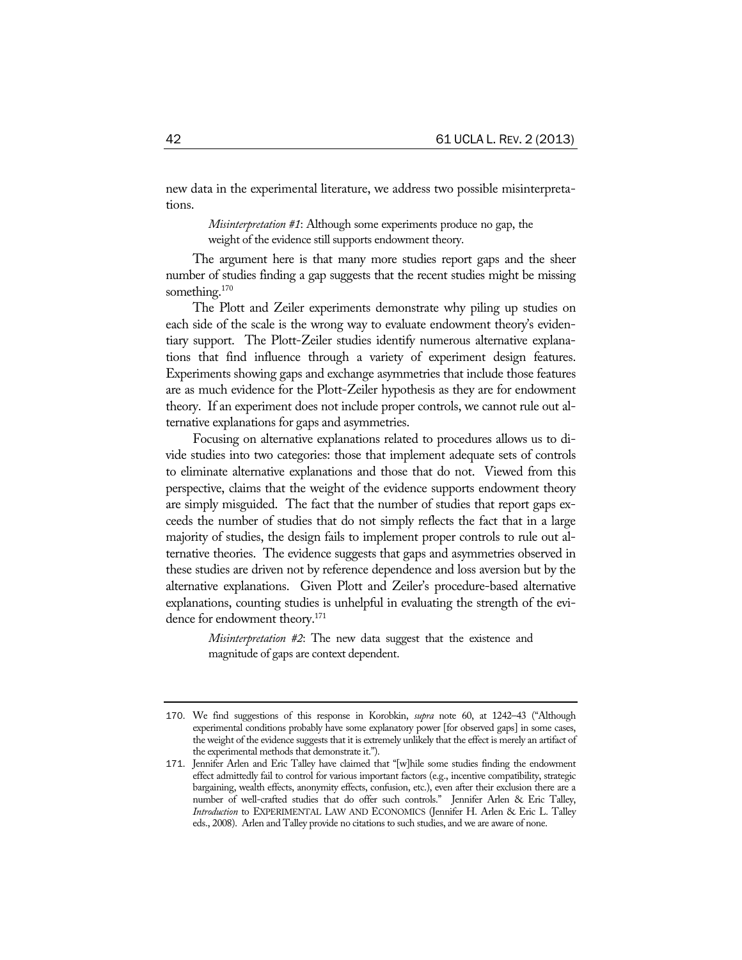new data in the experimental literature, we address two possible misinterpretations.

> *Misinterpretation #1*: Although some experiments produce no gap, the weight of the evidence still supports endowment theory.

The argument here is that many more studies report gaps and the sheer number of studies finding a gap suggests that the recent studies might be missing something.<sup>170</sup>

The Plott and Zeiler experiments demonstrate why piling up studies on each side of the scale is the wrong way to evaluate endowment theory's evidentiary support. The Plott-Zeiler studies identify numerous alternative explanations that find influence through a variety of experiment design features. Experiments showing gaps and exchange asymmetries that include those features are as much evidence for the Plott-Zeiler hypothesis as they are for endowment theory. If an experiment does not include proper controls, we cannot rule out alternative explanations for gaps and asymmetries.

Focusing on alternative explanations related to procedures allows us to divide studies into two categories: those that implement adequate sets of controls to eliminate alternative explanations and those that do not. Viewed from this perspective, claims that the weight of the evidence supports endowment theory are simply misguided. The fact that the number of studies that report gaps exceeds the number of studies that do not simply reflects the fact that in a large majority of studies, the design fails to implement proper controls to rule out alternative theories. The evidence suggests that gaps and asymmetries observed in these studies are driven not by reference dependence and loss aversion but by the alternative explanations. Given Plott and Zeiler's procedure-based alternative explanations, counting studies is unhelpful in evaluating the strength of the evidence for endowment theory.<sup>171</sup>

> *Misinterpretation #2*: The new data suggest that the existence and magnitude of gaps are context dependent.

<sup>170</sup>. We find suggestions of this response in Korobkin, *supra* note 60, at 1242–43 ("Although experimental conditions probably have some explanatory power [for observed gaps] in some cases, the weight of the evidence suggests that it is extremely unlikely that the effect is merely an artifact of the experimental methods that demonstrate it.").

<sup>171</sup>. Jennifer Arlen and Eric Talley have claimed that "[w]hile some studies finding the endowment effect admittedly fail to control for various important factors (e.g., incentive compatibility, strategic bargaining, wealth effects, anonymity effects, confusion, etc.), even after their exclusion there are a number of well-crafted studies that do offer such controls." Jennifer Arlen & Eric Talley, *Introduction* to EXPERIMENTAL LAW AND ECONOMICS (Jennifer H. Arlen & Eric L. Talley eds., 2008). Arlen and Talley provide no citations to such studies, and we are aware of none.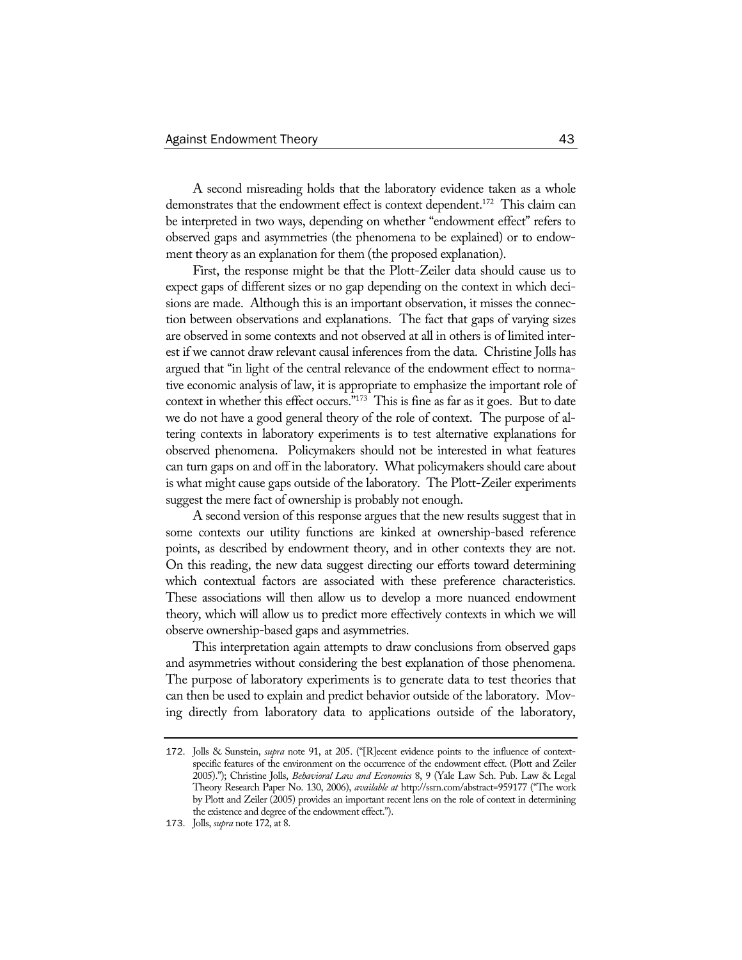A second misreading holds that the laboratory evidence taken as a whole demonstrates that the endowment effect is context dependent.<sup>172</sup> This claim can be interpreted in two ways, depending on whether "endowment effect" refers to observed gaps and asymmetries (the phenomena to be explained) or to endowment theory as an explanation for them (the proposed explanation).

First, the response might be that the Plott-Zeiler data should cause us to expect gaps of different sizes or no gap depending on the context in which decisions are made. Although this is an important observation, it misses the connection between observations and explanations. The fact that gaps of varying sizes are observed in some contexts and not observed at all in others is of limited interest if we cannot draw relevant causal inferences from the data. Christine Jolls has argued that "in light of the central relevance of the endowment effect to normative economic analysis of law, it is appropriate to emphasize the important role of context in whether this effect occurs."173 This is fine as far as it goes. But to date we do not have a good general theory of the role of context. The purpose of altering contexts in laboratory experiments is to test alternative explanations for observed phenomena. Policymakers should not be interested in what features can turn gaps on and off in the laboratory. What policymakers should care about is what might cause gaps outside of the laboratory. The Plott-Zeiler experiments suggest the mere fact of ownership is probably not enough.

A second version of this response argues that the new results suggest that in some contexts our utility functions are kinked at ownership-based reference points, as described by endowment theory, and in other contexts they are not. On this reading, the new data suggest directing our efforts toward determining which contextual factors are associated with these preference characteristics. These associations will then allow us to develop a more nuanced endowment theory, which will allow us to predict more effectively contexts in which we will observe ownership-based gaps and asymmetries.

This interpretation again attempts to draw conclusions from observed gaps and asymmetries without considering the best explanation of those phenomena. The purpose of laboratory experiments is to generate data to test theories that can then be used to explain and predict behavior outside of the laboratory. Moving directly from laboratory data to applications outside of the laboratory,

<sup>172</sup>. Jolls & Sunstein, *supra* note 91, at 205. ("[R]ecent evidence points to the influence of contextspecific features of the environment on the occurrence of the endowment effect. (Plott and Zeiler 2005)."); Christine Jolls, *Behavioral Law and Economics* 8, 9 (Yale Law Sch. Pub. Law & Legal Theory Research Paper No. 130, 2006), *available at* http://ssrn.com/abstract=959177 ("The work by Plott and Zeiler (2005) provides an important recent lens on the role of context in determining the existence and degree of the endowment effect.").

<sup>173</sup>. Jolls, *supra* note 172, at 8.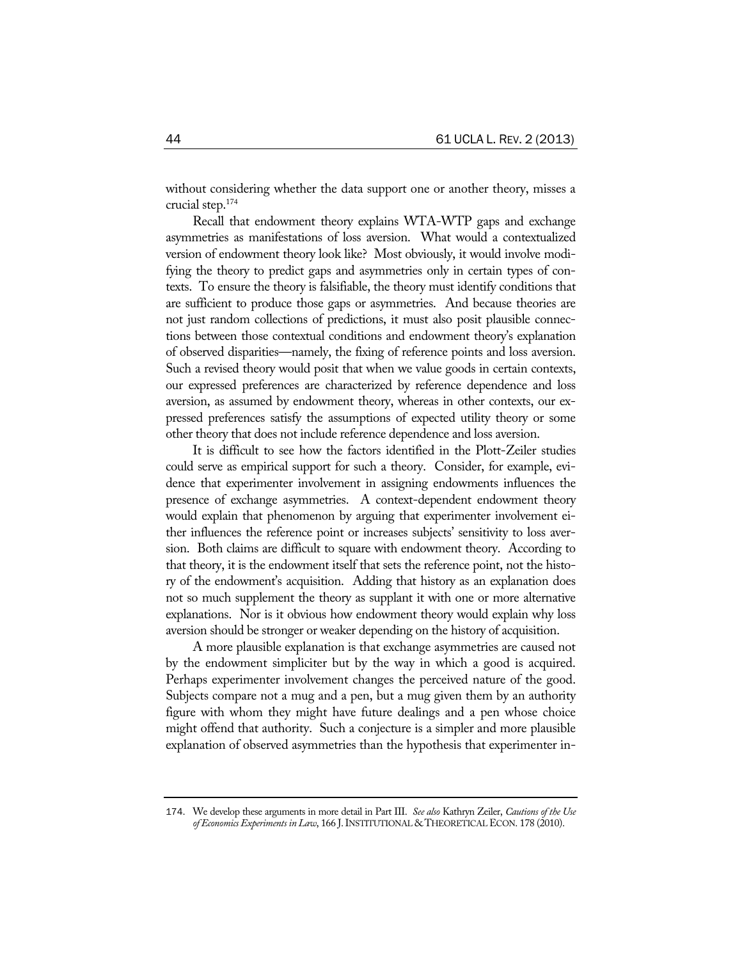without considering whether the data support one or another theory, misses a crucial step.174

Recall that endowment theory explains WTA-WTP gaps and exchange asymmetries as manifestations of loss aversion. What would a contextualized version of endowment theory look like? Most obviously, it would involve modifying the theory to predict gaps and asymmetries only in certain types of contexts. To ensure the theory is falsifiable, the theory must identify conditions that are sufficient to produce those gaps or asymmetries. And because theories are not just random collections of predictions, it must also posit plausible connections between those contextual conditions and endowment theory's explanation of observed disparities—namely, the fixing of reference points and loss aversion. Such a revised theory would posit that when we value goods in certain contexts, our expressed preferences are characterized by reference dependence and loss aversion, as assumed by endowment theory, whereas in other contexts, our expressed preferences satisfy the assumptions of expected utility theory or some other theory that does not include reference dependence and loss aversion.

It is difficult to see how the factors identified in the Plott-Zeiler studies could serve as empirical support for such a theory. Consider, for example, evidence that experimenter involvement in assigning endowments influences the presence of exchange asymmetries. A context-dependent endowment theory would explain that phenomenon by arguing that experimenter involvement either influences the reference point or increases subjects' sensitivity to loss aversion. Both claims are difficult to square with endowment theory. According to that theory, it is the endowment itself that sets the reference point, not the history of the endowment's acquisition. Adding that history as an explanation does not so much supplement the theory as supplant it with one or more alternative explanations. Nor is it obvious how endowment theory would explain why loss aversion should be stronger or weaker depending on the history of acquisition.

A more plausible explanation is that exchange asymmetries are caused not by the endowment simpliciter but by the way in which a good is acquired. Perhaps experimenter involvement changes the perceived nature of the good. Subjects compare not a mug and a pen, but a mug given them by an authority figure with whom they might have future dealings and a pen whose choice might offend that authority. Such a conjecture is a simpler and more plausible explanation of observed asymmetries than the hypothesis that experimenter in-

<sup>174</sup>. We develop these arguments in more detail in Part III. *See also* Kathryn Zeiler, *Cautions of the Use of Economics Experiments in Law*, 166 J.INSTITUTIONAL & THEORETICAL ECON. 178 (2010).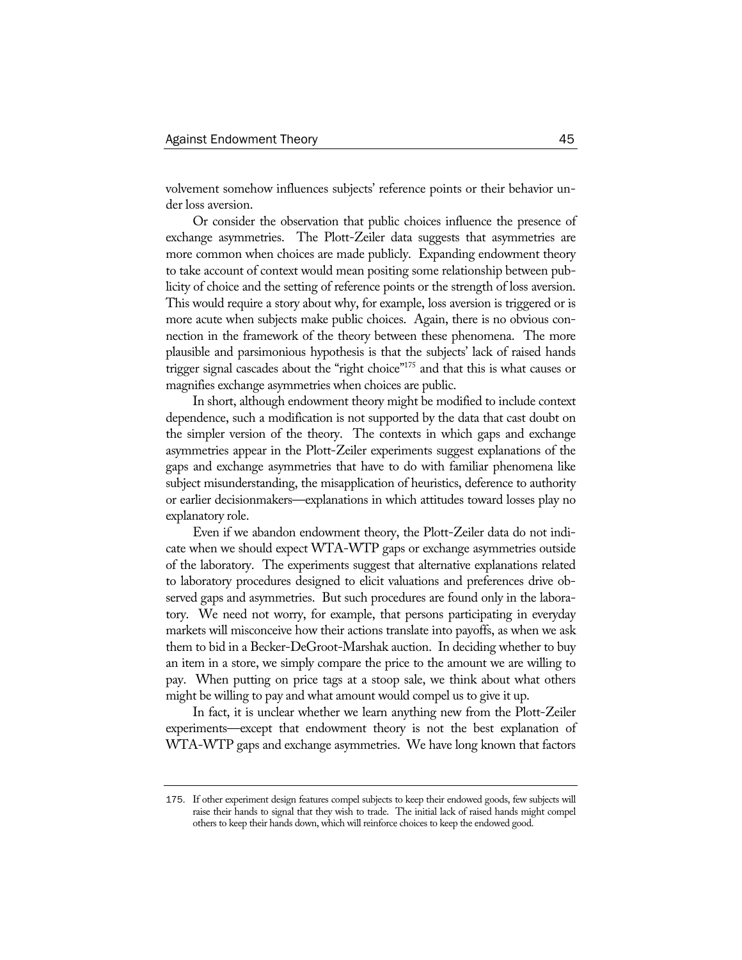volvement somehow influences subjects' reference points or their behavior under loss aversion.

Or consider the observation that public choices influence the presence of exchange asymmetries. The Plott-Zeiler data suggests that asymmetries are more common when choices are made publicly. Expanding endowment theory to take account of context would mean positing some relationship between publicity of choice and the setting of reference points or the strength of loss aversion. This would require a story about why, for example, loss aversion is triggered or is more acute when subjects make public choices. Again, there is no obvious connection in the framework of the theory between these phenomena. The more plausible and parsimonious hypothesis is that the subjects' lack of raised hands trigger signal cascades about the "right choice"175 and that this is what causes or magnifies exchange asymmetries when choices are public.

In short, although endowment theory might be modified to include context dependence, such a modification is not supported by the data that cast doubt on the simpler version of the theory. The contexts in which gaps and exchange asymmetries appear in the Plott-Zeiler experiments suggest explanations of the gaps and exchange asymmetries that have to do with familiar phenomena like subject misunderstanding, the misapplication of heuristics, deference to authority or earlier decisionmakers—explanations in which attitudes toward losses play no explanatory role.

Even if we abandon endowment theory, the Plott-Zeiler data do not indicate when we should expect WTA-WTP gaps or exchange asymmetries outside of the laboratory. The experiments suggest that alternative explanations related to laboratory procedures designed to elicit valuations and preferences drive observed gaps and asymmetries. But such procedures are found only in the laboratory. We need not worry, for example, that persons participating in everyday markets will misconceive how their actions translate into payoffs, as when we ask them to bid in a Becker-DeGroot-Marshak auction. In deciding whether to buy an item in a store, we simply compare the price to the amount we are willing to pay. When putting on price tags at a stoop sale, we think about what others might be willing to pay and what amount would compel us to give it up.

In fact, it is unclear whether we learn anything new from the Plott-Zeiler experiments—except that endowment theory is not the best explanation of WTA-WTP gaps and exchange asymmetries. We have long known that factors

<sup>175</sup>. If other experiment design features compel subjects to keep their endowed goods, few subjects will raise their hands to signal that they wish to trade. The initial lack of raised hands might compel others to keep their hands down, which will reinforce choices to keep the endowed good.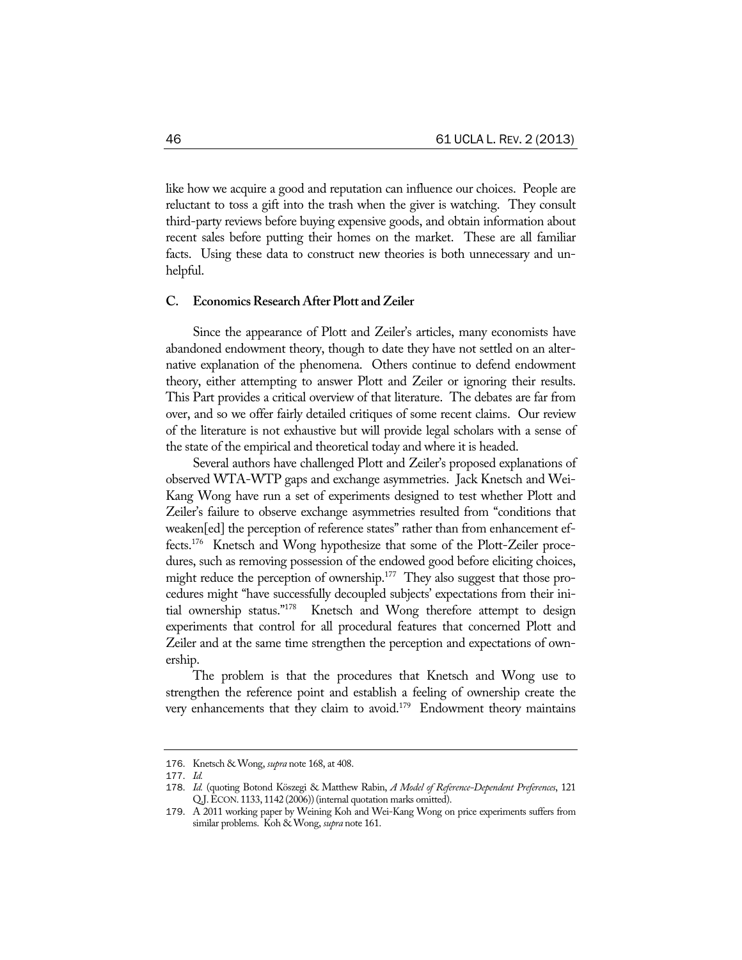like how we acquire a good and reputation can influence our choices. People are reluctant to toss a gift into the trash when the giver is watching. They consult third-party reviews before buying expensive goods, and obtain information about recent sales before putting their homes on the market. These are all familiar facts. Using these data to construct new theories is both unnecessary and unhelpful.

## **C. Economics Research After Plott and Zeiler**

Since the appearance of Plott and Zeiler's articles, many economists have abandoned endowment theory, though to date they have not settled on an alternative explanation of the phenomena. Others continue to defend endowment theory, either attempting to answer Plott and Zeiler or ignoring their results. This Part provides a critical overview of that literature. The debates are far from over, and so we offer fairly detailed critiques of some recent claims. Our review of the literature is not exhaustive but will provide legal scholars with a sense of the state of the empirical and theoretical today and where it is headed.

Several authors have challenged Plott and Zeiler's proposed explanations of observed WTA-WTP gaps and exchange asymmetries. Jack Knetsch and Wei-Kang Wong have run a set of experiments designed to test whether Plott and Zeiler's failure to observe exchange asymmetries resulted from "conditions that weaken[ed] the perception of reference states" rather than from enhancement effects.176 Knetsch and Wong hypothesize that some of the Plott-Zeiler procedures, such as removing possession of the endowed good before eliciting choices, might reduce the perception of ownership.<sup>177</sup> They also suggest that those procedures might "have successfully decoupled subjects' expectations from their initial ownership status."178 Knetsch and Wong therefore attempt to design experiments that control for all procedural features that concerned Plott and Zeiler and at the same time strengthen the perception and expectations of ownership.

The problem is that the procedures that Knetsch and Wong use to strengthen the reference point and establish a feeling of ownership create the very enhancements that they claim to avoid.<sup>179</sup> Endowment theory maintains

<sup>176</sup>. Knetsch & Wong, *supra* note 168, at 408.

<sup>177</sup>. *Id.*

<sup>178</sup>. *Id.* (quoting Botond Köszegi & Matthew Rabin, *A Model of Reference-Dependent Preferences*, 121 Q.J.ECON. 1133, 1142 (2006))(internal quotation marks omitted).

<sup>179</sup>. A 2011 working paper by Weining Koh and Wei-Kang Wong on price experiments suffers from similar problems. Koh & Wong, *supra* note 161.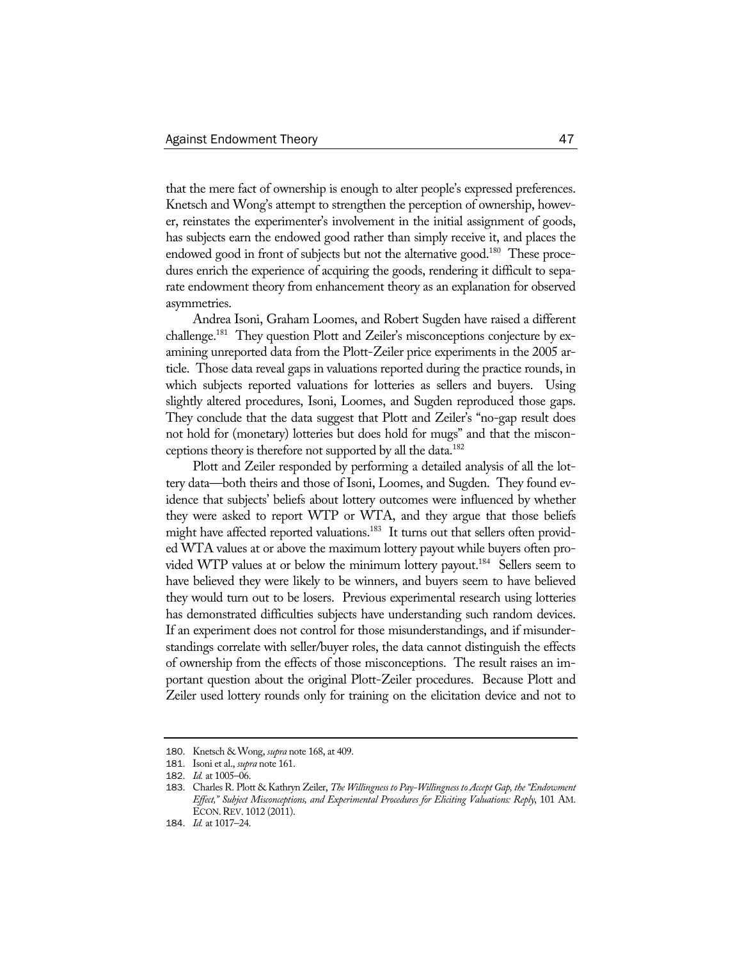that the mere fact of ownership is enough to alter people's expressed preferences. Knetsch and Wong's attempt to strengthen the perception of ownership, however, reinstates the experimenter's involvement in the initial assignment of goods, has subjects earn the endowed good rather than simply receive it, and places the endowed good in front of subjects but not the alternative good.<sup>180</sup> These procedures enrich the experience of acquiring the goods, rendering it difficult to separate endowment theory from enhancement theory as an explanation for observed asymmetries.

Andrea Isoni, Graham Loomes, and Robert Sugden have raised a different challenge.<sup>181</sup> They question Plott and Zeiler's misconceptions conjecture by examining unreported data from the Plott-Zeiler price experiments in the 2005 article. Those data reveal gaps in valuations reported during the practice rounds, in which subjects reported valuations for lotteries as sellers and buyers. Using slightly altered procedures, Isoni, Loomes, and Sugden reproduced those gaps. They conclude that the data suggest that Plott and Zeiler's "no-gap result does not hold for (monetary) lotteries but does hold for mugs" and that the misconceptions theory is therefore not supported by all the data.<sup>182</sup>

Plott and Zeiler responded by performing a detailed analysis of all the lottery data—both theirs and those of Isoni, Loomes, and Sugden. They found evidence that subjects' beliefs about lottery outcomes were influenced by whether they were asked to report WTP or WTA, and they argue that those beliefs might have affected reported valuations.<sup>183</sup> It turns out that sellers often provided WTA values at or above the maximum lottery payout while buyers often provided WTP values at or below the minimum lottery payout.<sup>184</sup> Sellers seem to have believed they were likely to be winners, and buyers seem to have believed they would turn out to be losers. Previous experimental research using lotteries has demonstrated difficulties subjects have understanding such random devices. If an experiment does not control for those misunderstandings, and if misunderstandings correlate with seller/buyer roles, the data cannot distinguish the effects of ownership from the effects of those misconceptions. The result raises an important question about the original Plott-Zeiler procedures. Because Plott and Zeiler used lottery rounds only for training on the elicitation device and not to

<sup>180</sup>. Knetsch & Wong, *supra* note 168, at 409.

<sup>181</sup>. Isoni et al., *supra* note 161.

<sup>182</sup>. *Id.* at 1005–06.

<sup>183</sup>. Charles R. Plott & Kathryn Zeiler, *The Willingness to Pay-Willingness to Accept Gap, the "Endowment Effect," Subject Misconceptions, and Experimental Procedures for Eliciting Valuations: Reply*, 101 AM. ECON.REV. 1012 (2011).

<sup>184</sup>. *Id.* at 1017–24.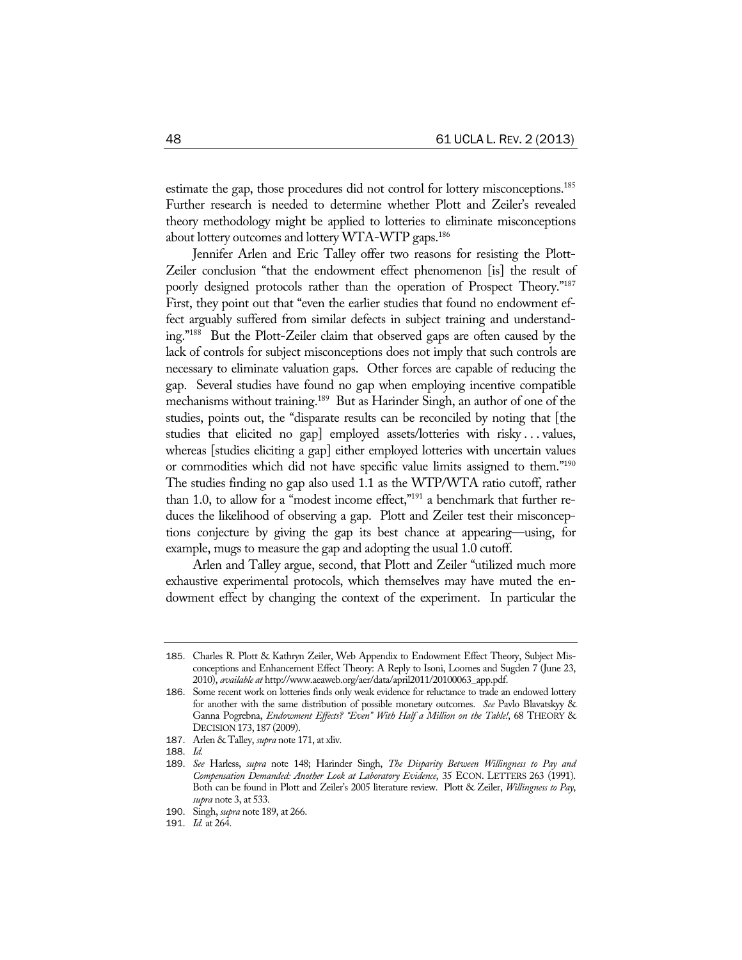estimate the gap, those procedures did not control for lottery misconceptions.<sup>185</sup> Further research is needed to determine whether Plott and Zeiler's revealed theory methodology might be applied to lotteries to eliminate misconceptions about lottery outcomes and lottery WTA-WTP gaps.<sup>186</sup>

Jennifer Arlen and Eric Talley offer two reasons for resisting the Plott-Zeiler conclusion "that the endowment effect phenomenon [is] the result of poorly designed protocols rather than the operation of Prospect Theory."187 First, they point out that "even the earlier studies that found no endowment effect arguably suffered from similar defects in subject training and understanding."188 But the Plott-Zeiler claim that observed gaps are often caused by the lack of controls for subject misconceptions does not imply that such controls are necessary to eliminate valuation gaps. Other forces are capable of reducing the gap. Several studies have found no gap when employing incentive compatible mechanisms without training.<sup>189</sup> But as Harinder Singh, an author of one of the studies, points out, the "disparate results can be reconciled by noting that [the studies that elicited no gap] employed assets/lotteries with risky . . . values, whereas [studies eliciting a gap] either employed lotteries with uncertain values or commodities which did not have specific value limits assigned to them."190 The studies finding no gap also used 1.1 as the WTP/WTA ratio cutoff, rather than 1.0, to allow for a "modest income effect,"<sup>191</sup> a benchmark that further reduces the likelihood of observing a gap. Plott and Zeiler test their misconceptions conjecture by giving the gap its best chance at appearing—using, for example, mugs to measure the gap and adopting the usual 1.0 cutoff.

Arlen and Talley argue, second, that Plott and Zeiler "utilized much more exhaustive experimental protocols, which themselves may have muted the endowment effect by changing the context of the experiment. In particular the

<sup>185</sup>. Charles R. Plott & Kathryn Zeiler, Web Appendix to Endowment Effect Theory, Subject Misconceptions and Enhancement Effect Theory: A Reply to Isoni, Loomes and Sugden 7 (June 23, 2010), *available at* http://www.aeaweb.org/aer/data/april2011/20100063\_app.pdf.

<sup>186</sup>. Some recent work on lotteries finds only weak evidence for reluctance to trade an endowed lottery for another with the same distribution of possible monetary outcomes. *See* Pavlo Blavatskyy & Ganna Pogrebna, *Endowment Effects? "Even" With Half a Million on the Table!*, 68 THEORY & DECISION 173, 187 (2009).

<sup>187</sup>. Arlen & Talley, *supra* note 171, at xliv.

<sup>188</sup>. *Id.*

<sup>189</sup>. *See* Harless, *supra* note 148; Harinder Singh, *The Disparity Between Willingness to Pay and Compensation Demanded: Another Look at Laboratory Evidence*, 35 ECON. LETTERS 263 (1991). Both can be found in Plott and Zeiler's 2005 literature review. Plott & Zeiler, *Willingness to Pay*, *supra* note 3, at 533.

<sup>190</sup>. Singh, *supra* note 189, at 266.

<sup>191</sup>. *Id.* at 264.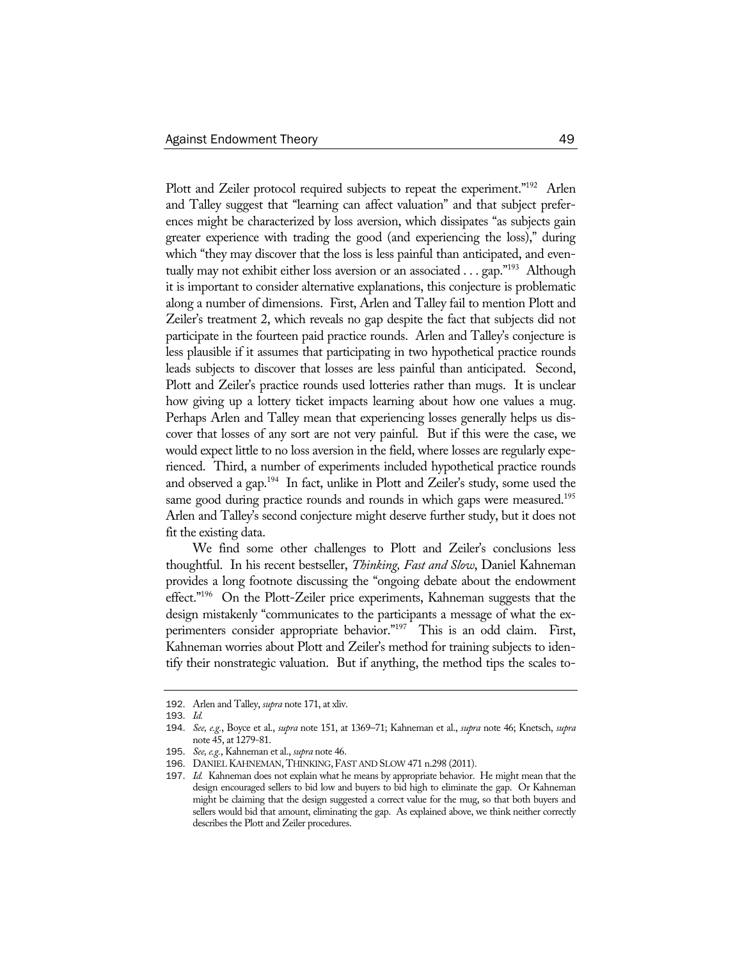Plott and Zeiler protocol required subjects to repeat the experiment."<sup>192</sup> Arlen and Talley suggest that "learning can affect valuation" and that subject preferences might be characterized by loss aversion, which dissipates "as subjects gain greater experience with trading the good (and experiencing the loss)," during which "they may discover that the loss is less painful than anticipated, and eventually may not exhibit either loss aversion or an associated . . . gap."193 Although it is important to consider alternative explanations, this conjecture is problematic along a number of dimensions. First, Arlen and Talley fail to mention Plott and Zeiler's treatment 2, which reveals no gap despite the fact that subjects did not participate in the fourteen paid practice rounds. Arlen and Talley's conjecture is less plausible if it assumes that participating in two hypothetical practice rounds leads subjects to discover that losses are less painful than anticipated. Second, Plott and Zeiler's practice rounds used lotteries rather than mugs. It is unclear how giving up a lottery ticket impacts learning about how one values a mug. Perhaps Arlen and Talley mean that experiencing losses generally helps us discover that losses of any sort are not very painful. But if this were the case, we would expect little to no loss aversion in the field, where losses are regularly experienced. Third, a number of experiments included hypothetical practice rounds and observed a gap.194 In fact, unlike in Plott and Zeiler's study, some used the same good during practice rounds and rounds in which gaps were measured.<sup>195</sup> Arlen and Talley's second conjecture might deserve further study, but it does not fit the existing data.

We find some other challenges to Plott and Zeiler's conclusions less thoughtful. In his recent bestseller, *Thinking, Fast and Slow*, Daniel Kahneman provides a long footnote discussing the "ongoing debate about the endowment effect."<sup>196</sup> On the Plott-Zeiler price experiments, Kahneman suggests that the design mistakenly "communicates to the participants a message of what the experimenters consider appropriate behavior."<sup>197</sup> This is an odd claim. First, Kahneman worries about Plott and Zeiler's method for training subjects to identify their nonstrategic valuation. But if anything, the method tips the scales to-

<sup>192</sup>. Arlen and Talley, *supra* note 171, at xliv.

<sup>193</sup>. *Id.*

<sup>194</sup>. *See, e.g.*, Boyce et al., *supra* note 151, at 1369–71; Kahneman et al., *supra* note 46; Knetsch, *supra*  note 45, at 1279-81.

<sup>195</sup>. *See, e.g.*, Kahneman et al., *supra* note 46.

<sup>196</sup>. DANIEL KAHNEMAN, THINKING,FAST AND SLOW 471 n.298 (2011).

<sup>197</sup>. *Id.* Kahneman does not explain what he means by appropriate behavior. He might mean that the design encouraged sellers to bid low and buyers to bid high to eliminate the gap. Or Kahneman might be claiming that the design suggested a correct value for the mug, so that both buyers and sellers would bid that amount, eliminating the gap. As explained above, we think neither correctly describes the Plott and Zeiler procedures.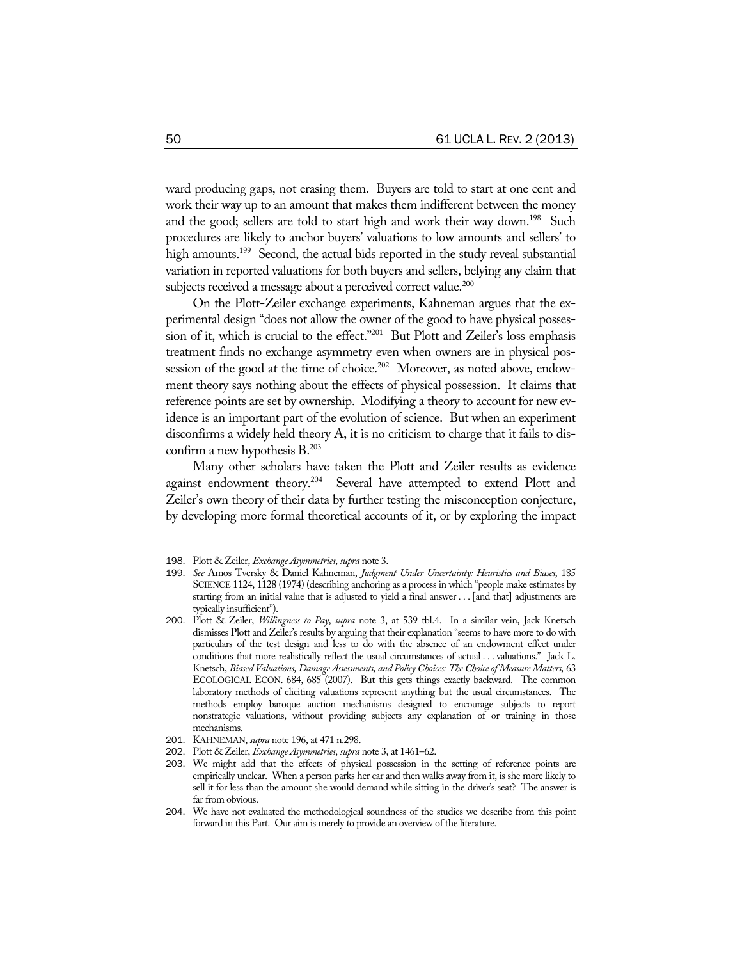ward producing gaps, not erasing them. Buyers are told to start at one cent and work their way up to an amount that makes them indifferent between the money and the good; sellers are told to start high and work their way down.<sup>198</sup> Such procedures are likely to anchor buyers' valuations to low amounts and sellers' to high amounts.<sup>199</sup> Second, the actual bids reported in the study reveal substantial variation in reported valuations for both buyers and sellers, belying any claim that subjects received a message about a perceived correct value.<sup>200</sup>

On the Plott-Zeiler exchange experiments, Kahneman argues that the experimental design "does not allow the owner of the good to have physical possession of it, which is crucial to the effect."<sup>201</sup> But Plott and Zeiler's loss emphasis treatment finds no exchange asymmetry even when owners are in physical possession of the good at the time of choice.<sup>202</sup> Moreover, as noted above, endowment theory says nothing about the effects of physical possession. It claims that reference points are set by ownership. Modifying a theory to account for new evidence is an important part of the evolution of science. But when an experiment disconfirms a widely held theory A, it is no criticism to charge that it fails to disconfirm a new hypothesis B.<sup>203</sup>

Many other scholars have taken the Plott and Zeiler results as evidence against endowment theory.<sup>204</sup> Several have attempted to extend Plott and Zeiler's own theory of their data by further testing the misconception conjecture, by developing more formal theoretical accounts of it, or by exploring the impact

<sup>198</sup>. Plott & Zeiler, *Exchange Asymmetries*, *supra* note 3.

<sup>199</sup>. *See* Amos Tversky & Daniel Kahneman, *Judgment Under Uncertainty: Heuristics and Biases*, 185 SCIENCE 1124, 1128 (1974) (describing anchoring as a process in which "people make estimates by starting from an initial value that is adjusted to yield a final answer . . . [and that] adjustments are typically insufficient").

<sup>200</sup>. Plott & Zeiler, *Willingness to Pay*, *supra* note 3, at 539 tbl.4. In a similar vein, Jack Knetsch dismisses Plott and Zeiler's results by arguing that their explanation "seems to have more to do with particulars of the test design and less to do with the absence of an endowment effect under conditions that more realistically reflect the usual circumstances of actual . . . valuations." Jack L. Knetsch, *Biased Valuations, Damage Assessments, and Policy Choices: The Choice of Measure Matters,* 63 ECOLOGICAL ECON. 684, 685 (2007). But this gets things exactly backward. The common laboratory methods of eliciting valuations represent anything but the usual circumstances. The methods employ baroque auction mechanisms designed to encourage subjects to report nonstrategic valuations, without providing subjects any explanation of or training in those mechanisms.

<sup>201</sup>. KAHNEMAN, *supra* note 196, at 471 n.298.

<sup>202</sup>. Plott & Zeiler, *Exchange Asymmetries*, *supra* note 3, at 1461–62.

<sup>203</sup>. We might add that the effects of physical possession in the setting of reference points are empirically unclear. When a person parks her car and then walks away from it, is she more likely to sell it for less than the amount she would demand while sitting in the driver's seat? The answer is far from obvious.

<sup>204</sup>. We have not evaluated the methodological soundness of the studies we describe from this point forward in this Part. Our aim is merely to provide an overview of the literature.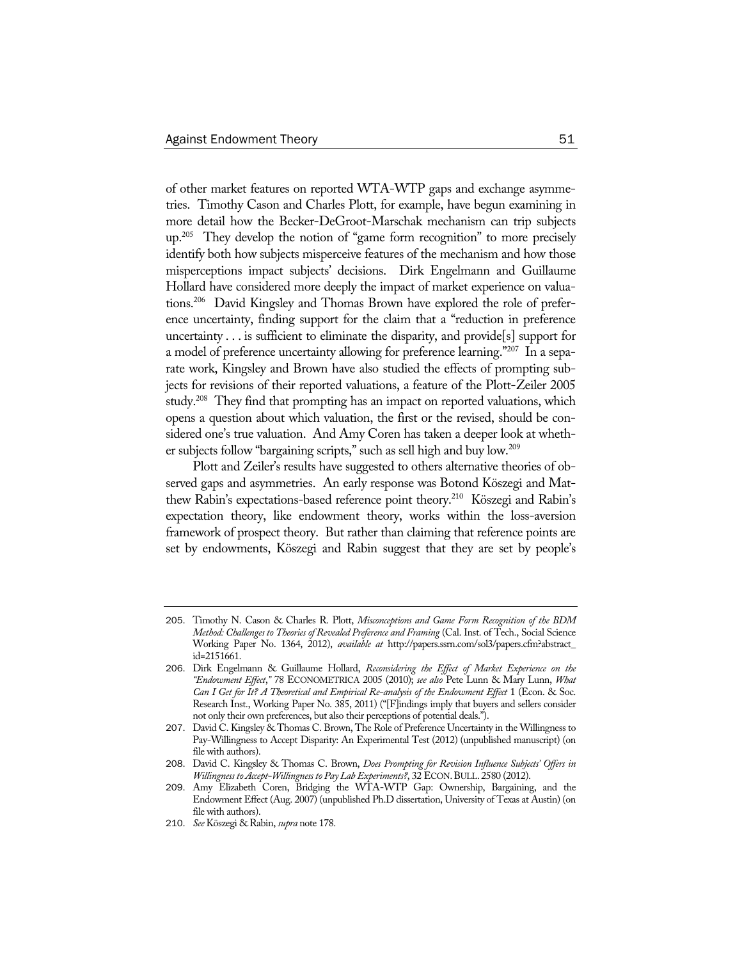of other market features on reported WTA-WTP gaps and exchange asymmetries. Timothy Cason and Charles Plott, for example, have begun examining in more detail how the Becker-DeGroot-Marschak mechanism can trip subjects up.<sup>205</sup> They develop the notion of "game form recognition" to more precisely identify both how subjects misperceive features of the mechanism and how those misperceptions impact subjects' decisions. Dirk Engelmann and Guillaume Hollard have considered more deeply the impact of market experience on valuations.206 David Kingsley and Thomas Brown have explored the role of preference uncertainty, finding support for the claim that a "reduction in preference uncertainty . . . is sufficient to eliminate the disparity, and provide[s] support for a model of preference uncertainty allowing for preference learning."207 In a separate work, Kingsley and Brown have also studied the effects of prompting subjects for revisions of their reported valuations, a feature of the Plott-Zeiler 2005 study.<sup>208</sup> They find that prompting has an impact on reported valuations, which opens a question about which valuation, the first or the revised, should be considered one's true valuation. And Amy Coren has taken a deeper look at whether subjects follow "bargaining scripts," such as sell high and buy low.209

Plott and Zeiler's results have suggested to others alternative theories of observed gaps and asymmetries. An early response was Botond Köszegi and Matthew Rabin's expectations-based reference point theory.210 Köszegi and Rabin's expectation theory, like endowment theory, works within the loss-aversion framework of prospect theory. But rather than claiming that reference points are set by endowments, Köszegi and Rabin suggest that they are set by people's

<sup>205</sup>. Timothy N. Cason & Charles R. Plott, *Misconceptions and Game Form Recognition of the BDM Method: Challenges to Theories of Revealed Preference and Framing* (Cal. Inst. of Tech., Social Science Working Paper No. 1364, 2012), *available at* http://papers.ssrn.com/sol3/papers.cfm?abstract\_ id=2151661.

<sup>206</sup>. Dirk Engelmann & Guillaume Hollard, *Reconsidering the Effect of Market Experience on the "Endowment Effect*,*"* 78 ECONOMETRICA 2005 (2010); *see also* Pete Lunn & Mary Lunn, *What Can I Get for It? A Theoretical and Empirical Re-analysis of the Endowment Effect* 1 (Econ. & Soc. Research Inst., Working Paper No. 385, 2011) ("[F]indings imply that buyers and sellers consider not only their own preferences, but also their perceptions of potential deals.").

<sup>207</sup>. David C. Kingsley & Thomas C. Brown, The Role of Preference Uncertainty in the Willingness to Pay-Willingness to Accept Disparity: An Experimental Test (2012) (unpublished manuscript) (on file with authors).

<sup>208</sup>. David C. Kingsley & Thomas C. Brown, *Does Prompting for Revision Influence Subjects' Offers in Willingness to Accept-Willingness to Pay Lab Experiments?*, 32 ECON.BULL. 2580 (2012).

<sup>209</sup>. Amy Elizabeth Coren, Bridging the WTA-WTP Gap: Ownership, Bargaining, and the Endowment Effect (Aug. 2007) (unpublished Ph.D dissertation, University of Texas at Austin) (on file with authors).

<sup>210</sup>. *See* Köszegi & Rabin, *supra* note 178.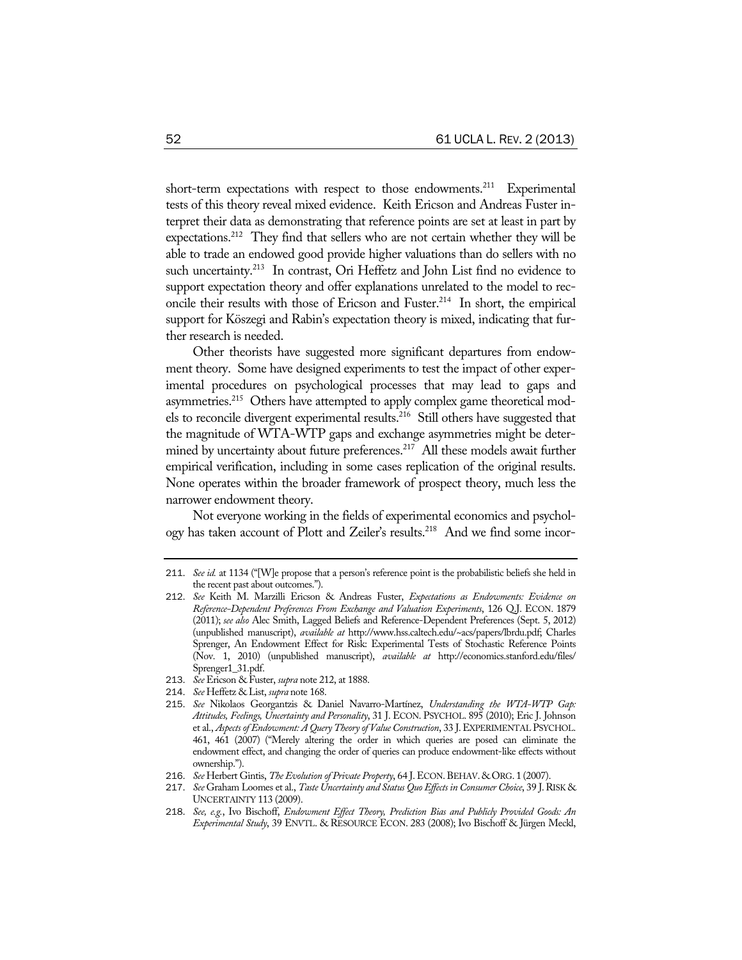short-term expectations with respect to those endowments.<sup>211</sup> Experimental tests of this theory reveal mixed evidence. Keith Ericson and Andreas Fuster interpret their data as demonstrating that reference points are set at least in part by expectations.212 They find that sellers who are not certain whether they will be able to trade an endowed good provide higher valuations than do sellers with no such uncertainty.<sup>213</sup> In contrast, Ori Heffetz and John List find no evidence to support expectation theory and offer explanations unrelated to the model to reconcile their results with those of Ericson and Fuster.<sup>214</sup> In short, the empirical support for Köszegi and Rabin's expectation theory is mixed, indicating that further research is needed.

Other theorists have suggested more significant departures from endowment theory. Some have designed experiments to test the impact of other experimental procedures on psychological processes that may lead to gaps and asymmetries.<sup>215</sup> Others have attempted to apply complex game theoretical models to reconcile divergent experimental results.216 Still others have suggested that the magnitude of WTA-WTP gaps and exchange asymmetries might be determined by uncertainty about future preferences.<sup>217</sup> All these models await further empirical verification, including in some cases replication of the original results. None operates within the broader framework of prospect theory, much less the narrower endowment theory.

Not everyone working in the fields of experimental economics and psychology has taken account of Plott and Zeiler's results.<sup>218</sup> And we find some incor-

- 213. *See* Ericson & Fuster, *supra* note 212, at 1888.
- 214. *See* Heffetz & List, *supra* note 168.

<sup>211</sup>. *See id.* at 1134 ("[W]e propose that a person's reference point is the probabilistic beliefs she held in the recent past about outcomes.").

<sup>212</sup>. *See* Keith M. Marzilli Ericson & Andreas Fuster, *Expectations as Endowments: Evidence on Reference-Dependent Preferences From Exchange and Valuation Experiments*, 126 Q.J. ECON. 1879 (2011); *see also* Alec Smith, Lagged Beliefs and Reference-Dependent Preferences (Sept. 5, 2012) (unpublished manuscript), *available at* http://www.hss.caltech.edu/~acs/papers/lbrdu.pdf; Charles Sprenger, An Endowment Effect for Risk: Experimental Tests of Stochastic Reference Points (Nov. 1, 2010) (unpublished manuscript), *available at* http://economics.stanford.edu/files/ Sprenger1\_31.pdf.

<sup>215</sup>. *See* Nikolaos Georgantzis & Daniel Navarro-Martínez, *Understanding the WTA-WTP Gap: Attitudes, Feelings, Uncertainty and Personality*, 31 J. ECON. PSYCHOL. 895 (2010); Eric J. Johnson et al., *Aspects of Endowment: A Query Theory of Value Construction*, 33 J.EXPERIMENTAL PSYCHOL. 461, 461 (2007) ("Merely altering the order in which queries are posed can eliminate the endowment effect, and changing the order of queries can produce endowment-like effects without ownership.").

<sup>216</sup>. *See* Herbert Gintis, *The Evolution of Private Property*, 64 J.ECON.BEHAV. & ORG. 1 (2007).

<sup>217</sup>. *See* Graham Loomes et al., *Taste Uncertainty and Status Quo Effects in Consumer Choice*, 39 J.RISK & UNCERTAINTY 113 (2009).

<sup>218</sup>. *See, e.g.*, Ivo Bischoff, *Endowment Effect Theory, Prediction Bias and Publicly Provided Goods: An Experimental Study*, 39 ENVTL. & RESOURCE ECON. 283 (2008); Ivo Bischoff & Jürgen Meckl,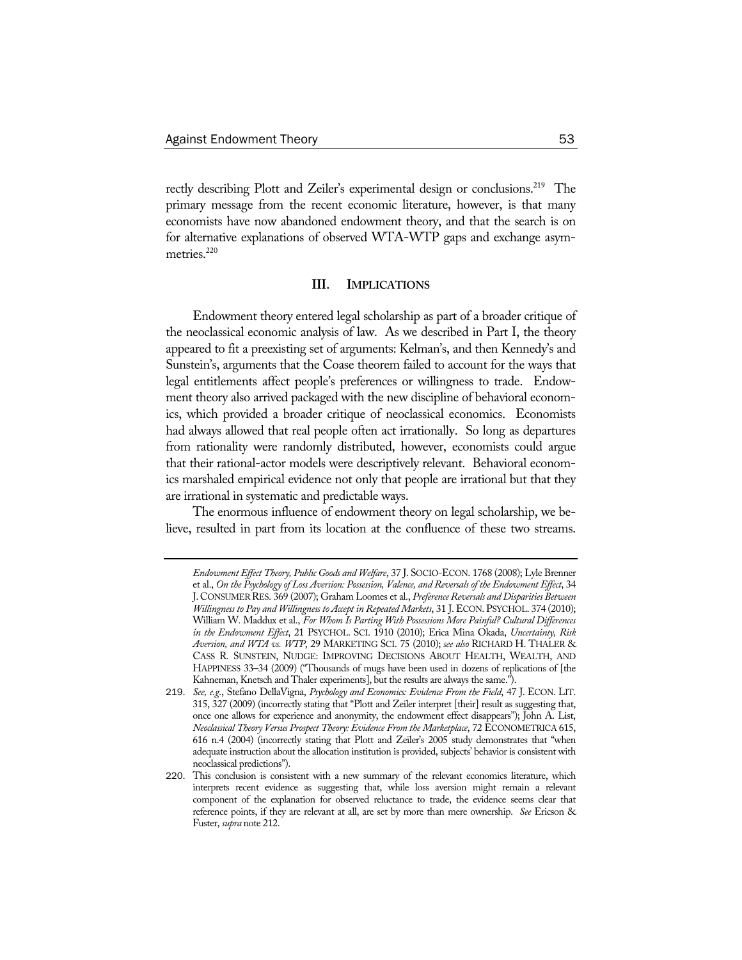rectly describing Plott and Zeiler's experimental design or conclusions.<sup>219</sup> The primary message from the recent economic literature, however, is that many economists have now abandoned endowment theory, and that the search is on for alternative explanations of observed WTA-WTP gaps and exchange asymmetries.<sup>220</sup>

#### **III. IMPLICATIONS**

Endowment theory entered legal scholarship as part of a broader critique of the neoclassical economic analysis of law. As we described in Part I, the theory appeared to fit a preexisting set of arguments: Kelman's, and then Kennedy's and Sunstein's, arguments that the Coase theorem failed to account for the ways that legal entitlements affect people's preferences or willingness to trade. Endowment theory also arrived packaged with the new discipline of behavioral economics, which provided a broader critique of neoclassical economics. Economists had always allowed that real people often act irrationally. So long as departures from rationality were randomly distributed, however, economists could argue that their rational-actor models were descriptively relevant. Behavioral economics marshaled empirical evidence not only that people are irrational but that they are irrational in systematic and predictable ways.

The enormous influence of endowment theory on legal scholarship, we believe, resulted in part from its location at the confluence of these two streams.

*Endowment Effect Theory, Public Goods and Welfare*, 37 J. SOCIO-ECON. 1768 (2008); Lyle Brenner et al., *On the Psychology of Loss Aversion: Possession, Valence, and Reversals of the Endowment Effect*, 34 J. CONSUMER RES. 369 (2007); Graham Loomes et al., *Preference Reversals and Disparities Between Willingness to Pay and Willingness to Accept in Repeated Markets*, 31 J.ECON. PSYCHOL. 374 (2010); William W. Maddux et al., *For Whom Is Parting With Possessions More Painful? Cultural Differences in the Endowment Effect*, 21 PSYCHOL. SCI. 1910 (2010); Erica Mina Okada, *Uncertainty, Risk Aversion, and WTA vs. WTP*, 29 MARKETING SCI. 75 (2010); *see also* RICHARD H. THALER & CASS R. SUNSTEIN, NUDGE: IMPROVING DECISIONS ABOUT HEALTH, WEALTH, AND HAPPINESS 33–34 (2009) ("Thousands of mugs have been used in dozens of replications of [the Kahneman, Knetsch and Thaler experiments], but the results are always the same.").

<sup>219</sup>. *See, e.g.*, Stefano DellaVigna, *Psychology and Economics: Evidence From the Field*, 47 J. ECON. LIT. 315, 327 (2009) (incorrectly stating that "Plott and Zeiler interpret [their] result as suggesting that, once one allows for experience and anonymity, the endowment effect disappears"); John A. List, *Neoclassical Theory Versus Prospect Theory: Evidence From the Marketplace*, 72 ECONOMETRICA 615, 616 n.4 (2004) (incorrectly stating that Plott and Zeiler's 2005 study demonstrates that "when adequate instruction about the allocation institution is provided, subjects' behavior is consistent with neoclassical predictions").

<sup>220</sup>. This conclusion is consistent with a new summary of the relevant economics literature, which interprets recent evidence as suggesting that, while loss aversion might remain a relevant component of the explanation for observed reluctance to trade, the evidence seems clear that reference points, if they are relevant at all, are set by more than mere ownership. *See* Ericson & Fuster, *supra* note 212.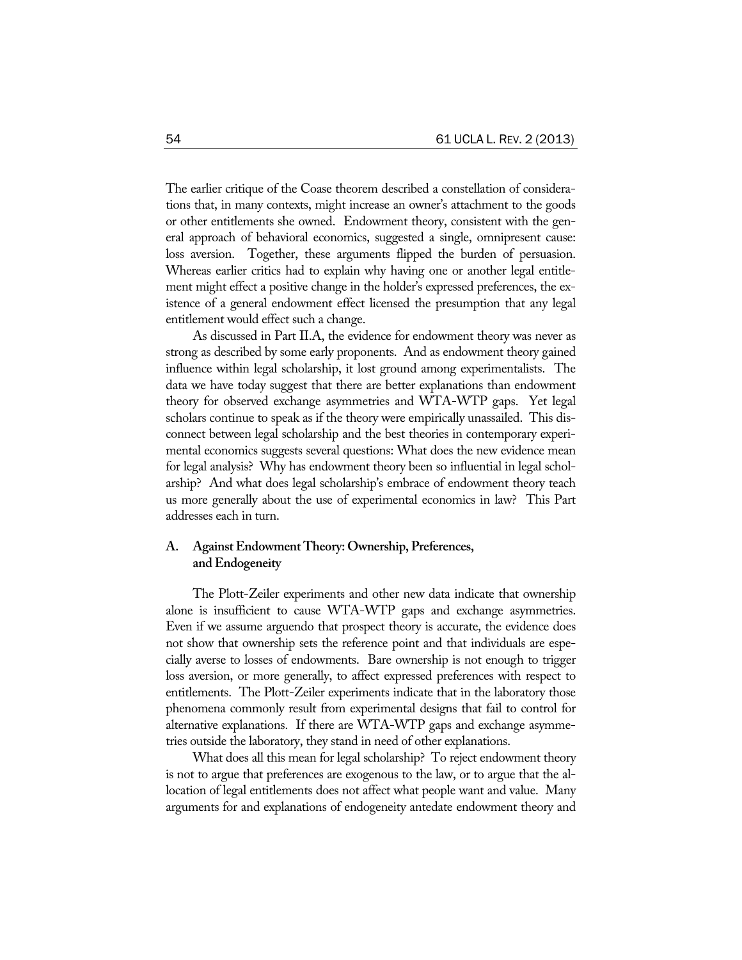The earlier critique of the Coase theorem described a constellation of considerations that, in many contexts, might increase an owner's attachment to the goods or other entitlements she owned. Endowment theory, consistent with the general approach of behavioral economics, suggested a single, omnipresent cause: loss aversion. Together, these arguments flipped the burden of persuasion. Whereas earlier critics had to explain why having one or another legal entitlement might effect a positive change in the holder's expressed preferences, the existence of a general endowment effect licensed the presumption that any legal entitlement would effect such a change.

As discussed in Part II.A, the evidence for endowment theory was never as strong as described by some early proponents. And as endowment theory gained influence within legal scholarship, it lost ground among experimentalists. The data we have today suggest that there are better explanations than endowment theory for observed exchange asymmetries and WTA-WTP gaps. Yet legal scholars continue to speak as if the theory were empirically unassailed. This disconnect between legal scholarship and the best theories in contemporary experimental economics suggests several questions: What does the new evidence mean for legal analysis? Why has endowment theory been so influential in legal scholarship? And what does legal scholarship's embrace of endowment theory teach us more generally about the use of experimental economics in law? This Part addresses each in turn.

# **A. Against Endowment Theory: Ownership, Preferences, and Endogeneity**

The Plott-Zeiler experiments and other new data indicate that ownership alone is insufficient to cause WTA-WTP gaps and exchange asymmetries. Even if we assume arguendo that prospect theory is accurate, the evidence does not show that ownership sets the reference point and that individuals are especially averse to losses of endowments. Bare ownership is not enough to trigger loss aversion, or more generally, to affect expressed preferences with respect to entitlements. The Plott-Zeiler experiments indicate that in the laboratory those phenomena commonly result from experimental designs that fail to control for alternative explanations. If there are WTA-WTP gaps and exchange asymmetries outside the laboratory, they stand in need of other explanations.

What does all this mean for legal scholarship? To reject endowment theory is not to argue that preferences are exogenous to the law, or to argue that the allocation of legal entitlements does not affect what people want and value. Many arguments for and explanations of endogeneity antedate endowment theory and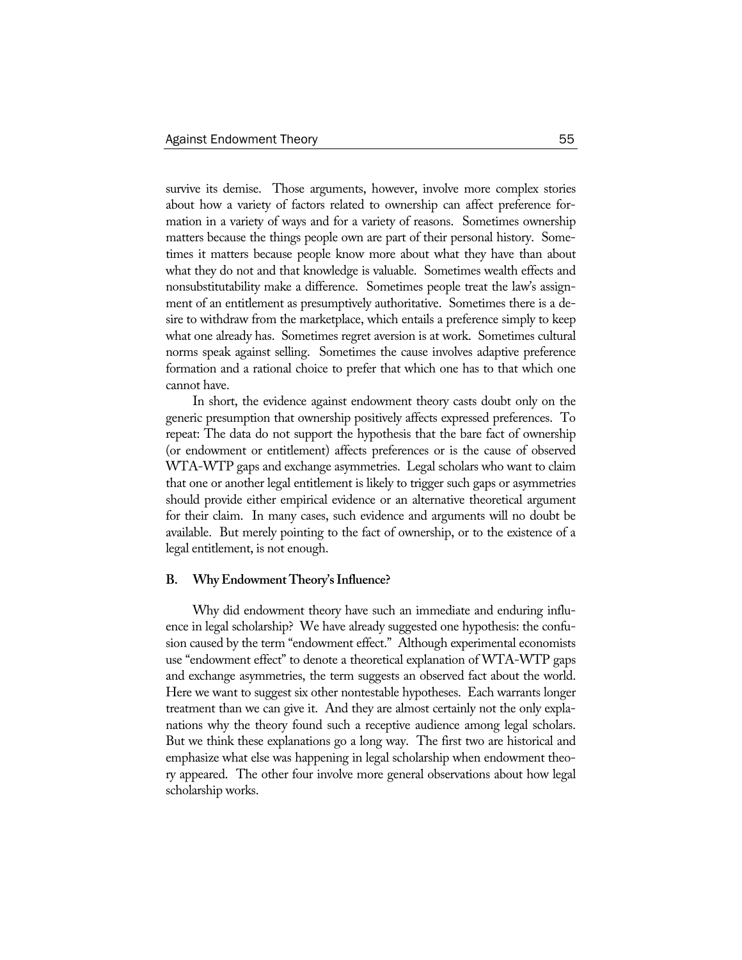survive its demise. Those arguments, however, involve more complex stories about how a variety of factors related to ownership can affect preference formation in a variety of ways and for a variety of reasons. Sometimes ownership matters because the things people own are part of their personal history. Sometimes it matters because people know more about what they have than about what they do not and that knowledge is valuable. Sometimes wealth effects and nonsubstitutability make a difference. Sometimes people treat the law's assignment of an entitlement as presumptively authoritative. Sometimes there is a desire to withdraw from the marketplace, which entails a preference simply to keep what one already has. Sometimes regret aversion is at work. Sometimes cultural norms speak against selling. Sometimes the cause involves adaptive preference formation and a rational choice to prefer that which one has to that which one cannot have.

In short, the evidence against endowment theory casts doubt only on the generic presumption that ownership positively affects expressed preferences. To repeat: The data do not support the hypothesis that the bare fact of ownership (or endowment or entitlement) affects preferences or is the cause of observed WTA-WTP gaps and exchange asymmetries. Legal scholars who want to claim that one or another legal entitlement is likely to trigger such gaps or asymmetries should provide either empirical evidence or an alternative theoretical argument for their claim. In many cases, such evidence and arguments will no doubt be available. But merely pointing to the fact of ownership, or to the existence of a legal entitlement, is not enough.

#### **B. Why Endowment Theory's Influence?**

Why did endowment theory have such an immediate and enduring influence in legal scholarship? We have already suggested one hypothesis: the confusion caused by the term "endowment effect." Although experimental economists use "endowment effect" to denote a theoretical explanation of WTA-WTP gaps and exchange asymmetries, the term suggests an observed fact about the world. Here we want to suggest six other nontestable hypotheses. Each warrants longer treatment than we can give it. And they are almost certainly not the only explanations why the theory found such a receptive audience among legal scholars. But we think these explanations go a long way. The first two are historical and emphasize what else was happening in legal scholarship when endowment theory appeared. The other four involve more general observations about how legal scholarship works.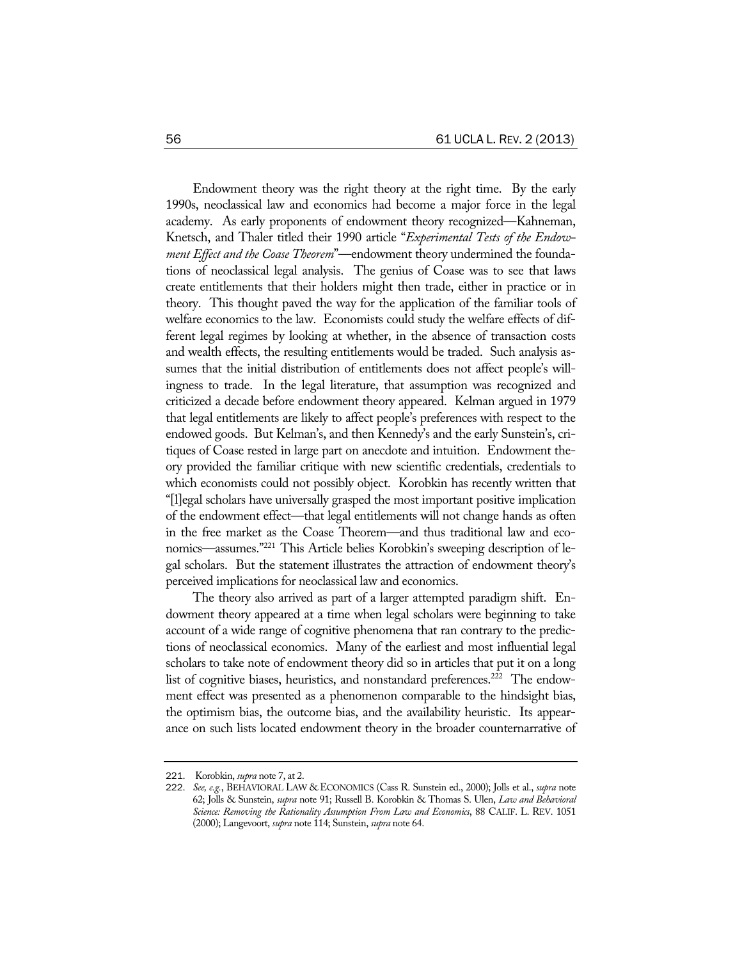Endowment theory was the right theory at the right time. By the early 1990s, neoclassical law and economics had become a major force in the legal academy. As early proponents of endowment theory recognized—Kahneman, Knetsch, and Thaler titled their 1990 article "*Experimental Tests of the Endowment Effect and the Coase Theorem*"—endowment theory undermined the foundations of neoclassical legal analysis. The genius of Coase was to see that laws create entitlements that their holders might then trade, either in practice or in theory. This thought paved the way for the application of the familiar tools of welfare economics to the law. Economists could study the welfare effects of different legal regimes by looking at whether, in the absence of transaction costs and wealth effects, the resulting entitlements would be traded. Such analysis assumes that the initial distribution of entitlements does not affect people's willingness to trade. In the legal literature, that assumption was recognized and criticized a decade before endowment theory appeared. Kelman argued in 1979 that legal entitlements are likely to affect people's preferences with respect to the endowed goods. But Kelman's, and then Kennedy's and the early Sunstein's, critiques of Coase rested in large part on anecdote and intuition. Endowment theory provided the familiar critique with new scientific credentials, credentials to which economists could not possibly object. Korobkin has recently written that "[l]egal scholars have universally grasped the most important positive implication of the endowment effect—that legal entitlements will not change hands as often in the free market as the Coase Theorem—and thus traditional law and economics—assumes."221 This Article belies Korobkin's sweeping description of legal scholars. But the statement illustrates the attraction of endowment theory's perceived implications for neoclassical law and economics.

The theory also arrived as part of a larger attempted paradigm shift. Endowment theory appeared at a time when legal scholars were beginning to take account of a wide range of cognitive phenomena that ran contrary to the predictions of neoclassical economics. Many of the earliest and most influential legal scholars to take note of endowment theory did so in articles that put it on a long list of cognitive biases, heuristics, and nonstandard preferences.<sup>222</sup> The endowment effect was presented as a phenomenon comparable to the hindsight bias, the optimism bias, the outcome bias, and the availability heuristic. Its appearance on such lists located endowment theory in the broader counternarrative of

<sup>221</sup>. Korobkin, *supra* note 7, at 2.

<sup>222</sup>. *See, e.g.*, BEHAVIORAL LAW & ECONOMICS (Cass R. Sunstein ed., 2000); Jolls et al., *supra* note 62; Jolls & Sunstein, *supra* note 91; Russell B. Korobkin & Thomas S. Ulen, *Law and Behavioral Science: Removing the Rationality Assumption From Law and Economics*, 88 CALIF. L. REV. 1051 (2000); Langevoort, *supra* note 114; Sunstein, *supra* note 64.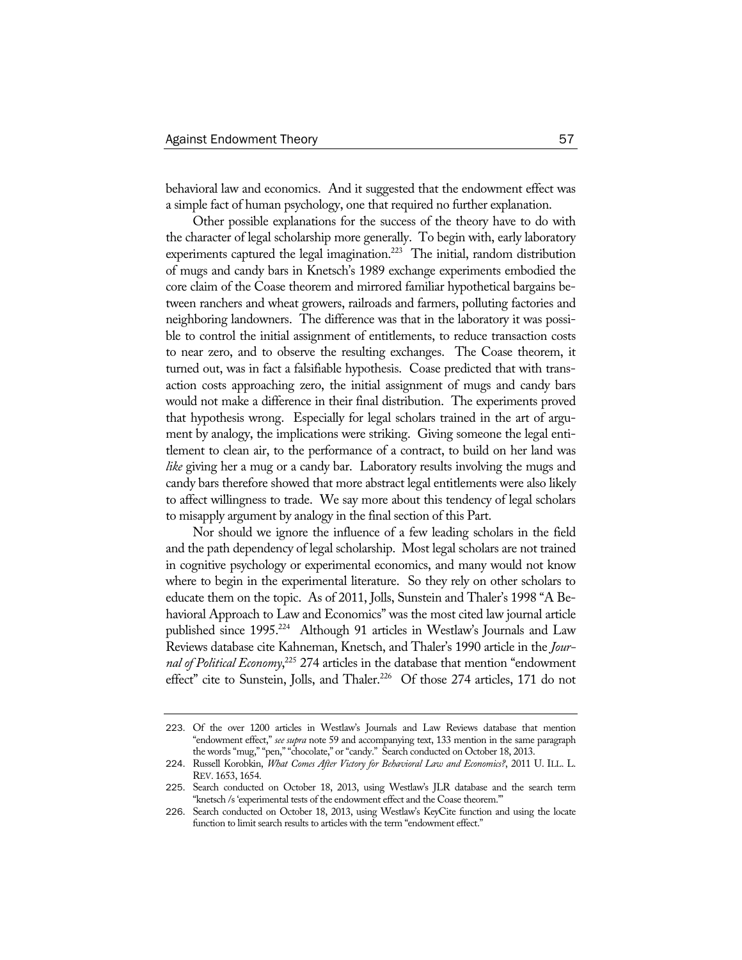behavioral law and economics. And it suggested that the endowment effect was a simple fact of human psychology, one that required no further explanation.

Other possible explanations for the success of the theory have to do with the character of legal scholarship more generally. To begin with, early laboratory experiments captured the legal imagination.<sup>223</sup> The initial, random distribution of mugs and candy bars in Knetsch's 1989 exchange experiments embodied the core claim of the Coase theorem and mirrored familiar hypothetical bargains between ranchers and wheat growers, railroads and farmers, polluting factories and neighboring landowners. The difference was that in the laboratory it was possible to control the initial assignment of entitlements, to reduce transaction costs to near zero, and to observe the resulting exchanges. The Coase theorem, it turned out, was in fact a falsifiable hypothesis. Coase predicted that with transaction costs approaching zero, the initial assignment of mugs and candy bars would not make a difference in their final distribution. The experiments proved that hypothesis wrong. Especially for legal scholars trained in the art of argument by analogy, the implications were striking. Giving someone the legal entitlement to clean air, to the performance of a contract, to build on her land was *like* giving her a mug or a candy bar. Laboratory results involving the mugs and candy bars therefore showed that more abstract legal entitlements were also likely to affect willingness to trade. We say more about this tendency of legal scholars to misapply argument by analogy in the final section of this Part.

Nor should we ignore the influence of a few leading scholars in the field and the path dependency of legal scholarship. Most legal scholars are not trained in cognitive psychology or experimental economics, and many would not know where to begin in the experimental literature. So they rely on other scholars to educate them on the topic. As of 2011, Jolls, Sunstein and Thaler's 1998 "A Behavioral Approach to Law and Economics" was the most cited law journal article published since 1995.<sup>224</sup> Although 91 articles in Westlaw's Journals and Law Reviews database cite Kahneman, Knetsch, and Thaler's 1990 article in the *Journal of Political Economy*, 225 274 articles in the database that mention "endowment effect" cite to Sunstein, Jolls, and Thaler.<sup>226</sup> Of those 274 articles, 171 do not

<sup>223</sup>. Of the over 1200 articles in Westlaw's Journals and Law Reviews database that mention "endowment effect," *see supra* note 59 and accompanying text, 133 mention in the same paragraph the words "mug," "pen," "chocolate," or "candy." Search conducted on October 18, 2013.

<sup>224</sup>. Russell Korobkin, *What Comes After Victory for Behavioral Law and Economics?*, 2011 U. ILL. L. REV. 1653, 1654.

<sup>225</sup>. Search conducted on October 18, 2013, using Westlaw's JLR database and the search term "knetsch /s 'experimental tests of the endowment effect and the Coase theorem.'"

<sup>226</sup>. Search conducted on October 18, 2013, using Westlaw's KeyCite function and using the locate function to limit search results to articles with the term "endowment effect."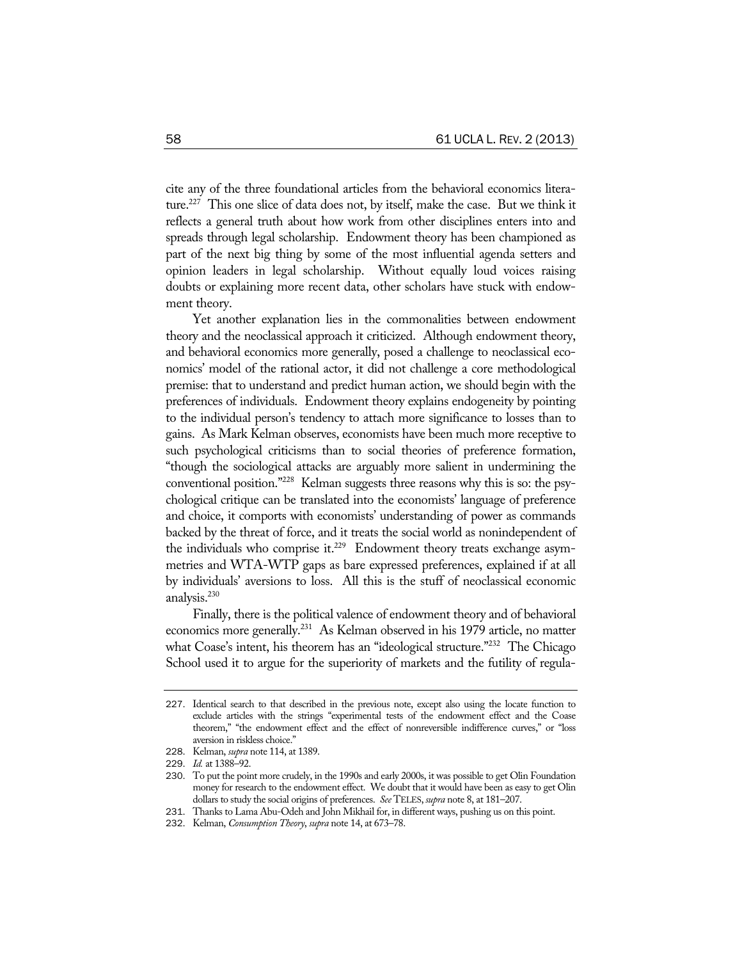cite any of the three foundational articles from the behavioral economics literature.227 This one slice of data does not, by itself, make the case. But we think it reflects a general truth about how work from other disciplines enters into and spreads through legal scholarship. Endowment theory has been championed as part of the next big thing by some of the most influential agenda setters and opinion leaders in legal scholarship. Without equally loud voices raising doubts or explaining more recent data, other scholars have stuck with endowment theory.

Yet another explanation lies in the commonalities between endowment theory and the neoclassical approach it criticized. Although endowment theory, and behavioral economics more generally, posed a challenge to neoclassical economics' model of the rational actor, it did not challenge a core methodological premise: that to understand and predict human action, we should begin with the preferences of individuals. Endowment theory explains endogeneity by pointing to the individual person's tendency to attach more significance to losses than to gains. As Mark Kelman observes, economists have been much more receptive to such psychological criticisms than to social theories of preference formation, "though the sociological attacks are arguably more salient in undermining the conventional position."228 Kelman suggests three reasons why this is so: the psychological critique can be translated into the economists' language of preference and choice, it comports with economists' understanding of power as commands backed by the threat of force, and it treats the social world as nonindependent of the individuals who comprise it.<sup>229</sup> Endowment theory treats exchange asymmetries and WTA-WTP gaps as bare expressed preferences, explained if at all by individuals' aversions to loss. All this is the stuff of neoclassical economic analysis.<sup>230</sup>

Finally, there is the political valence of endowment theory and of behavioral economics more generally.<sup>231</sup> As Kelman observed in his 1979 article, no matter what Coase's intent, his theorem has an "ideological structure."<sup>232</sup> The Chicago School used it to argue for the superiority of markets and the futility of regula-

<sup>227</sup>. Identical search to that described in the previous note, except also using the locate function to exclude articles with the strings "experimental tests of the endowment effect and the Coase theorem," "the endowment effect and the effect of nonreversible indifference curves," or "loss aversion in riskless choice."

<sup>228</sup>. Kelman, *supra* note 114, at 1389.

<sup>229</sup>. *Id.* at 1388–92.

<sup>230</sup>. To put the point more crudely, in the 1990s and early 2000s, it was possible to get Olin Foundation money for research to the endowment effect. We doubt that it would have been as easy to get Olin dollars to study the social origins of preferences. *See* TELES, *supra* note 8, at 181–207.

<sup>231</sup>. Thanks to Lama Abu-Odeh and John Mikhail for, in different ways, pushing us on this point.

<sup>232</sup>. Kelman, *Consumption Theory*, *supra* note 14, at 673–78.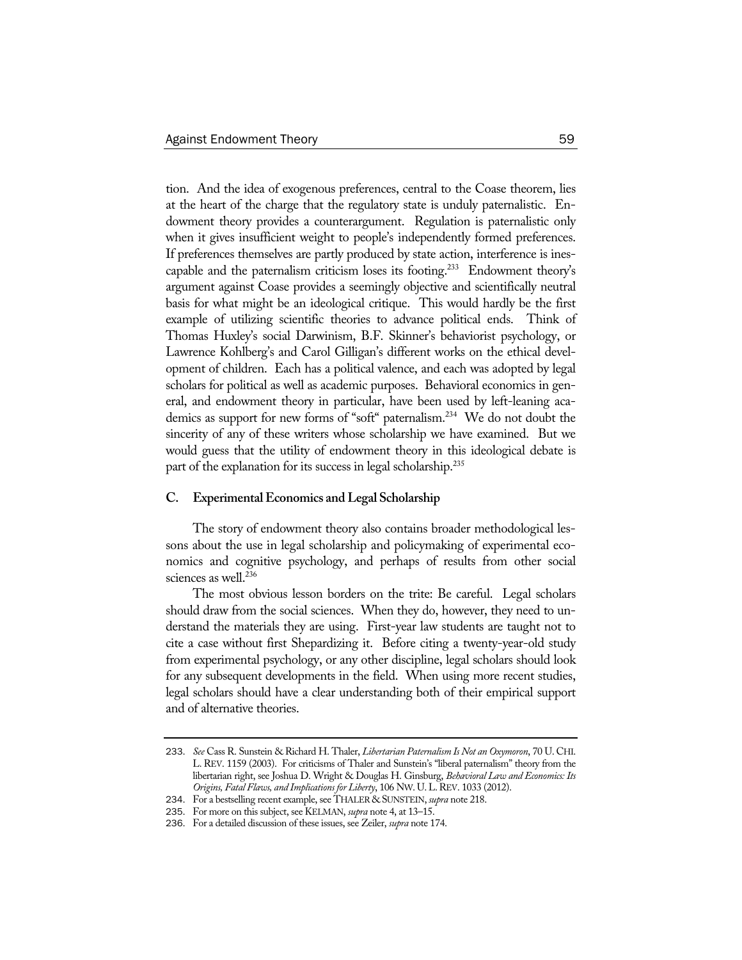tion. And the idea of exogenous preferences, central to the Coase theorem, lies at the heart of the charge that the regulatory state is unduly paternalistic. Endowment theory provides a counterargument. Regulation is paternalistic only when it gives insufficient weight to people's independently formed preferences. If preferences themselves are partly produced by state action, interference is inescapable and the paternalism criticism loses its footing.<sup>233</sup> Endowment theory's argument against Coase provides a seemingly objective and scientifically neutral basis for what might be an ideological critique. This would hardly be the first example of utilizing scientific theories to advance political ends. Think of Thomas Huxley's social Darwinism, B.F. Skinner's behaviorist psychology, or Lawrence Kohlberg's and Carol Gilligan's different works on the ethical development of children. Each has a political valence, and each was adopted by legal scholars for political as well as academic purposes. Behavioral economics in general, and endowment theory in particular, have been used by left-leaning academics as support for new forms of "soft" paternalism.234 We do not doubt the sincerity of any of these writers whose scholarship we have examined. But we would guess that the utility of endowment theory in this ideological debate is part of the explanation for its success in legal scholarship.<sup>235</sup>

#### **C. Experimental Economics and Legal Scholarship**

The story of endowment theory also contains broader methodological lessons about the use in legal scholarship and policymaking of experimental economics and cognitive psychology, and perhaps of results from other social sciences as well.<sup>236</sup>

The most obvious lesson borders on the trite: Be careful. Legal scholars should draw from the social sciences. When they do, however, they need to understand the materials they are using. First-year law students are taught not to cite a case without first Shepardizing it. Before citing a twenty-year-old study from experimental psychology, or any other discipline, legal scholars should look for any subsequent developments in the field. When using more recent studies, legal scholars should have a clear understanding both of their empirical support and of alternative theories.

<sup>233</sup>. *See* Cass R. Sunstein & Richard H. Thaler, *Libertarian Paternalism Is Not an Oxymoron*, 70 U. CHI. L. REV. 1159 (2003). For criticisms of Thaler and Sunstein's "liberal paternalism" theory from the libertarian right, see Joshua D. Wright & Douglas H. Ginsburg, *Behavioral Law and Economics: Its Origins, Fatal Flaws, and Implications for Liberty*, 106 NW. U.L.REV. 1033 (2012).

<sup>234</sup>. For a bestselling recent example, see THALER & SUNSTEIN, *supra* note 218.

<sup>235</sup>. For more on this subject, see KELMAN, *supra* note 4, at 13–15.

<sup>236</sup>. For a detailed discussion of these issues, see Zeiler, *supra* note 174.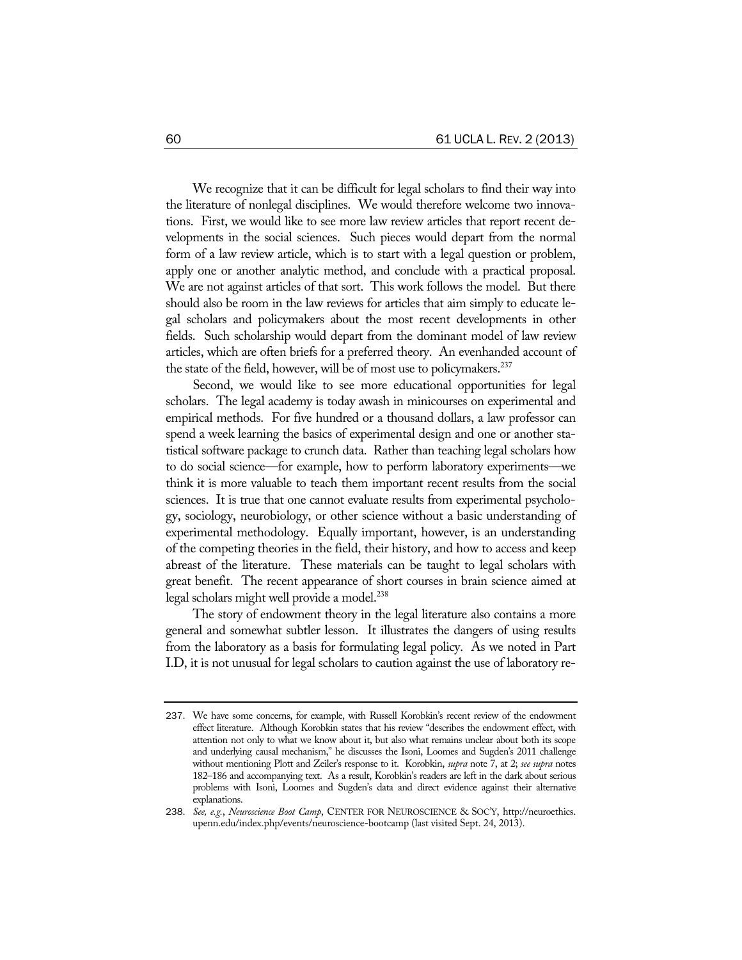We recognize that it can be difficult for legal scholars to find their way into the literature of nonlegal disciplines. We would therefore welcome two innovations. First, we would like to see more law review articles that report recent developments in the social sciences. Such pieces would depart from the normal form of a law review article, which is to start with a legal question or problem, apply one or another analytic method, and conclude with a practical proposal. We are not against articles of that sort. This work follows the model. But there should also be room in the law reviews for articles that aim simply to educate legal scholars and policymakers about the most recent developments in other fields. Such scholarship would depart from the dominant model of law review articles, which are often briefs for a preferred theory. An evenhanded account of the state of the field, however, will be of most use to policymakers.<sup>237</sup>

Second, we would like to see more educational opportunities for legal scholars. The legal academy is today awash in minicourses on experimental and empirical methods. For five hundred or a thousand dollars, a law professor can spend a week learning the basics of experimental design and one or another statistical software package to crunch data. Rather than teaching legal scholars how to do social science—for example, how to perform laboratory experiments—we think it is more valuable to teach them important recent results from the social sciences. It is true that one cannot evaluate results from experimental psychology, sociology, neurobiology, or other science without a basic understanding of experimental methodology. Equally important, however, is an understanding of the competing theories in the field, their history, and how to access and keep abreast of the literature. These materials can be taught to legal scholars with great benefit. The recent appearance of short courses in brain science aimed at legal scholars might well provide a model.<sup>238</sup>

The story of endowment theory in the legal literature also contains a more general and somewhat subtler lesson. It illustrates the dangers of using results from the laboratory as a basis for formulating legal policy. As we noted in Part I.D, it is not unusual for legal scholars to caution against the use of laboratory re-

<sup>237</sup>. We have some concerns, for example, with Russell Korobkin's recent review of the endowment effect literature. Although Korobkin states that his review "describes the endowment effect, with attention not only to what we know about it, but also what remains unclear about both its scope and underlying causal mechanism," he discusses the Isoni, Loomes and Sugden's 2011 challenge without mentioning Plott and Zeiler's response to it. Korobkin, *supra* note 7, at 2; *see supra* notes 182–186 and accompanying text. As a result, Korobkin's readers are left in the dark about serious problems with Isoni, Loomes and Sugden's data and direct evidence against their alternative explanations.

<sup>238</sup>. *See, e.g.*, *Neuroscience Boot Camp*, CENTER FOR NEUROSCIENCE & SOC'Y, http://neuroethics. upenn.edu/index.php/events/neuroscience-bootcamp (last visited Sept. 24, 2013).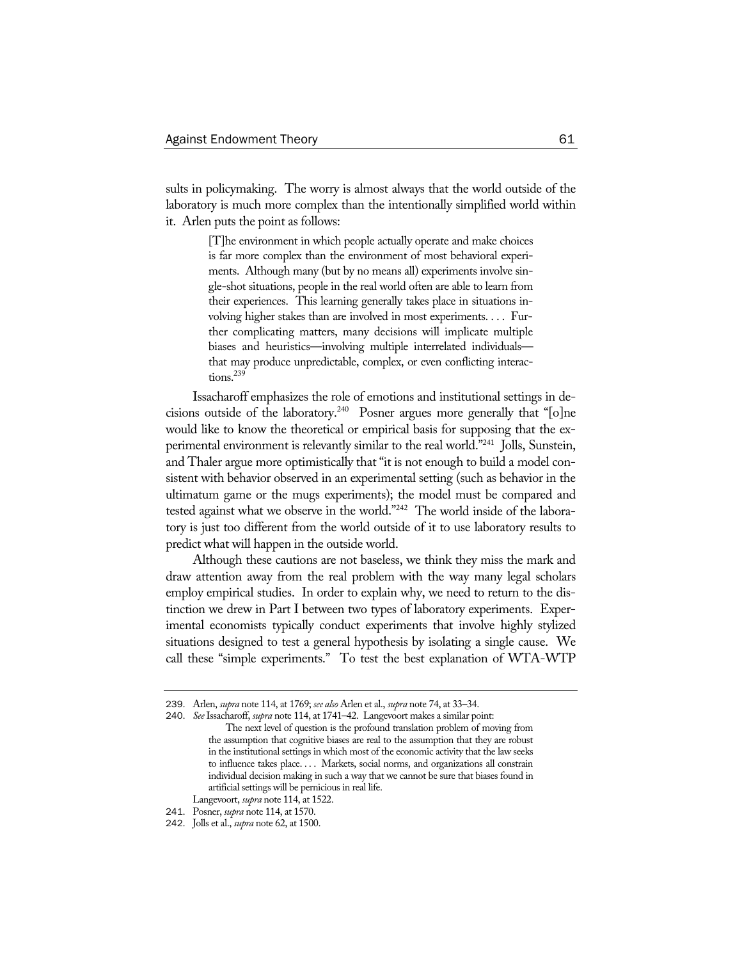sults in policymaking. The worry is almost always that the world outside of the laboratory is much more complex than the intentionally simplified world within it. Arlen puts the point as follows:

> [T]he environment in which people actually operate and make choices is far more complex than the environment of most behavioral experiments. Although many (but by no means all) experiments involve single-shot situations, people in the real world often are able to learn from their experiences. This learning generally takes place in situations involving higher stakes than are involved in most experiments. . . . Further complicating matters, many decisions will implicate multiple biases and heuristics—involving multiple interrelated individuals that may produce unpredictable, complex, or even conflicting interactions.<sup>239</sup>

Issacharoff emphasizes the role of emotions and institutional settings in decisions outside of the laboratory.240 Posner argues more generally that "[o]ne would like to know the theoretical or empirical basis for supposing that the experimental environment is relevantly similar to the real world."241 Jolls, Sunstein, and Thaler argue more optimistically that "it is not enough to build a model consistent with behavior observed in an experimental setting (such as behavior in the ultimatum game or the mugs experiments); the model must be compared and tested against what we observe in the world."242 The world inside of the laboratory is just too different from the world outside of it to use laboratory results to predict what will happen in the outside world.

Although these cautions are not baseless, we think they miss the mark and draw attention away from the real problem with the way many legal scholars employ empirical studies. In order to explain why, we need to return to the distinction we drew in Part I between two types of laboratory experiments. Experimental economists typically conduct experiments that involve highly stylized situations designed to test a general hypothesis by isolating a single cause. We call these "simple experiments." To test the best explanation of WTA-WTP

<sup>239</sup>. Arlen, *supra* note 114, at 1769; *see also* Arlen et al., *supra* note 74, at 33–34.

<sup>240</sup>. *See* Issacharoff, *supra* note 114, at 1741–42. Langevoort makes a similar point: The next level of question is the profound translation problem of moving from the assumption that cognitive biases are real to the assumption that they are robust in the institutional settings in which most of the economic activity that the law seeks to influence takes place. . . . Markets, social norms, and organizations all constrain individual decision making in such a way that we cannot be sure that biases found in

artificial settings will be pernicious in real life.

Langevoort, *supra* note 114, at 1522.

<sup>241</sup>. Posner, *supra* note 114, at 1570.

<sup>242</sup>. Jolls et al., *supra* note 62, at 1500.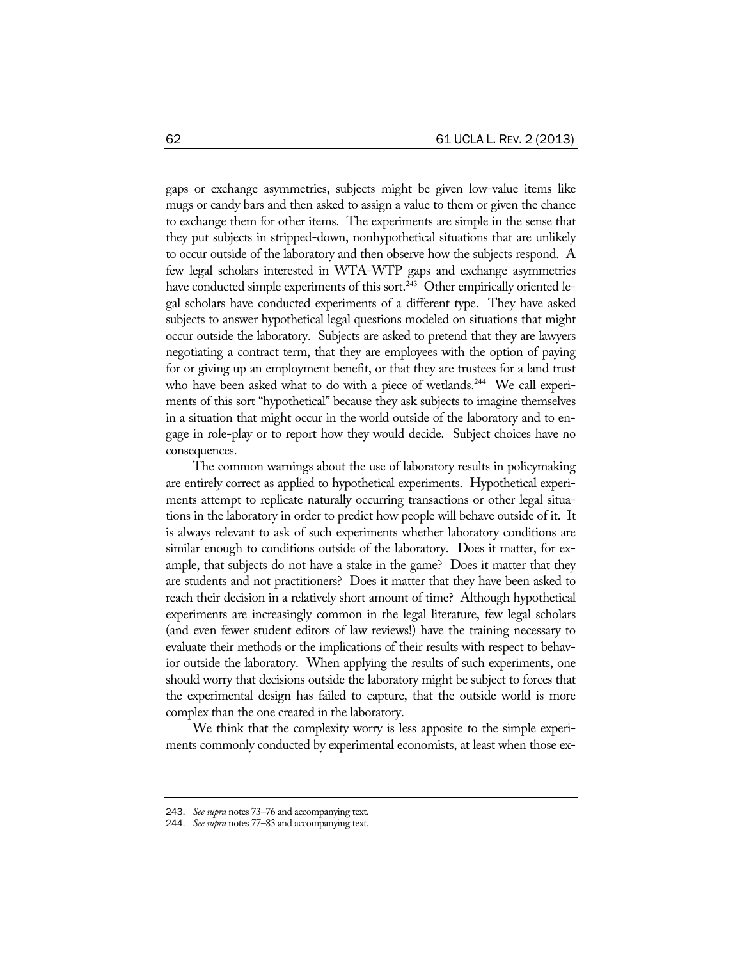gaps or exchange asymmetries, subjects might be given low-value items like mugs or candy bars and then asked to assign a value to them or given the chance to exchange them for other items. The experiments are simple in the sense that they put subjects in stripped-down, nonhypothetical situations that are unlikely to occur outside of the laboratory and then observe how the subjects respond. A few legal scholars interested in WTA-WTP gaps and exchange asymmetries have conducted simple experiments of this sort.<sup>243</sup> Other empirically oriented legal scholars have conducted experiments of a different type. They have asked subjects to answer hypothetical legal questions modeled on situations that might occur outside the laboratory. Subjects are asked to pretend that they are lawyers negotiating a contract term, that they are employees with the option of paying for or giving up an employment benefit, or that they are trustees for a land trust who have been asked what to do with a piece of wetlands.<sup>244</sup> We call experiments of this sort "hypothetical" because they ask subjects to imagine themselves in a situation that might occur in the world outside of the laboratory and to engage in role-play or to report how they would decide. Subject choices have no consequences.

The common warnings about the use of laboratory results in policymaking are entirely correct as applied to hypothetical experiments. Hypothetical experiments attempt to replicate naturally occurring transactions or other legal situations in the laboratory in order to predict how people will behave outside of it. It is always relevant to ask of such experiments whether laboratory conditions are similar enough to conditions outside of the laboratory. Does it matter, for example, that subjects do not have a stake in the game? Does it matter that they are students and not practitioners? Does it matter that they have been asked to reach their decision in a relatively short amount of time? Although hypothetical experiments are increasingly common in the legal literature, few legal scholars (and even fewer student editors of law reviews!) have the training necessary to evaluate their methods or the implications of their results with respect to behavior outside the laboratory. When applying the results of such experiments, one should worry that decisions outside the laboratory might be subject to forces that the experimental design has failed to capture, that the outside world is more complex than the one created in the laboratory.

We think that the complexity worry is less apposite to the simple experiments commonly conducted by experimental economists, at least when those ex-

<sup>243</sup>. *See supra* notes 73–76 and accompanying text.

<sup>244</sup>. *See supra* notes 77–83 and accompanying text.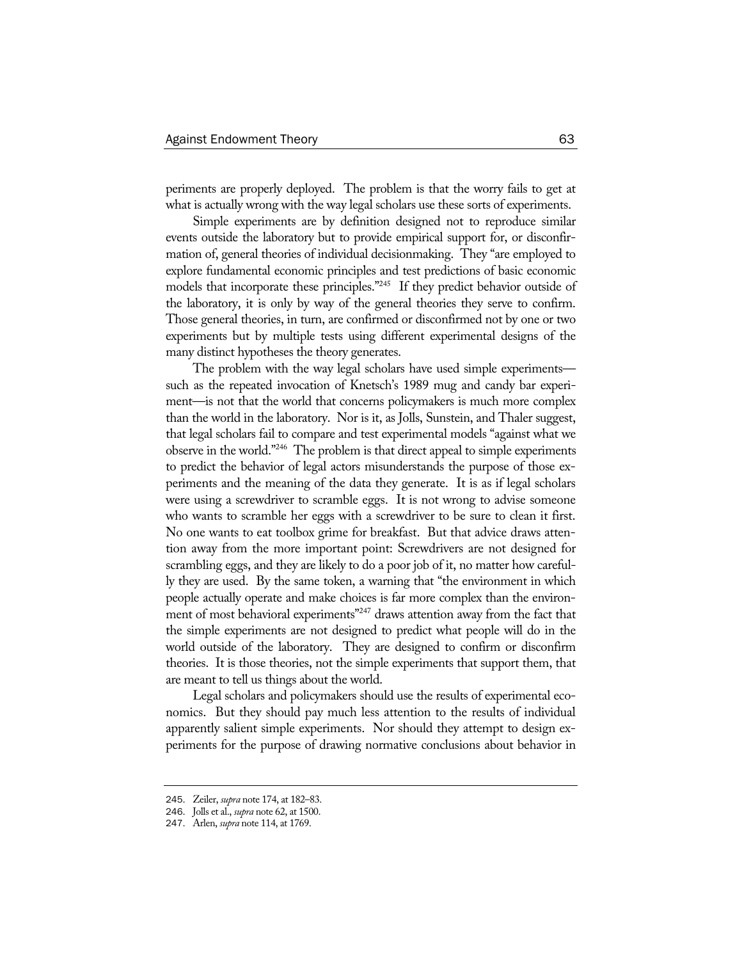periments are properly deployed. The problem is that the worry fails to get at what is actually wrong with the way legal scholars use these sorts of experiments.

Simple experiments are by definition designed not to reproduce similar events outside the laboratory but to provide empirical support for, or disconfirmation of, general theories of individual decisionmaking. They "are employed to explore fundamental economic principles and test predictions of basic economic models that incorporate these principles."245 If they predict behavior outside of the laboratory, it is only by way of the general theories they serve to confirm. Those general theories, in turn, are confirmed or disconfirmed not by one or two experiments but by multiple tests using different experimental designs of the many distinct hypotheses the theory generates.

The problem with the way legal scholars have used simple experiments such as the repeated invocation of Knetsch's 1989 mug and candy bar experiment—is not that the world that concerns policymakers is much more complex than the world in the laboratory. Nor is it, as Jolls, Sunstein, and Thaler suggest, that legal scholars fail to compare and test experimental models "against what we observe in the world."246 The problem is that direct appeal to simple experiments to predict the behavior of legal actors misunderstands the purpose of those experiments and the meaning of the data they generate. It is as if legal scholars were using a screwdriver to scramble eggs. It is not wrong to advise someone who wants to scramble her eggs with a screwdriver to be sure to clean it first. No one wants to eat toolbox grime for breakfast. But that advice draws attention away from the more important point: Screwdrivers are not designed for scrambling eggs, and they are likely to do a poor job of it, no matter how carefully they are used. By the same token, a warning that "the environment in which people actually operate and make choices is far more complex than the environment of most behavioral experiments"<sup>247</sup> draws attention away from the fact that the simple experiments are not designed to predict what people will do in the world outside of the laboratory. They are designed to confirm or disconfirm theories. It is those theories, not the simple experiments that support them, that are meant to tell us things about the world.

Legal scholars and policymakers should use the results of experimental economics. But they should pay much less attention to the results of individual apparently salient simple experiments. Nor should they attempt to design experiments for the purpose of drawing normative conclusions about behavior in

<sup>245</sup>. Zeiler, *supra* note 174, at 182–83.

<sup>246</sup>. Jolls et al., *supra* note 62, at 1500.

<sup>247</sup>. Arlen, *supra* note 114, at 1769.